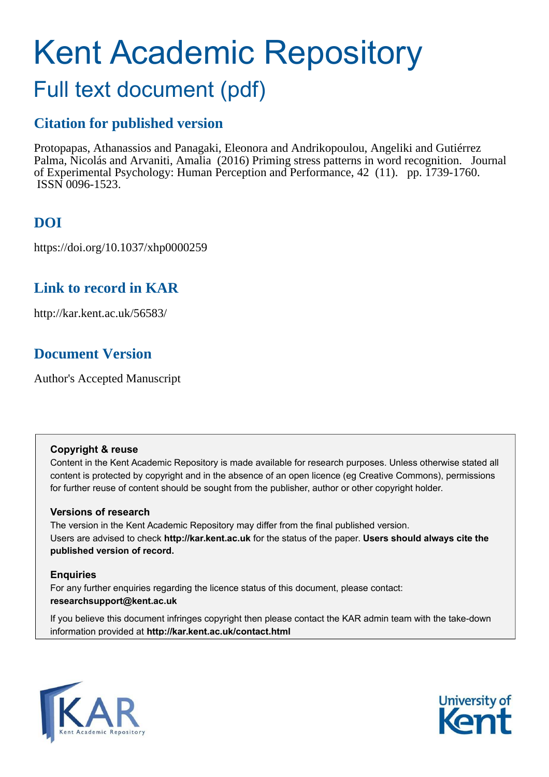# Kent Academic Repository

## Full text document (pdf)

## **Citation for published version**

Protopapas, Athanassios and Panagaki, Eleonora and Andrikopoulou, Angeliki and Gutiérrez Palma, Nicolás and Arvaniti, Amalia (2016) Priming stress patterns in word recognition. Journal of Experimental Psychology: Human Perception and Performance, 42 (11). pp. 1739-1760. ISSN 0096-1523.

## **DOI**

https://doi.org/10.1037/xhp0000259

## **Link to record in KAR**

http://kar.kent.ac.uk/56583/

## **Document Version**

Author's Accepted Manuscript

#### **Copyright & reuse**

Content in the Kent Academic Repository is made available for research purposes. Unless otherwise stated all content is protected by copyright and in the absence of an open licence (eg Creative Commons), permissions for further reuse of content should be sought from the publisher, author or other copyright holder.

#### **Versions of research**

The version in the Kent Academic Repository may differ from the final published version. Users are advised to check **http://kar.kent.ac.uk** for the status of the paper. **Users should always cite the published version of record.**

#### **Enquiries**

For any further enquiries regarding the licence status of this document, please contact: **researchsupport@kent.ac.uk**

If you believe this document infringes copyright then please contact the KAR admin team with the take-down information provided at **http://kar.kent.ac.uk/contact.html**



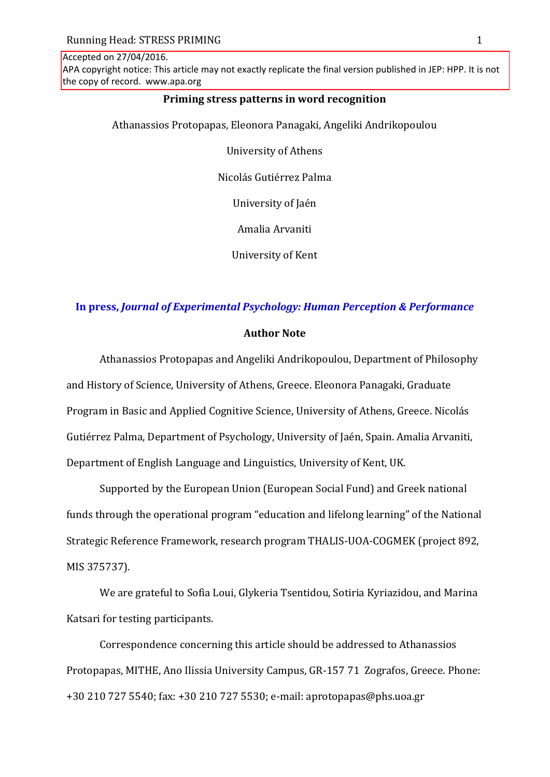Accepted on 27/04/2016.

APA copyright notice: This article may not exactly replicate the final version published in JEP: HPP. It is not the copy of record. www.apa.org

#### **Priming stress patterns in word recognition**

Athanassios Protopapas, Eleonora Panagaki, Angeliki Andrikopoulou

University of Athens

Nicolás Gutiérrez Palma

University of Jaén

Amalia Arvaniti

University of Kent

#### **In press,** *Journal of Experimental Psychology: Human Perception & Performance*

#### **Author Note**

Athanassios Protopapas and Angeliki Andrikopoulou, Department of Philosophy and History of Science, University of Athens, Greece. Eleonora Panagaki, Graduate Program in Basic and Applied Cognitive Science, University of Athens, Greece. Nicolás Gutiérrez Palma, Department of Psychology, University of Jaén, Spain. Amalia Arvaniti, Department of English Language and Linguistics, University of Kent, UK.

Supported by the European Union (European Social Fund) and Greek national funds through the operational program "education and lifelong learning" of the National Strategic Reference Framework, research program THALIS-UOA-COGMEK (project 892, MIS 375737).

We are grateful to Sofia Loui, Glykeria Tsentidou, Sotiria Kyriazidou, and Marina Katsari for testing participants.

Correspondence concerning this article should be addressed to Athanassios Protopapas, MITHE, Ano Ilissia University Campus, GR-157 71 Zografos, Greece. Phone: +30 210 727 5540; fax: +30 210 727 5530; e-mail: aprotopapas@phs.uoa.gr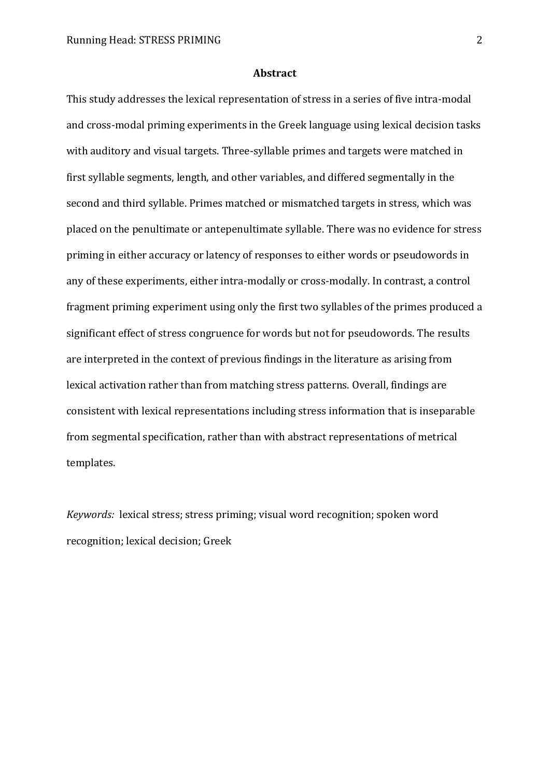#### **Abstract**

This study addresses the lexical representation of stress in a series of five intra-modal and cross-modal priming experiments in the Greek language using lexical decision tasks with auditory and visual targets. Three-syllable primes and targets were matched in first syllable segments, length, and other variables, and differed segmentally in the second and third syllable. Primes matched or mismatched targets in stress, which was placed on the penultimate or antepenultimate syllable. There was no evidence for stress priming in either accuracy or latency of responses to either words or pseudowords in any of these experiments, either intra-modally or cross-modally. In contrast, a control fragment priming experiment using only the first two syllables of the primes produced a significant effect of stress congruence for words but not for pseudowords. The results are interpreted in the context of previous findings in the literature as arising from lexical activation rather than from matching stress patterns. Overall, findings are consistent with lexical representations including stress information that is inseparable from segmental specification, rather than with abstract representations of metrical templates.

*Keywords:* lexical stress; stress priming; visual word recognition; spoken word recognition; lexical decision; Greek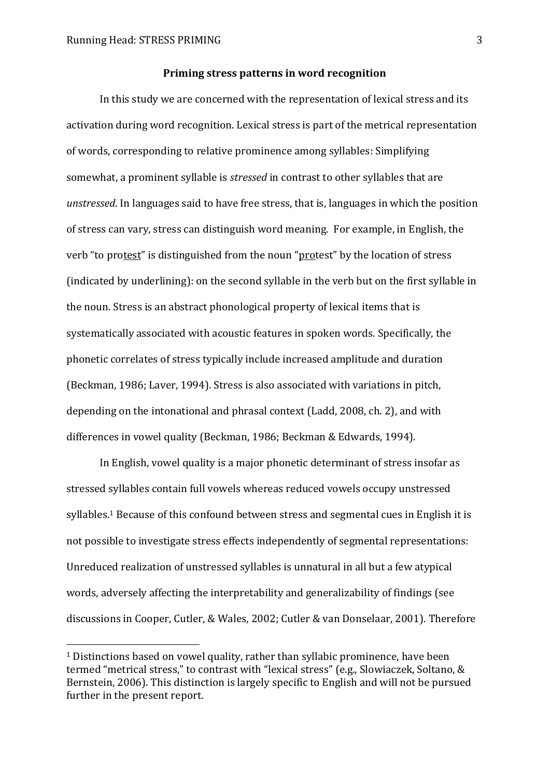$\overline{a}$ 

#### **Priming stress patterns in word recognition**

In this study we are concerned with the representation of lexical stress and its activation during word recognition. Lexical stress is part of the metrical representation of words, corresponding to relative prominence among syllables: Simplifying somewhat, a prominent syllable is *stressed* in contrast to other syllables that are *unstressed*. In languages said to have free stress, that is, languages in which the position of stress can vary, stress can distinguish word meaning. For example, in English, the verb "to protest" is distinguished from the noun "protest" by the location of stress (indicated by underlining): on the second syllable in the verb but on the first syllable in the noun. Stress is an abstract phonological property of lexical items that is systematically associated with acoustic features in spoken words. Specifically, the phonetic correlates of stress typically include increased amplitude and duration (Beckman, 1986; Laver, 1994). Stress is also associated with variations in pitch, depending on the intonational and phrasal context (Ladd, 2008, ch. 2), and with differences in vowel quality (Beckman, 1986; Beckman & Edwards, 1994).

In English, vowel quality is a major phonetic determinant of stress insofar as stressed syllables contain full vowels whereas reduced vowels occupy unstressed syllables.<sup>1</sup> Because of this confound between stress and segmental cues in English it is not possible to investigate stress effects independently of segmental representations: Unreduced realization of unstressed syllables is unnatural in all but a few atypical words, adversely affecting the interpretability and generalizability of findings (see discussions in Cooper, Cutler, & Wales, 2002; Cutler & van Donselaar, 2001). Therefore

<sup>1</sup> Distinctions based on vowel quality, rather than syllabic prominence, have been termed "metrical stress," to contrast with "lexical stress" (e.g., Slowiaczek, Soltano, & Bernstein, 2006). This distinction is largely specific to English and will not be pursued further in the present report.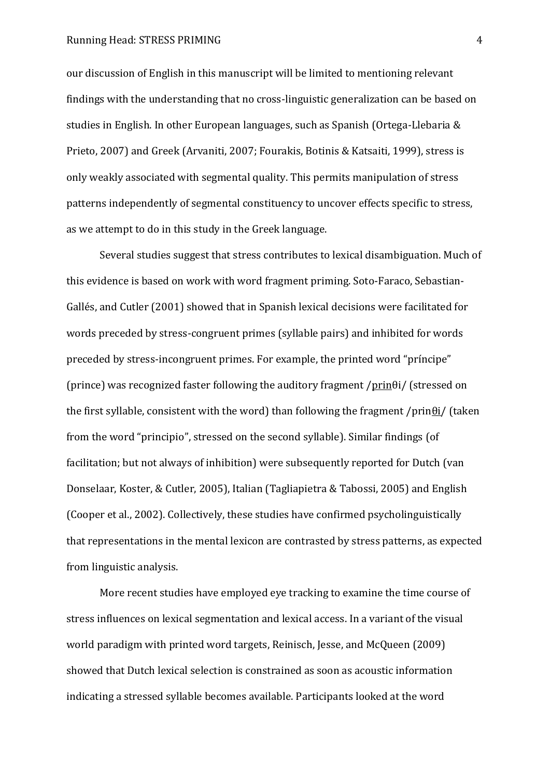our discussion of English in this manuscript will be limited to mentioning relevant findings with the understanding that no cross-linguistic generalization can be based on studies in English. In other European languages, such as Spanish (Ortega-Llebaria & Prieto, 2007) and Greek (Arvaniti, 2007; Fourakis, Botinis & Katsaiti, 1999), stress is only weakly associated with segmental quality. This permits manipulation of stress patterns independently of segmental constituency to uncover effects specific to stress, as we attempt to do in this study in the Greek language.

Several studies suggest that stress contributes to lexical disambiguation. Much of this evidence is based on work with word fragment priming. Soto-Faraco, Sebastian-Gallés, and Cutler (2001) showed that in Spanish lexical decisions were facilitated for words preceded by stress-congruent primes (syllable pairs) and inhibited for words preceded by stress-incongruent primes. For example, the printed word "príncipe" (prince) was recognized faster following the auditory fragment /prin $\theta$ i/ (stressed on the first syllable, consistent with the word) than following the fragment /prin $\theta$ i/ (taken from the word "principio", stressed on the second syllable). Similar findings (of facilitation; but not always of inhibition) were subsequently reported for Dutch (van Donselaar, Koster, & Cutler, 2005), Italian (Tagliapietra & Tabossi, 2005) and English (Cooper et al., 2002). Collectively, these studies have confirmed psycholinguistically that representations in the mental lexicon are contrasted by stress patterns, as expected from linguistic analysis.

More recent studies have employed eye tracking to examine the time course of stress influences on lexical segmentation and lexical access. In a variant of the visual world paradigm with printed word targets, Reinisch, Jesse, and McQueen (2009) showed that Dutch lexical selection is constrained as soon as acoustic information indicating a stressed syllable becomes available. Participants looked at the word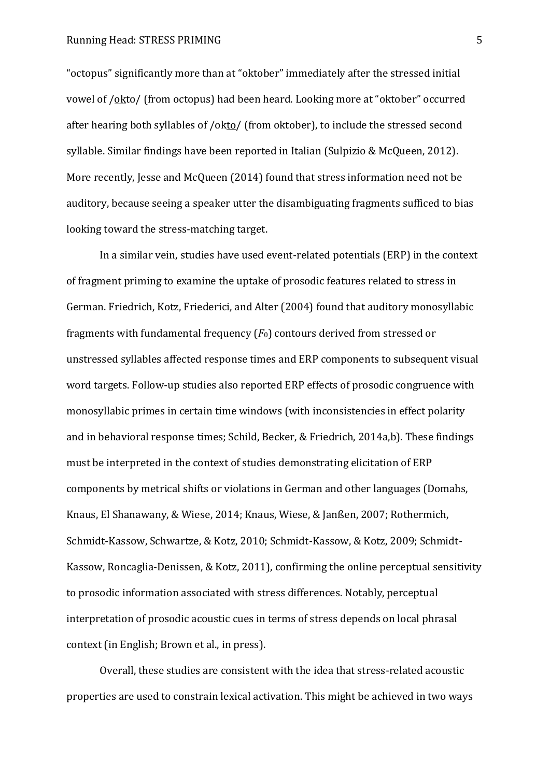"octopus" significantly more than at "oktober" immediately after the stressed initial vowel of /okto/ (from octopus) had been heard. Looking more at "oktober" occurred after hearing both syllables of /okto/ (from oktober), to include the stressed second syllable. Similar findings have been reported in Italian (Sulpizio & McQueen, 2012). More recently, Jesse and McQueen (2014) found that stress information need not be auditory, because seeing a speaker utter the disambiguating fragments sufficed to bias looking toward the stress-matching target.

In a similar vein, studies have used event-related potentials (ERP) in the context of fragment priming to examine the uptake of prosodic features related to stress in German. Friedrich, Kotz, Friederici, and Alter (2004) found that auditory monosyllabic fragments with fundamental frequency  $(F_0)$  contours derived from stressed or unstressed syllables affected response times and ERP components to subsequent visual word targets. Follow-up studies also reported ERP effects of prosodic congruence with monosyllabic primes in certain time windows (with inconsistencies in effect polarity and in behavioral response times; Schild, Becker, & Friedrich, 2014a,b). These findings must be interpreted in the context of studies demonstrating elicitation of ERP components by metrical shifts or violations in German and other languages (Domahs, Knaus, El Shanawany, & Wiese, 2014; Knaus, Wiese, & Janßen, 2007; Rothermich, Schmidt-Kassow, Schwartze, & Kotz, 2010; Schmidt-Kassow, & Kotz, 2009; Schmidt-Kassow, Roncaglia-Denissen, & Kotz, 2011), confirming the online perceptual sensitivity to prosodic information associated with stress differences. Notably, perceptual interpretation of prosodic acoustic cues in terms of stress depends on local phrasal context (in English; Brown et al., in press).

Overall, these studies are consistent with the idea that stress-related acoustic properties are used to constrain lexical activation. This might be achieved in two ways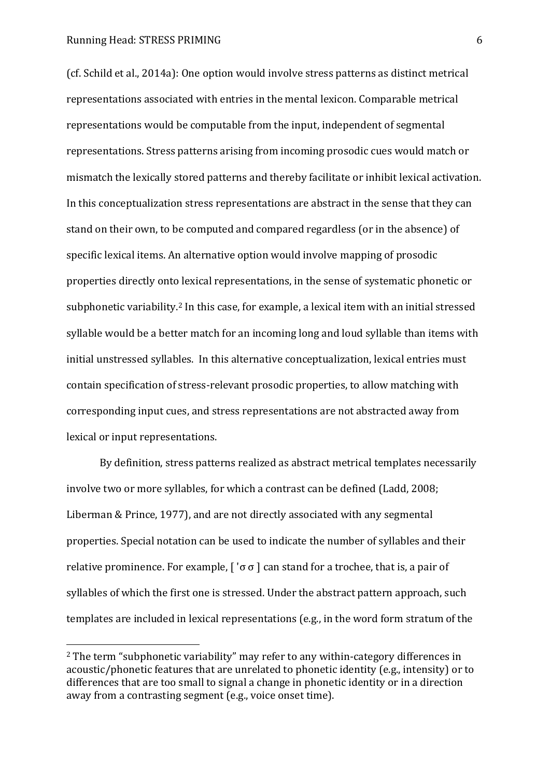$\overline{a}$ 

(cf. Schild et al., 2014a): One option would involve stress patterns as distinct metrical representations associated with entries in the mental lexicon. Comparable metrical representations would be computable from the input, independent of segmental representations. Stress patterns arising from incoming prosodic cues would match or mismatch the lexically stored patterns and thereby facilitate or inhibit lexical activation. In this conceptualization stress representations are abstract in the sense that they can stand on their own, to be computed and compared regardless (or in the absence) of specific lexical items. An alternative option would involve mapping of prosodic properties directly onto lexical representations, in the sense of systematic phonetic or subphonetic variability.2 In this case, for example, a lexical item with an initial stressed syllable would be a better match for an incoming long and loud syllable than items with initial unstressed syllables. In this alternative conceptualization, lexical entries must contain specification of stress-relevant prosodic properties, to allow matching with corresponding input cues, and stress representations are not abstracted away from lexical or input representations.

By definition, stress patterns realized as abstract metrical templates necessarily involve two or more syllables, for which a contrast can be defined (Ladd, 2008; Liberman & Prince, 1977), and are not directly associated with any segmental properties. Special notation can be used to indicate the number of syllables and their relative prominence. For example,  $\lceil \n\cdot \sigma \rceil$  can stand for a trochee, that is, a pair of syllables of which the first one is stressed. Under the abstract pattern approach, such templates are included in lexical representations (e.g., in the word form stratum of the

<sup>&</sup>lt;sup>2</sup> The term "subphonetic variability" may refer to any within-category differences in acoustic/phonetic features that are unrelated to phonetic identity (e.g., intensity) or to differences that are too small to signal a change in phonetic identity or in a direction away from a contrasting segment (e.g., voice onset time).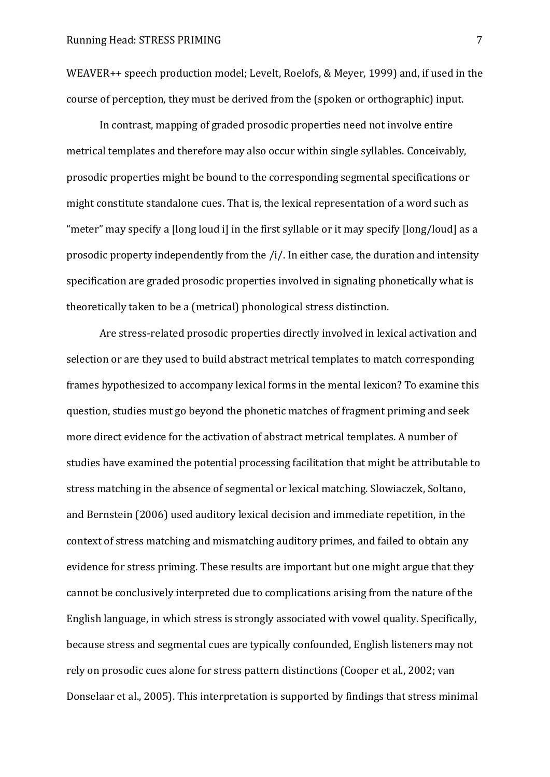WEAVER++ speech production model; Levelt, Roelofs, & Meyer, 1999) and, if used in the course of perception, they must be derived from the (spoken or orthographic) input.

In contrast, mapping of graded prosodic properties need not involve entire metrical templates and therefore may also occur within single syllables. Conceivably, prosodic properties might be bound to the corresponding segmental specifications or might constitute standalone cues. That is, the lexical representation of a word such as ╉meter╊ may specify a いlong loud iう in the first syllable or it may specify [long/loud] as a prosodic property independently from the /i/. In either case, the duration and intensity specification are graded prosodic properties involved in signaling phonetically what is theoretically taken to be a (metrical) phonological stress distinction.

Are stress-related prosodic properties directly involved in lexical activation and selection or are they used to build abstract metrical templates to match corresponding frames hypothesized to accompany lexical forms in the mental lexicon? To examine this question, studies must go beyond the phonetic matches of fragment priming and seek more direct evidence for the activation of abstract metrical templates. A number of studies have examined the potential processing facilitation that might be attributable to stress matching in the absence of segmental or lexical matching. Slowiaczek, Soltano, and Bernstein (2006) used auditory lexical decision and immediate repetition, in the context of stress matching and mismatching auditory primes, and failed to obtain any evidence for stress priming. These results are important but one might argue that they cannot be conclusively interpreted due to complications arising from the nature of the English language, in which stress is strongly associated with vowel quality. Specifically, because stress and segmental cues are typically confounded, English listeners may not rely on prosodic cues alone for stress pattern distinctions (Cooper et al., 2002; van Donselaar et al., 2005). This interpretation is supported by findings that stress minimal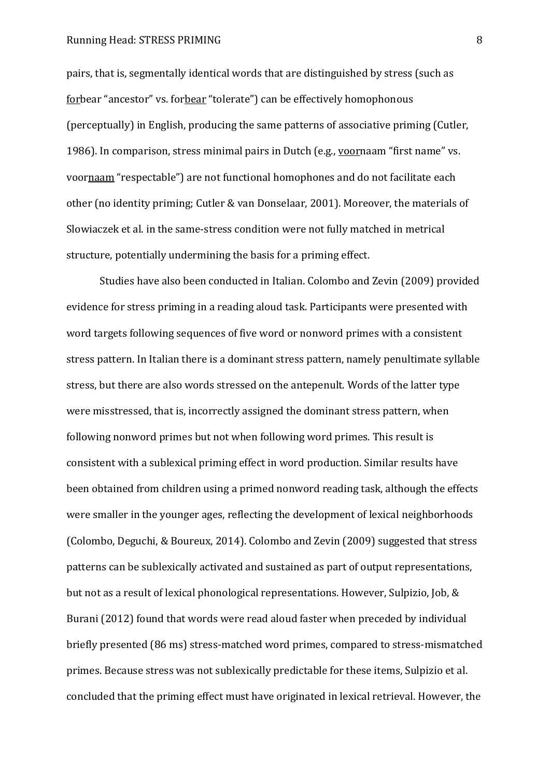pairs, that is, segmentally identical words that are distinguished by stress (such as forbear "ancestor" vs. forbear "tolerate") can be effectively homophonous (perceptually) in English, producing the same patterns of associative priming (Cutler, 1986). In comparison, stress minimal pairs in Dutch (e.g., voornaam "first name" vs. voornaam "respectable") are not functional homophones and do not facilitate each other (no identity priming; Cutler & van Donselaar, 2001). Moreover, the materials of Slowiaczek et al. in the same-stress condition were not fully matched in metrical structure, potentially undermining the basis for a priming effect.

Studies have also been conducted in Italian. Colombo and Zevin (2009) provided evidence for stress priming in a reading aloud task. Participants were presented with word targets following sequences of five word or nonword primes with a consistent stress pattern. In Italian there is a dominant stress pattern, namely penultimate syllable stress, but there are also words stressed on the antepenult. Words of the latter type were misstressed, that is, incorrectly assigned the dominant stress pattern, when following nonword primes but not when following word primes. This result is consistent with a sublexical priming effect in word production. Similar results have been obtained from children using a primed nonword reading task, although the effects were smaller in the younger ages, reflecting the development of lexical neighborhoods (Colombo, Deguchi, & Boureux, 2014). Colombo and Zevin (2009) suggested that stress patterns can be sublexically activated and sustained as part of output representations, but not as a result of lexical phonological representations. However, Sulpizio, Job, & Burani (2012) found that words were read aloud faster when preceded by individual briefly presented (86 ms) stress-matched word primes, compared to stress-mismatched primes. Because stress was not sublexically predictable for these items, Sulpizio et al. concluded that the priming effect must have originated in lexical retrieval. However, the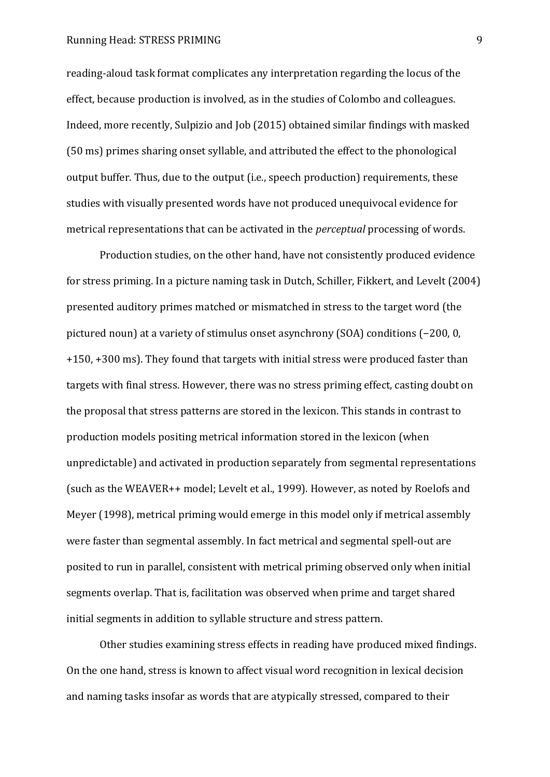reading-aloud task format complicates any interpretation regarding the locus of the effect, because production is involved, as in the studies of Colombo and colleagues. Indeed, more recently, Sulpizio and Job (2015) obtained similar findings with masked (50 ms) primes sharing onset syllable, and attributed the effect to the phonological output buffer. Thus, due to the output (i.e., speech production) requirements, these studies with visually presented words have not produced unequivocal evidence for metrical representations that can be activated in the *perceptual* processing of words.

Production studies, on the other hand, have not consistently produced evidence for stress priming. In a picture naming task in Dutch, Schiller, Fikkert, and Levelt (2004) presented auditory primes matched or mismatched in stress to the target word (the pictured noun) at a variety of stimulus onset asynchrony  $(SOA)$  conditions  $(-200, 0, 0)$ +150, +300 ms). They found that targets with initial stress were produced faster than targets with final stress. However, there was no stress priming effect, casting doubt on the proposal that stress patterns are stored in the lexicon. This stands in contrast to production models positing metrical information stored in the lexicon (when unpredictable) and activated in production separately from segmental representations (such as the WEAVER++ model; Levelt et al., 1999). However, as noted by Roelofs and Meyer (1998), metrical priming would emerge in this model only if metrical assembly were faster than segmental assembly. In fact metrical and segmental spell-out are posited to run in parallel, consistent with metrical priming observed only when initial segments overlap. That is, facilitation was observed when prime and target shared initial segments in addition to syllable structure and stress pattern.

Other studies examining stress effects in reading have produced mixed findings. On the one hand, stress is known to affect visual word recognition in lexical decision and naming tasks insofar as words that are atypically stressed, compared to their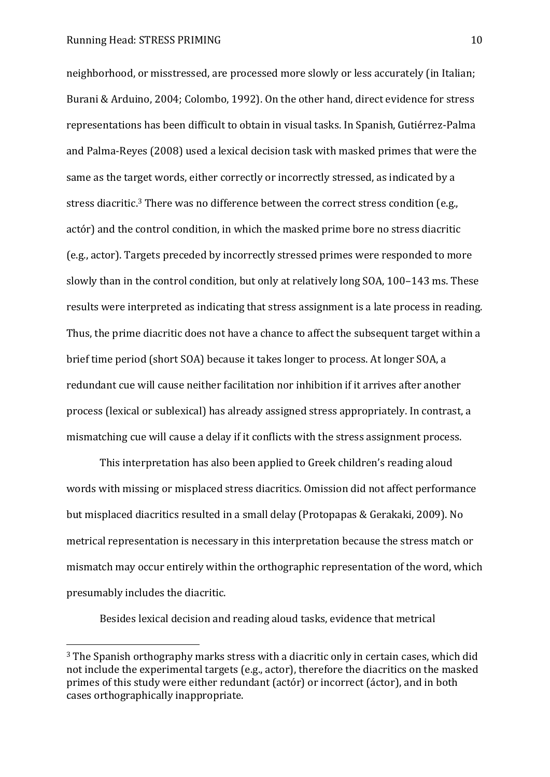$\overline{a}$ 

neighborhood, or misstressed, are processed more slowly or less accurately (in Italian; Burani & Arduino, 2004; Colombo, 1992). On the other hand, direct evidence for stress representations has been difficult to obtain in visual tasks. In Spanish, Gutiérrez-Palma and Palma-Reyes (2008) used a lexical decision task with masked primes that were the same as the target words, either correctly or incorrectly stressed, as indicated by a stress diacritic.<sup>3</sup> There was no difference between the correct stress condition (e.g., actór) and the control condition, in which the masked prime bore no stress diacritic (e.g., actor). Targets preceded by incorrectly stressed primes were responded to more slowly than in the control condition, but only at relatively long SOA, 100-143 ms. These results were interpreted as indicating that stress assignment is a late process in reading. Thus, the prime diacritic does not have a chance to affect the subsequent target within a brief time period (short SOA) because it takes longer to process. At longer SOA, a redundant cue will cause neither facilitation nor inhibition if it arrives after another process (lexical or sublexical) has already assigned stress appropriately. In contrast, a mismatching cue will cause a delay if it conflicts with the stress assignment process.

This interpretation has also been applied to Greek children's reading aloud words with missing or misplaced stress diacritics. Omission did not affect performance but misplaced diacritics resulted in a small delay (Protopapas & Gerakaki, 2009). No metrical representation is necessary in this interpretation because the stress match or mismatch may occur entirely within the orthographic representation of the word, which presumably includes the diacritic.

Besides lexical decision and reading aloud tasks, evidence that metrical

<sup>&</sup>lt;sup>3</sup> The Spanish orthography marks stress with a diacritic only in certain cases, which did not include the experimental targets (e.g., actor), therefore the diacritics on the masked primes of this study were either redundant (actór) or incorrect (áctor), and in both cases orthographically inappropriate.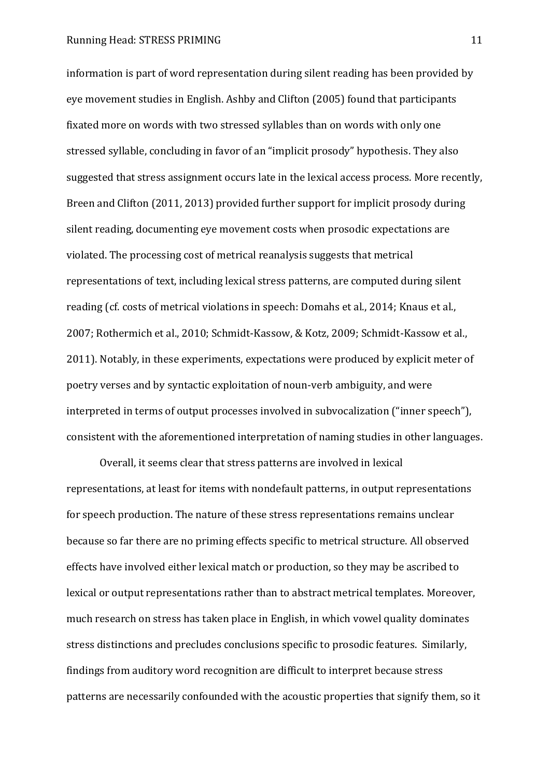information is part of word representation during silent reading has been provided by eye movement studies in English. Ashby and Clifton (2005) found that participants fixated more on words with two stressed syllables than on words with only one stressed syllable, concluding in favor of an "implicit prosody" hypothesis. They also suggested that stress assignment occurs late in the lexical access process. More recently, Breen and Clifton (2011, 2013) provided further support for implicit prosody during silent reading, documenting eye movement costs when prosodic expectations are violated. The processing cost of metrical reanalysis suggests that metrical representations of text, including lexical stress patterns, are computed during silent reading (cf. costs of metrical violations in speech: Domahs et al., 2014; Knaus et al., 2007; Rothermich et al., 2010; Schmidt-Kassow, & Kotz, 2009; Schmidt-Kassow et al., 2011). Notably, in these experiments, expectations were produced by explicit meter of poetry verses and by syntactic exploitation of noun-verb ambiguity, and were interpreted in terms of output processes involved in subvocalization ("inner speech"), consistent with the aforementioned interpretation of naming studies in other languages.

Overall, it seems clear that stress patterns are involved in lexical representations, at least for items with nondefault patterns, in output representations for speech production. The nature of these stress representations remains unclear because so far there are no priming effects specific to metrical structure. All observed effects have involved either lexical match or production, so they may be ascribed to lexical or output representations rather than to abstract metrical templates. Moreover, much research on stress has taken place in English, in which vowel quality dominates stress distinctions and precludes conclusions specific to prosodic features. Similarly, findings from auditory word recognition are difficult to interpret because stress patterns are necessarily confounded with the acoustic properties that signify them, so it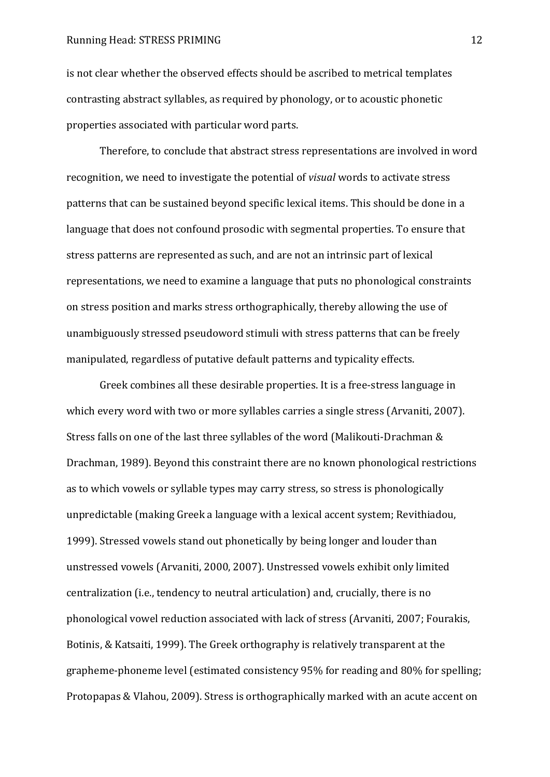is not clear whether the observed effects should be ascribed to metrical templates contrasting abstract syllables, as required by phonology, or to acoustic phonetic properties associated with particular word parts.

Therefore, to conclude that abstract stress representations are involved in word recognition, we need to investigate the potential of *visual* words to activate stress patterns that can be sustained beyond specific lexical items. This should be done in a language that does not confound prosodic with segmental properties. To ensure that stress patterns are represented as such, and are not an intrinsic part of lexical representations, we need to examine a language that puts no phonological constraints on stress position and marks stress orthographically, thereby allowing the use of unambiguously stressed pseudoword stimuli with stress patterns that can be freely manipulated, regardless of putative default patterns and typicality effects.

Greek combines all these desirable properties. It is a free-stress language in which every word with two or more syllables carries a single stress (Arvaniti, 2007). Stress falls on one of the last three syllables of the word (Malikouti-Drachman & Drachman, 1989). Beyond this constraint there are no known phonological restrictions as to which vowels or syllable types may carry stress, so stress is phonologically unpredictable (making Greek a language with a lexical accent system; Revithiadou, 1999). Stressed vowels stand out phonetically by being longer and louder than unstressed vowels (Arvaniti, 2000, 2007). Unstressed vowels exhibit only limited centralization (i.e., tendency to neutral articulation) and, crucially, there is no phonological vowel reduction associated with lack of stress (Arvaniti, 2007; Fourakis, Botinis, & Katsaiti, 1999). The Greek orthography is relatively transparent at the grapheme-phoneme level (estimated consistency 95% for reading and 80% for spelling; Protopapas & Vlahou, 2009). Stress is orthographically marked with an acute accent on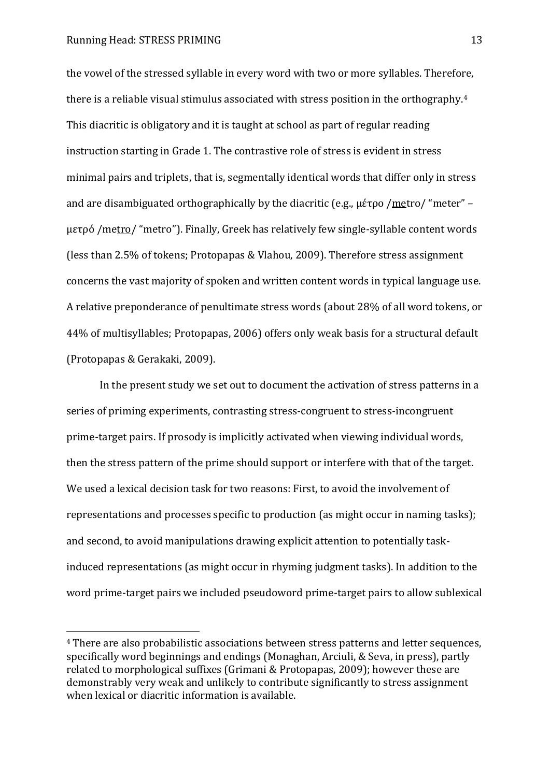$\overline{a}$ 

the vowel of the stressed syllable in every word with two or more syllables. Therefore, there is a reliable visual stimulus associated with stress position in the orthography.<sup>4</sup> This diacritic is obligatory and it is taught at school as part of regular reading instruction starting in Grade 1. The contrastive role of stress is evident in stress minimal pairs and triplets, that is, segmentally identical words that differ only in stress and are disambiguated orthographically by the diacritic (e.g.,  $\mu \text{\'{e}top}$  /metro/ "meter" – μετρό /metro/ "metro"). Finally, Greek has relatively few single-syllable content words (less than 2.5% of tokens; Protopapas & Vlahou, 2009). Therefore stress assignment concerns the vast majority of spoken and written content words in typical language use. A relative preponderance of penultimate stress words (about 28% of all word tokens, or 44% of multisyllables; Protopapas, 2006) offers only weak basis for a structural default (Protopapas & Gerakaki, 2009).

In the present study we set out to document the activation of stress patterns in a series of priming experiments, contrasting stress-congruent to stress-incongruent prime-target pairs. If prosody is implicitly activated when viewing individual words, then the stress pattern of the prime should support or interfere with that of the target. We used a lexical decision task for two reasons: First, to avoid the involvement of representations and processes specific to production (as might occur in naming tasks); and second, to avoid manipulations drawing explicit attention to potentially taskinduced representations (as might occur in rhyming judgment tasks). In addition to the word prime-target pairs we included pseudoword prime-target pairs to allow sublexical

<sup>4</sup> There are also probabilistic associations between stress patterns and letter sequences, specifically word beginnings and endings (Monaghan, Arciuli, & Seva, in press), partly related to morphological suffixes (Grimani & Protopapas, 2009); however these are demonstrably very weak and unlikely to contribute significantly to stress assignment when lexical or diacritic information is available.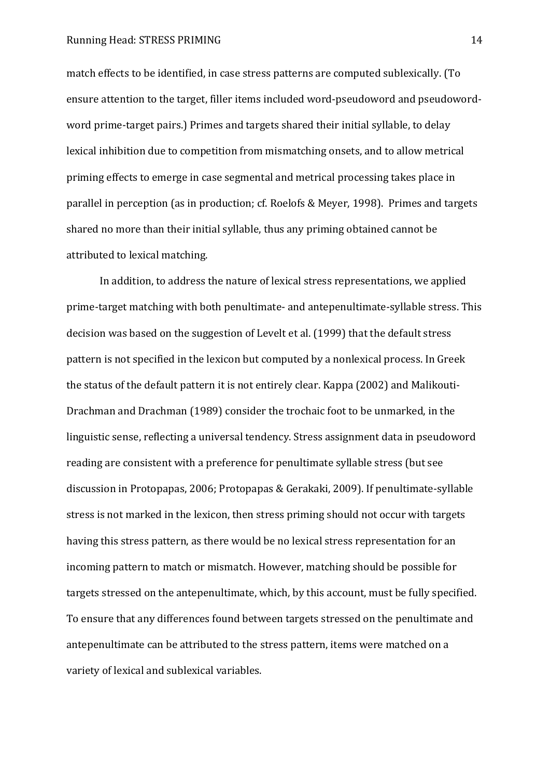match effects to be identified, in case stress patterns are computed sublexically. (To ensure attention to the target, filler items included word-pseudoword and pseudowordword prime-target pairs.) Primes and targets shared their initial syllable, to delay lexical inhibition due to competition from mismatching onsets, and to allow metrical priming effects to emerge in case segmental and metrical processing takes place in parallel in perception (as in production; cf. Roelofs & Meyer, 1998). Primes and targets shared no more than their initial syllable, thus any priming obtained cannot be attributed to lexical matching.

In addition, to address the nature of lexical stress representations, we applied prime-target matching with both penultimate- and antepenultimate-syllable stress. This decision was based on the suggestion of Levelt et al. (1999) that the default stress pattern is not specified in the lexicon but computed by a nonlexical process. In Greek the status of the default pattern it is not entirely clear. Kappa (2002) and Malikouti-Drachman and Drachman (1989) consider the trochaic foot to be unmarked, in the linguistic sense, reflecting a universal tendency. Stress assignment data in pseudoword reading are consistent with a preference for penultimate syllable stress (but see discussion in Protopapas, 2006; Protopapas & Gerakaki, 2009). If penultimate-syllable stress is not marked in the lexicon, then stress priming should not occur with targets having this stress pattern, as there would be no lexical stress representation for an incoming pattern to match or mismatch. However, matching should be possible for targets stressed on the antepenultimate, which, by this account, must be fully specified. To ensure that any differences found between targets stressed on the penultimate and antepenultimate can be attributed to the stress pattern, items were matched on a variety of lexical and sublexical variables.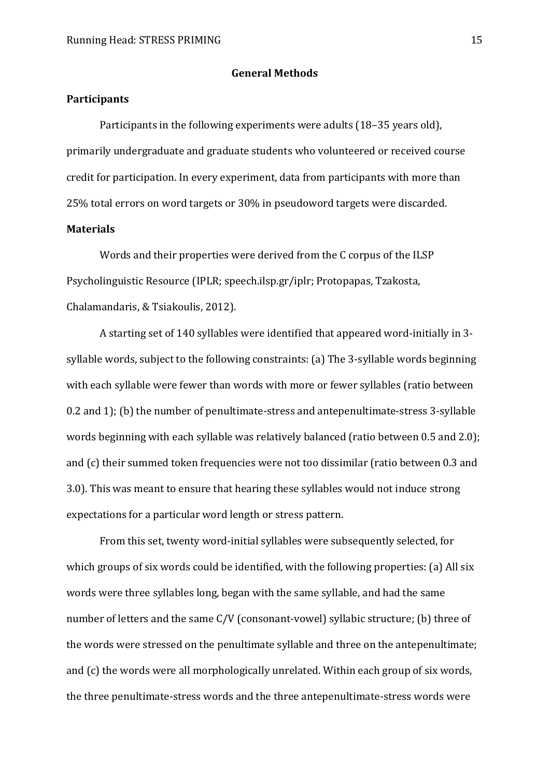#### **General Methods**

#### **Participants**

Participants in the following experiments were adults (18–35 years old), primarily undergraduate and graduate students who volunteered or received course credit for participation. In every experiment, data from participants with more than 25% total errors on word targets or 30% in pseudoword targets were discarded. **Materials** 

Words and their properties were derived from the C corpus of the ILSP Psycholinguistic Resource (IPLR; speech.ilsp.gr/iplr; Protopapas, Tzakosta, Chalamandaris, & Tsiakoulis, 2012).

A starting set of 140 syllables were identified that appeared word-initially in 3 syllable words, subject to the following constraints: (a) The 3-syllable words beginning with each syllable were fewer than words with more or fewer syllables (ratio between 0.2 and 1); (b) the number of penultimate-stress and antepenultimate-stress 3-syllable words beginning with each syllable was relatively balanced (ratio between 0.5 and 2.0); and (c) their summed token frequencies were not too dissimilar (ratio between 0.3 and 3.0). This was meant to ensure that hearing these syllables would not induce strong expectations for a particular word length or stress pattern.

From this set, twenty word-initial syllables were subsequently selected, for which groups of six words could be identified, with the following properties: (a) All six words were three syllables long, began with the same syllable, and had the same number of letters and the same C/V (consonant-vowel) syllabic structure; (b) three of the words were stressed on the penultimate syllable and three on the antepenultimate; and (c) the words were all morphologically unrelated. Within each group of six words, the three penultimate-stress words and the three antepenultimate-stress words were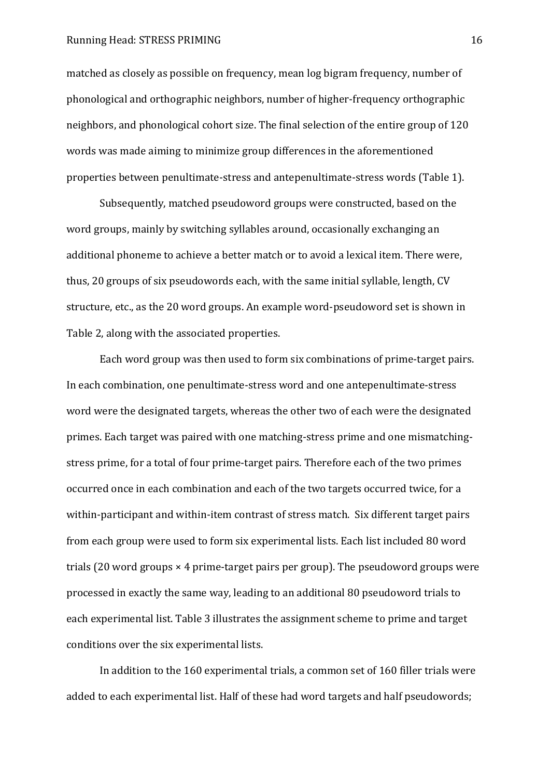matched as closely as possible on frequency, mean log bigram frequency, number of phonological and orthographic neighbors, number of higher-frequency orthographic neighbors, and phonological cohort size. The final selection of the entire group of 120 words was made aiming to minimize group differences in the aforementioned properties between penultimate-stress and antepenultimate-stress words (Table 1).

Subsequently, matched pseudoword groups were constructed, based on the word groups, mainly by switching syllables around, occasionally exchanging an additional phoneme to achieve a better match or to avoid a lexical item. There were, thus, 20 groups of six pseudowords each, with the same initial syllable, length, CV structure, etc., as the 20 word groups. An example word-pseudoword set is shown in Table 2, along with the associated properties.

Each word group was then used to form six combinations of prime-target pairs. In each combination, one penultimate-stress word and one antepenultimate-stress word were the designated targets, whereas the other two of each were the designated primes. Each target was paired with one matching-stress prime and one mismatchingstress prime, for a total of four prime-target pairs. Therefore each of the two primes occurred once in each combination and each of the two targets occurred twice, for a within-participant and within-item contrast of stress match. Six different target pairs from each group were used to form six experimental lists. Each list included 80 word trials  $(20$  word groups  $\times$  4 prime-target pairs per group). The pseudoword groups were processed in exactly the same way, leading to an additional 80 pseudoword trials to each experimental list. Table 3 illustrates the assignment scheme to prime and target conditions over the six experimental lists.

In addition to the 160 experimental trials, a common set of 160 filler trials were added to each experimental list. Half of these had word targets and half pseudowords;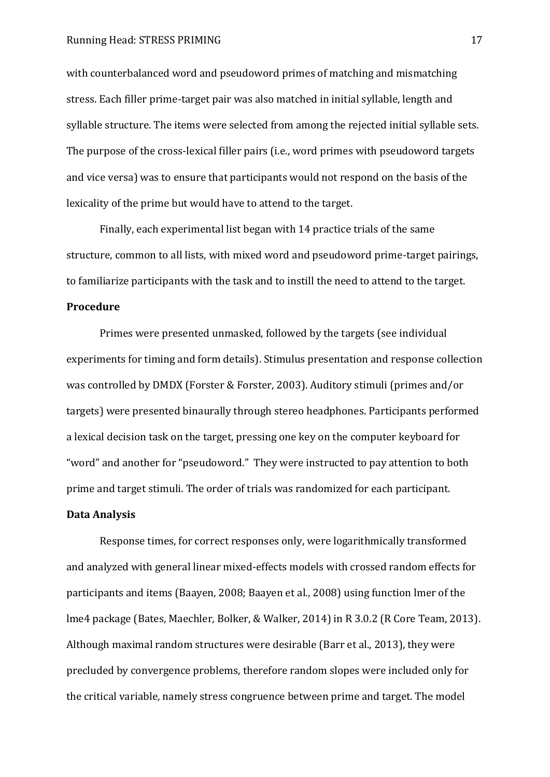with counterbalanced word and pseudoword primes of matching and mismatching stress. Each filler prime-target pair was also matched in initial syllable, length and syllable structure. The items were selected from among the rejected initial syllable sets. The purpose of the cross-lexical filler pairs (i.e., word primes with pseudoword targets and vice versa) was to ensure that participants would not respond on the basis of the lexicality of the prime but would have to attend to the target.

Finally, each experimental list began with 14 practice trials of the same structure, common to all lists, with mixed word and pseudoword prime-target pairings, to familiarize participants with the task and to instill the need to attend to the target.

#### **Procedure**

Primes were presented unmasked, followed by the targets (see individual experiments for timing and form details). Stimulus presentation and response collection was controlled by DMDX (Forster & Forster, 2003). Auditory stimuli (primes and/or targets) were presented binaurally through stereo headphones. Participants performed a lexical decision task on the target, pressing one key on the computer keyboard for "word" and another for "pseudoword." They were instructed to pay attention to both prime and target stimuli. The order of trials was randomized for each participant.

#### **Data Analysis**

Response times, for correct responses only, were logarithmically transformed and analyzed with general linear mixed-effects models with crossed random effects for participants and items (Baayen, 2008; Baayen et al., 2008) using function lmer of the lme4 package (Bates, Maechler, Bolker, & Walker, 2014) in R 3.0.2 (R Core Team, 2013). Although maximal random structures were desirable (Barr et al., 2013), they were precluded by convergence problems, therefore random slopes were included only for the critical variable, namely stress congruence between prime and target. The model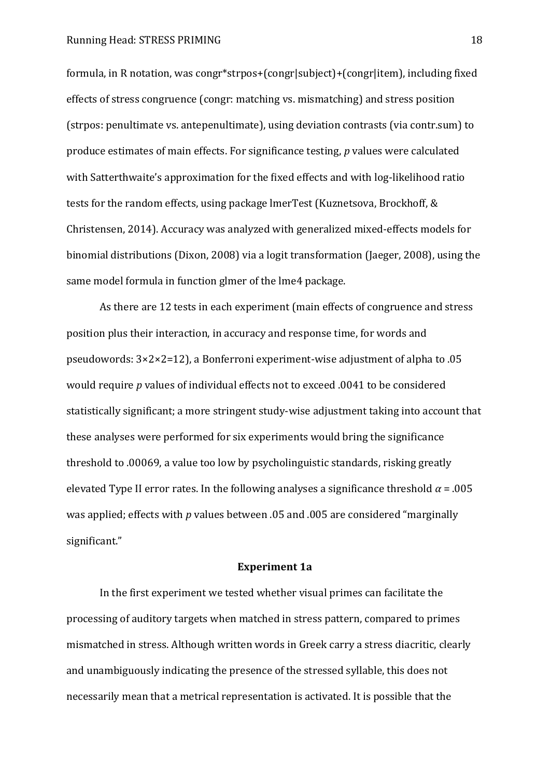formula, in R notation, was congr\*strpos+(congr|subject)+(congr|item), including fixed effects of stress congruence (congr: matching vs. mismatching) and stress position (strpos: penultimate vs. antepenultimate), using deviation contrasts (via contr.sum) to produce estimates of main effects. For significance testing, *p* values were calculated with Satterthwaite's approximation for the fixed effects and with log-likelihood ratio tests for the random effects, using package lmerTest (Kuznetsova, Brockhoff, & Christensen, 2014). Accuracy was analyzed with generalized mixed-effects models for binomial distributions (Dixon, 2008) via a logit transformation (Jaeger, 2008), using the same model formula in function glmer of the lme4 package.

As there are 12 tests in each experiment (main effects of congruence and stress position plus their interaction, in accuracy and response time, for words and pseudowords:  $3 \times 2 \times 2 = 12$ ), a Bonferroni experiment-wise adjustment of alpha to .05 would require *p* values of individual effects not to exceed .0041 to be considered statistically significant; a more stringent study-wise adjustment taking into account that these analyses were performed for six experiments would bring the significance threshold to .00069, a value too low by psycholinguistic standards, risking greatly elevated Type II error rates. In the following analyses a significance threshold  $\alpha$  = .005 was applied; effects with *p* values between .05 and .005 are considered "marginally significant."

#### **Experiment 1a**

In the first experiment we tested whether visual primes can facilitate the processing of auditory targets when matched in stress pattern, compared to primes mismatched in stress. Although written words in Greek carry a stress diacritic, clearly and unambiguously indicating the presence of the stressed syllable, this does not necessarily mean that a metrical representation is activated. It is possible that the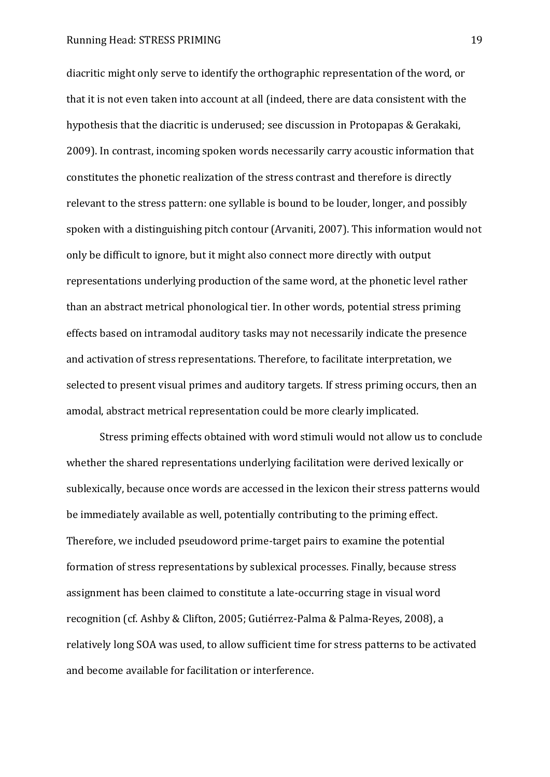diacritic might only serve to identify the orthographic representation of the word, or that it is not even taken into account at all (indeed, there are data consistent with the hypothesis that the diacritic is underused; see discussion in Protopapas & Gerakaki, 2009). In contrast, incoming spoken words necessarily carry acoustic information that constitutes the phonetic realization of the stress contrast and therefore is directly relevant to the stress pattern: one syllable is bound to be louder, longer, and possibly spoken with a distinguishing pitch contour (Arvaniti, 2007). This information would not only be difficult to ignore, but it might also connect more directly with output representations underlying production of the same word, at the phonetic level rather than an abstract metrical phonological tier. In other words, potential stress priming effects based on intramodal auditory tasks may not necessarily indicate the presence and activation of stress representations. Therefore, to facilitate interpretation, we selected to present visual primes and auditory targets. If stress priming occurs, then an amodal, abstract metrical representation could be more clearly implicated.

Stress priming effects obtained with word stimuli would not allow us to conclude whether the shared representations underlying facilitation were derived lexically or sublexically, because once words are accessed in the lexicon their stress patterns would be immediately available as well, potentially contributing to the priming effect. Therefore, we included pseudoword prime-target pairs to examine the potential formation of stress representations by sublexical processes. Finally, because stress assignment has been claimed to constitute a late-occurring stage in visual word recognition (cf. Ashby & Clifton, 2005; Gutiérrez-Palma & Palma-Reyes, 2008), a relatively long SOA was used, to allow sufficient time for stress patterns to be activated and become available for facilitation or interference.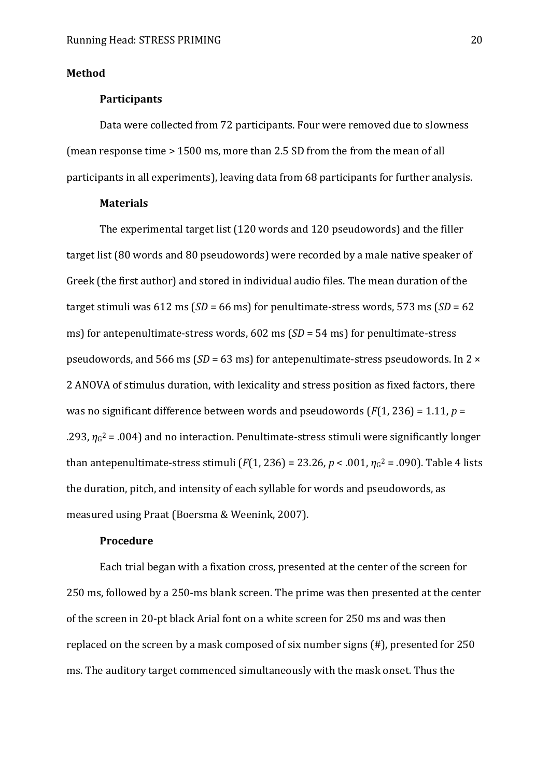#### **Method**

#### <span id="page-20-0"></span>**Participants**

Data were collected from 72 participants. Four were removed due to slowness (mean response time > 1500 ms, more than 2.5 SD from the from the mean of all participants in all experiments), leaving data from 68 participants for further analysis.

#### **Materials**

The experimental target list (120 words and 120 pseudowords) and the filler target list (80 words and 80 pseudowords) were recorded by a male native speaker of Greek (the first author) and stored in individual audio files. The mean duration of the target stimuli was 612 ms (*SD* = 66 ms) for penultimate-stress words, 573 ms (*SD* = 62 ms) for antepenultimate-stress words, 602 ms (*SD* = 54 ms) for penultimate-stress pseudowords, and 566 ms ( $SD = 63$  ms) for antepenultimate-stress pseudowords. In 2  $\times$ 2 ANOVA of stimulus duration, with lexicality and stress position as fixed factors, there was no significant difference between words and pseudowords (*F*(1, 236) = 1.11, *p* =  $293$ ,  $\eta$ <sup>2</sup> = .004) and no interaction. Penultimate-stress stimuli were significantly longer than antepenultimate-stress stimuli ( $F(1, 236)$  = 23.26,  $p < .001$ ,  $\eta_{G}$ <sup>2</sup> = .090). Table 4 lists the duration, pitch, and intensity of each syllable for words and pseudowords, as measured using Praat (Boersma & Weenink, 2007).

#### **Procedure**

Each trial began with a fixation cross, presented at the center of the screen for 250 ms, followed by a 250-ms blank screen. The prime was then presented at the center of the screen in 20-pt black Arial font on a white screen for 250 ms and was then replaced on the screen by a mask composed of six number signs (#), presented for 250 ms. The auditory target commenced simultaneously with the mask onset. Thus the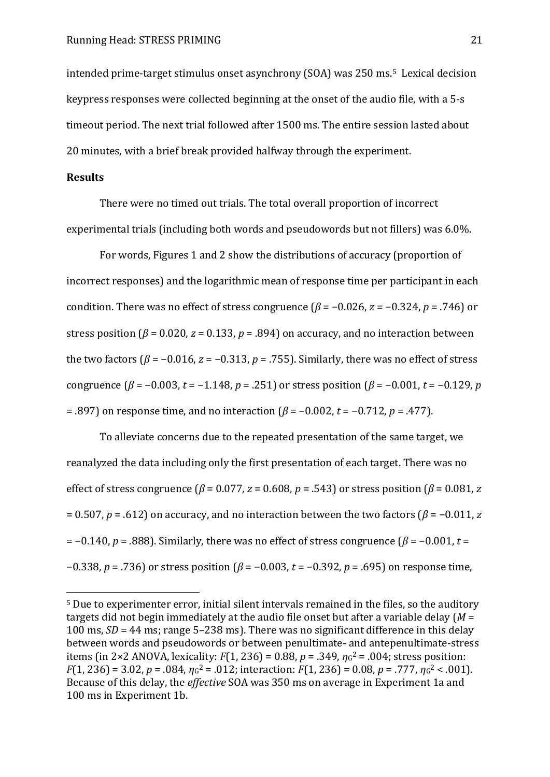intended prime-target stimulus onset asynchrony (SOA) was 250 ms.5 Lexical decision keypress responses were collected beginning at the onset of the audio file, with a 5-s timeout period. The next trial followed after 1500 ms. The entire session lasted about 20 minutes, with a brief break provided halfway through the experiment.

#### **Results**

 $\overline{a}$ 

There were no timed out trials. The total overall proportion of incorrect experimental trials (including both words and pseudowords but not fillers) was 6.0%.

For words, Figures 1 and 2 show the distributions of accuracy (proportion of incorrect responses) and the logarithmic mean of response time per participant in each condition. There was no effect of stress congruence  $(\beta = -0.026, z = -0.324, p = .746)$  or stress position ( $\beta$  = 0.020,  $z$  = 0.133,  $p$  = .894) on accuracy, and no interaction between the two factors ( $\beta$  = -0.016,  $z$  = -0.313,  $p$  = .755). Similarly, there was no effect of stress congruence  $(\beta = -0.003, t = -1.148, p = .251)$  or stress position  $(\beta = -0.001, t = -0.129, p$  $= .897$ ) on response time, and no interaction  $(β = -0.002, t = -0.712, p = .477)$ .

To alleviate concerns due to the repeated presentation of the same target, we reanalyzed the data including only the first presentation of each target. There was no effect of stress congruence ( $\beta$  = 0.077, *z* = 0.608, *p* = .543) or stress position ( $\beta$  = 0.081, *z* = 0.507,  $p = .612$ ) on accuracy, and no interaction between the two factors ( $\beta$  = -0.011, *z*  $p = -0.140$ ,  $p = .888$ ). Similarly, there was no effect of stress congruence ( $\beta = -0.001$ ,  $t =$  $-0.338$ ,  $p = .736$ ) or stress position ( $\beta = -0.003$ ,  $t = -0.392$ ,  $p = .695$ ) on response time,

<sup>5</sup> Due to experimenter error, initial silent intervals remained in the files, so the auditory targets did not begin immediately at the audio file onset but after a variable delay (*M* = 100 ms,  $SD = 44$  ms; range 5–238 ms). There was no significant difference in this delay between words and pseudowords or between penultimate- and antepenultimate-stress items (in 2×2 ANOVA, lexicality:  $F(1, 236) = 0.88$ ,  $p = .349$ ,  $\eta$ <sup>2</sup> = .004; stress position:  $F(1, 236) = 3.02$ ,  $p = .084$ ,  $\eta_{G}^2 = .012$ ; interaction:  $F(1, 236) = 0.08$ ,  $p = .777$ ,  $\eta_{G}^2 < .001$ ). Because of this delay, the *effective* SOA was 350 ms on average in Experiment 1a and 100 ms in Experiment 1b.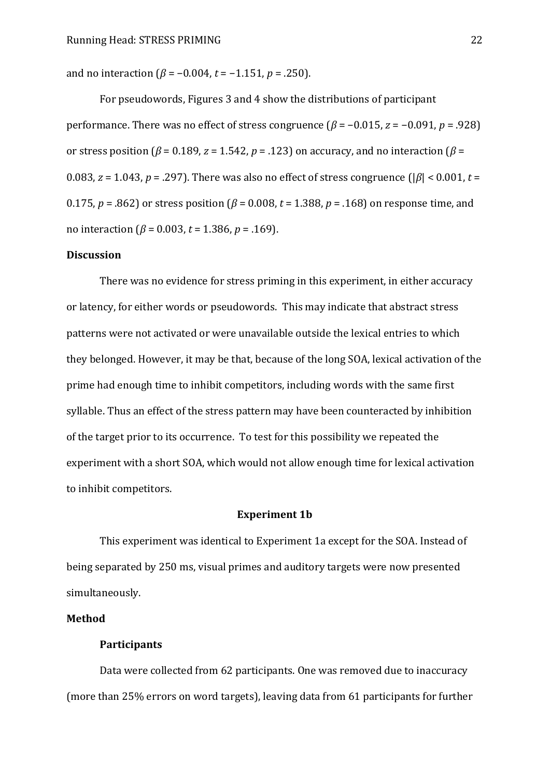and no interaction  $(\beta = -0.004, t = -1.151, p = .250)$ .

For pseudowords, Figures 3 and 4 show the distributions of participant performance. There was no effect of stress congruence  $(\beta = -0.015, z = -0.091, p = .928)$ or stress position ( $\beta$  = 0.189, *z* = 1.542, *p* = .123) on accuracy, and no interaction ( $\beta$  = 0.083, *z* = 1.043, *p* = .297). There was also no effect of stress congruence ( $|\beta|$  < 0.001, *t* = 0.175,  $p = .862$ ) or stress position ( $\beta = 0.008$ ,  $t = 1.388$ ,  $p = .168$ ) on response time, and no interaction ( $\beta$  = 0.003, *t* = 1.386, *p* = .169).

#### **Discussion**

There was no evidence for stress priming in this experiment, in either accuracy or latency, for either words or pseudowords. This may indicate that abstract stress patterns were not activated or were unavailable outside the lexical entries to which they belonged. However, it may be that, because of the long SOA, lexical activation of the prime had enough time to inhibit competitors, including words with the same first syllable. Thus an effect of the stress pattern may have been counteracted by inhibition of the target prior to its occurrence. To test for this possibility we repeated the experiment with a short SOA, which would not allow enough time for lexical activation to inhibit competitors.

#### **Experiment 1b**

This experiment was identical to Experiment 1a except for the SOA. Instead of being separated by 250 ms, visual primes and auditory targets were now presented simultaneously.

#### **Method**

#### **Participants**

Data were collected from 62 participants. One was removed due to inaccuracy (more than 25% errors on word targets), leaving data from 61 participants for further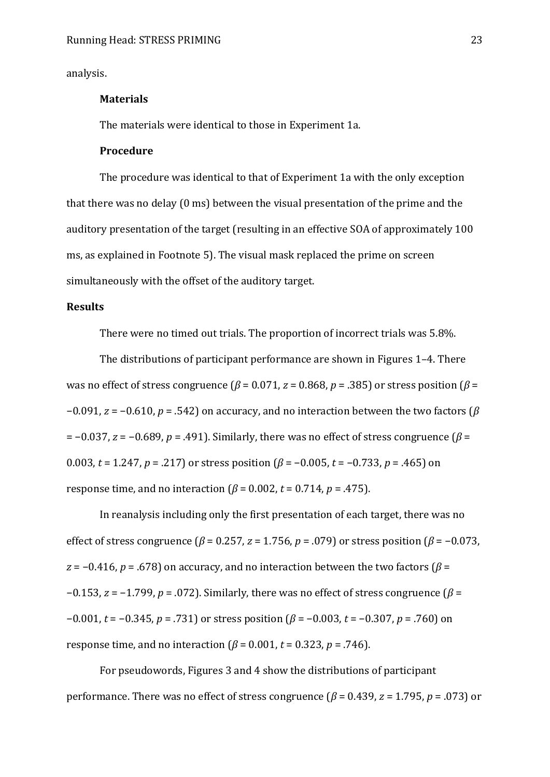analysis.

#### **Materials**

The materials were identical to those in Experiment 1a.

#### **Procedure**

The procedure was identical to that of Experiment 1a with the only exception that there was no delay (0 ms) between the visual presentation of the prime and the auditory presentation of the target (resulting in an effective SOA of approximately 100 ms, as explained in Footnote [5\)](#page-20-0). The visual mask replaced the prime on screen simultaneously with the offset of the auditory target.

#### **Results**

There were no timed out trials. The proportion of incorrect trials was 5.8%.

The distributions of participant performance are shown in Figures 1-4. There was no effect of stress congruence ( $\beta$  = 0.071, *z* = 0.868, *p* = .385) or stress position ( $\beta$  =  $-0.091$ ,  $z = -0.610$ ,  $p = .542$ ) on accuracy, and no interaction between the two factors ( $\beta$  $= -0.037$ ,  $z = -0.689$ ,  $p = .491$ ). Similarly, there was no effect of stress congruence ( $\beta =$ 0.003,  $t = 1.247$ ,  $p = .217$  or stress position  $(\beta = -0.005, t = -0.733, p = .465)$  on response time, and no interaction  $(\beta = 0.002, t = 0.714, p = .475)$ .

In reanalysis including only the first presentation of each target, there was no effect of stress congruence ( $\beta$  = 0.257, *z* = 1.756, *p* = .079) or stress position ( $\beta$  = -0.073,  $z = -0.416$ ,  $p = .678$ ) on accuracy, and no interaction between the two factors ( $\beta =$  $-0.153$ ,  $z = -1.799$ ,  $p = .072$ ). Similarly, there was no effect of stress congruence ( $\beta =$  $-0.001$ ,  $t = -0.345$ ,  $p = .731$ ) or stress position ( $\beta = -0.003$ ,  $t = -0.307$ ,  $p = .760$ ) on response time, and no interaction  $(\beta = 0.001, t = 0.323, p = .746)$ .

For pseudowords, Figures 3 and 4 show the distributions of participant performance. There was no effect of stress congruence ( $\beta$  = 0.439, *z* = 1.795, *p* = .073) or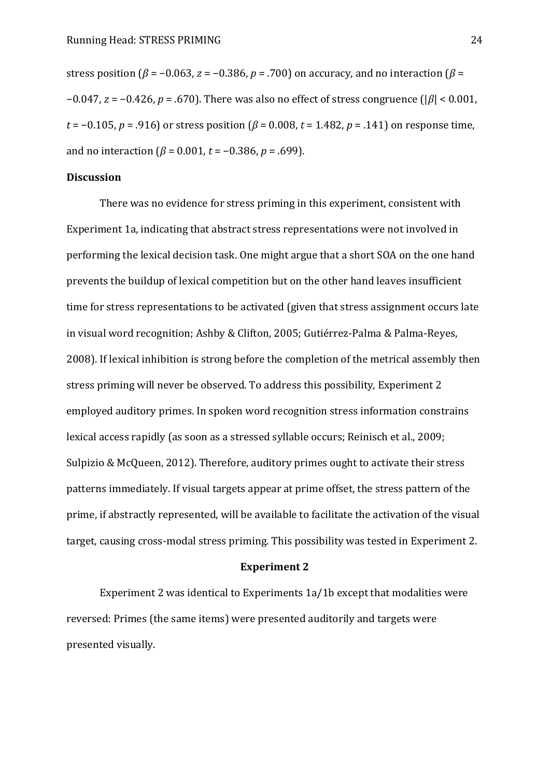stress position ( $\beta$  = -0.063,  $z$  = -0.386,  $p$  = .700) on accuracy, and no interaction ( $\beta$  =  $-0.047$ ,  $z = -0.426$ ,  $p = .670$ ). There was also no effect of stress congruence ( $|\beta|$  < 0.001,  $t = -0.105$ ,  $p = .916$ ) or stress position ( $\beta = 0.008$ ,  $t = 1.482$ ,  $p = .141$ ) on response time, and no interaction  $(\beta = 0.001, t = -0.386, p = .699)$ .

#### **Discussion**

There was no evidence for stress priming in this experiment, consistent with Experiment 1a, indicating that abstract stress representations were not involved in performing the lexical decision task. One might argue that a short SOA on the one hand prevents the buildup of lexical competition but on the other hand leaves insufficient time for stress representations to be activated (given that stress assignment occurs late in visual word recognition; Ashby & Clifton, 2005; Gutiérrez-Palma & Palma-Reyes, 2008). If lexical inhibition is strong before the completion of the metrical assembly then stress priming will never be observed. To address this possibility, Experiment 2 employed auditory primes. In spoken word recognition stress information constrains lexical access rapidly (as soon as a stressed syllable occurs; Reinisch et al., 2009; Sulpizio & McQueen, 2012). Therefore, auditory primes ought to activate their stress patterns immediately. If visual targets appear at prime offset, the stress pattern of the prime, if abstractly represented, will be available to facilitate the activation of the visual target, causing cross-modal stress priming. This possibility was tested in Experiment 2.

#### **Experiment 2**

Experiment 2 was identical to Experiments 1a/1b except that modalities were reversed: Primes (the same items) were presented auditorily and targets were presented visually.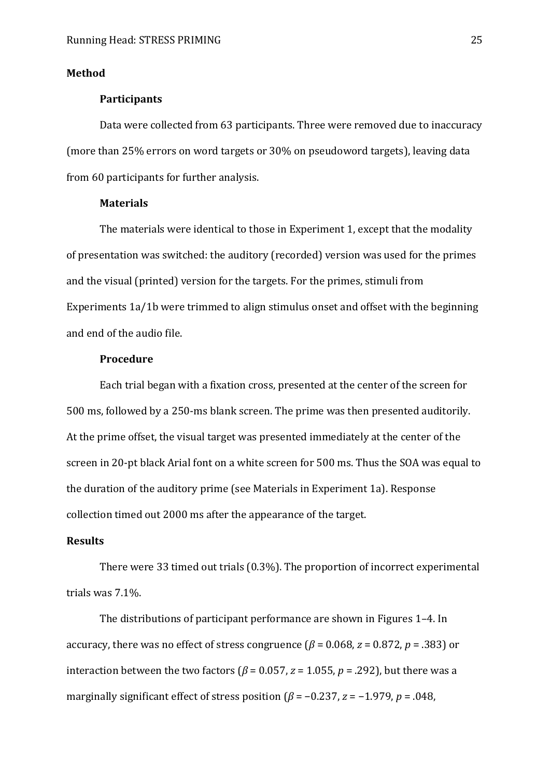#### **Method**

#### **Participants**

Data were collected from 63 participants. Three were removed due to inaccuracy (more than 25% errors on word targets or 30% on pseudoword targets), leaving data from 60 participants for further analysis.

#### **Materials**

The materials were identical to those in Experiment 1, except that the modality of presentation was switched: the auditory (recorded) version was used for the primes and the visual (printed) version for the targets. For the primes, stimuli from Experiments 1a/1b were trimmed to align stimulus onset and offset with the beginning and end of the audio file.

#### **Procedure**

Each trial began with a fixation cross, presented at the center of the screen for 500 ms, followed by a 250-ms blank screen. The prime was then presented auditorily. At the prime offset, the visual target was presented immediately at the center of the screen in 20-pt black Arial font on a white screen for 500 ms. Thus the SOA was equal to the duration of the auditory prime (see Materials in Experiment 1a). Response collection timed out 2000 ms after the appearance of the target.

#### **Results**

There were 33 timed out trials (0.3%). The proportion of incorrect experimental trials was 7.1%.

The distributions of participant performance are shown in Figures 1–4. In accuracy, there was no effect of stress congruence ( $\beta$  = 0.068, *z* = 0.872, *p* = .383) or interaction between the two factors ( $\beta$  = 0.057, *z* = 1.055, *p* = .292), but there was a marginally significant effect of stress position  $(\beta = -0.237, z = -1.979, p = .048,$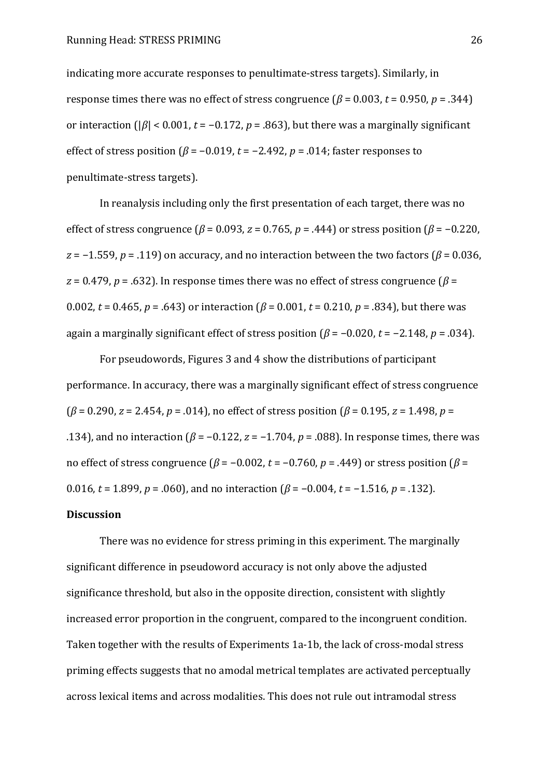indicating more accurate responses to penultimate-stress targets). Similarly, in response times there was no effect of stress congruence  $(\beta = 0.003, t = 0.950, p = .344)$ or interaction ( $|\beta|$  < 0.001,  $t = -0.172$ ,  $p = .863$ ), but there was a marginally significant effect of stress position ( $\beta$  = -0.019, t = -2.492, p = .014; faster responses to penultimate-stress targets).

In reanalysis including only the first presentation of each target, there was no effect of stress congruence  $(\beta = 0.093, z = 0.765, p = .444)$  or stress position  $(\beta = -0.220,$  $z = -1.559$ ,  $p = .119$ ) on accuracy, and no interaction between the two factors ( $\beta = 0.036$ ,  $z = 0.479$ ,  $p = .632$ ). In response times there was no effect of stress congruence ( $\beta =$ 0.002,  $t = 0.465$ ,  $p = .643$ ) or interaction ( $\beta = 0.001$ ,  $t = 0.210$ ,  $p = .834$ ), but there was again a marginally significant effect of stress position  $(\beta = -0.020, t = -2.148, p = .034)$ .

For pseudowords, Figures 3 and 4 show the distributions of participant performance. In accuracy, there was a marginally significant effect of stress congruence  $(\beta = 0.290, z = 2.454, p = .014)$ , no effect of stress position ( $\beta = 0.195, z = 1.498, p =$ .134), and no interaction ( $\beta$  = -0.122,  $z$  = -1.704,  $p$  = .088). In response times, there was no effect of stress congruence  $(\beta = -0.002, t = -0.760, p = .449)$  or stress position  $(\beta =$ 0.016,  $t = 1.899$ ,  $p = .060$ ), and no interaction ( $\beta = -0.004$ ,  $t = -1.516$ ,  $p = .132$ ).

#### **Discussion**

There was no evidence for stress priming in this experiment. The marginally significant difference in pseudoword accuracy is not only above the adjusted significance threshold, but also in the opposite direction, consistent with slightly increased error proportion in the congruent, compared to the incongruent condition. Taken together with the results of Experiments 1a-1b, the lack of cross-modal stress priming effects suggests that no amodal metrical templates are activated perceptually across lexical items and across modalities. This does not rule out intramodal stress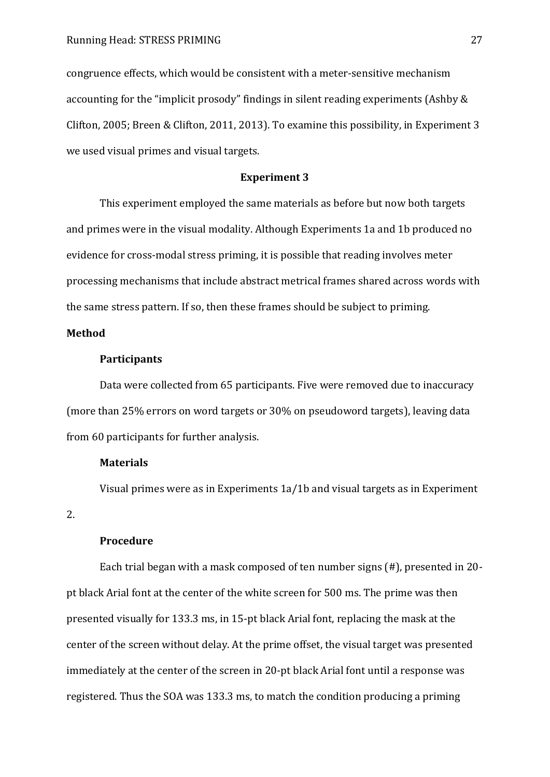congruence effects, which would be consistent with a meter-sensitive mechanism accounting for the "implicit prosody" findings in silent reading experiments (Ashby  $&$ Clifton, 2005; Breen & Clifton, 2011, 2013). To examine this possibility, in Experiment 3 we used visual primes and visual targets.

#### **Experiment 3**

This experiment employed the same materials as before but now both targets and primes were in the visual modality. Although Experiments 1a and 1b produced no evidence for cross-modal stress priming, it is possible that reading involves meter processing mechanisms that include abstract metrical frames shared across words with the same stress pattern. If so, then these frames should be subject to priming.

#### **Method**

#### **Participants**

Data were collected from 65 participants. Five were removed due to inaccuracy (more than 25% errors on word targets or 30% on pseudoword targets), leaving data from 60 participants for further analysis.

#### **Materials**

Visual primes were as in Experiments 1a/1b and visual targets as in Experiment

2.

#### **Procedure**

Each trial began with a mask composed of ten number signs (#), presented in 20 pt black Arial font at the center of the white screen for 500 ms. The prime was then presented visually for 133.3 ms, in 15-pt black Arial font, replacing the mask at the center of the screen without delay. At the prime offset, the visual target was presented immediately at the center of the screen in 20-pt black Arial font until a response was registered. Thus the SOA was 133.3 ms, to match the condition producing a priming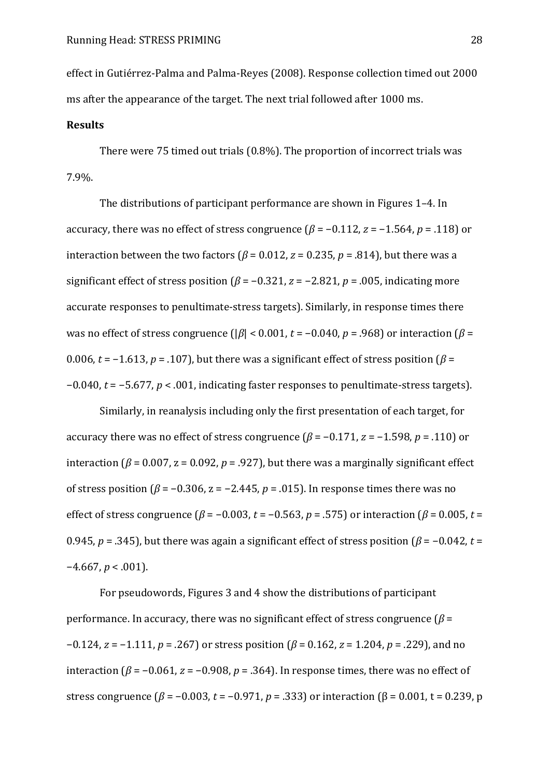effect in Gutiérrez-Palma and Palma-Reyes (2008). Response collection timed out 2000 ms after the appearance of the target. The next trial followed after 1000 ms.

#### **Results**

There were 75 timed out trials (0.8%). The proportion of incorrect trials was 7.9%.

The distributions of participant performance are shown in Figures 1–4. In accuracy, there was no effect of stress congruence  $(\beta = -0.112, z = -1.564, p = .118)$  or interaction between the two factors ( $\beta$  = 0.012,  $z$  = 0.235,  $p$  = .814), but there was a significant effect of stress position ( $\beta$  = -0.321,  $z$  = -2.821,  $p$  = .005, indicating more accurate responses to penultimate-stress targets). Similarly, in response times there was no effect of stress congruence ( $|\beta|$  < 0.001,  $t = -0.040$ ,  $p = .968$ ) or interaction ( $\beta$  = 0.006,  $t = -1.613$ ,  $p = .107$ ), but there was a significant effect of stress position ( $\beta =$  $-0.040$ ,  $t = -5.677$ ,  $p < .001$ , indicating faster responses to penultimate-stress targets).

Similarly, in reanalysis including only the first presentation of each target, for accuracy there was no effect of stress congruence  $(\beta = -0.171, z = -1.598, p = .110)$  or interaction ( $\beta$  = 0.007, z = 0.092, p = .927), but there was a marginally significant effect of stress position ( $\beta$  = -0.306, z = -2.445,  $p$  = .015). In response times there was no effect of stress congruence ( $\beta$  = -0.003, *t* = -0.563, *p* = .575) or interaction ( $\beta$  = 0.005, *t* = 0.945,  $p = 0.345$ , but there was again a significant effect of stress position ( $\beta = -0.042$ ,  $t =$  $-4.667$ ,  $p < .001$ ).

For pseudowords, Figures 3 and 4 show the distributions of participant performance. In accuracy, there was no significant effect of stress congruence  $(\beta =$  $-0.124$ ,  $z = -1.111$ ,  $p = .267$ ) or stress position ( $\beta = 0.162$ ,  $z = 1.204$ ,  $p = .229$ ), and no interaction ( $\beta$  = -0.061,  $z$  = -0.908,  $p$  = .364). In response times, there was no effect of stress congruence ( $\beta = -0.003$ ,  $t = -0.971$ ,  $p = .333$ ) or interaction ( $\beta = 0.001$ ,  $t = 0.239$ , p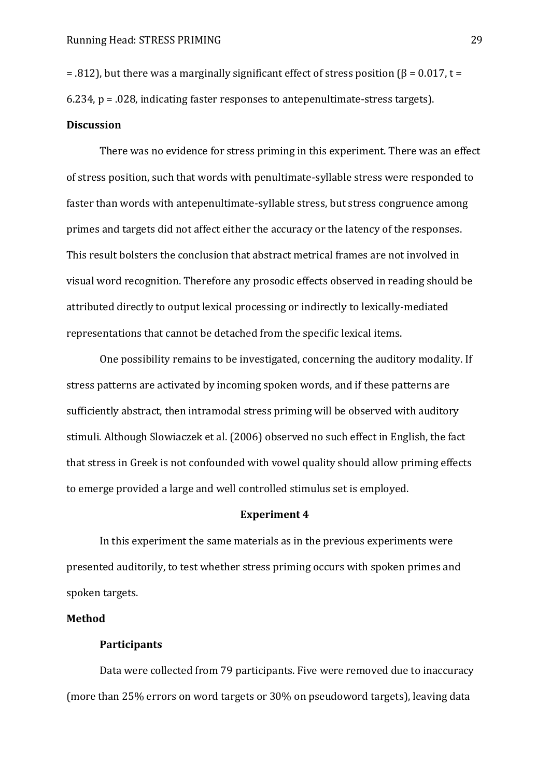$= .812$ ), but there was a marginally significant effect of stress position ( $\beta = 0.017$ , t =

6.234, p = .028, indicating faster responses to antepenultimate-stress targets).

#### **Discussion**

There was no evidence for stress priming in this experiment. There was an effect of stress position, such that words with penultimate-syllable stress were responded to faster than words with antepenultimate-syllable stress, but stress congruence among primes and targets did not affect either the accuracy or the latency of the responses. This result bolsters the conclusion that abstract metrical frames are not involved in visual word recognition. Therefore any prosodic effects observed in reading should be attributed directly to output lexical processing or indirectly to lexically-mediated representations that cannot be detached from the specific lexical items.

One possibility remains to be investigated, concerning the auditory modality. If stress patterns are activated by incoming spoken words, and if these patterns are sufficiently abstract, then intramodal stress priming will be observed with auditory stimuli. Although Slowiaczek et al. (2006) observed no such effect in English, the fact that stress in Greek is not confounded with vowel quality should allow priming effects to emerge provided a large and well controlled stimulus set is employed.

#### **Experiment 4**

In this experiment the same materials as in the previous experiments were presented auditorily, to test whether stress priming occurs with spoken primes and spoken targets.

#### **Method**

#### **Participants**

Data were collected from 79 participants. Five were removed due to inaccuracy (more than 25% errors on word targets or 30% on pseudoword targets), leaving data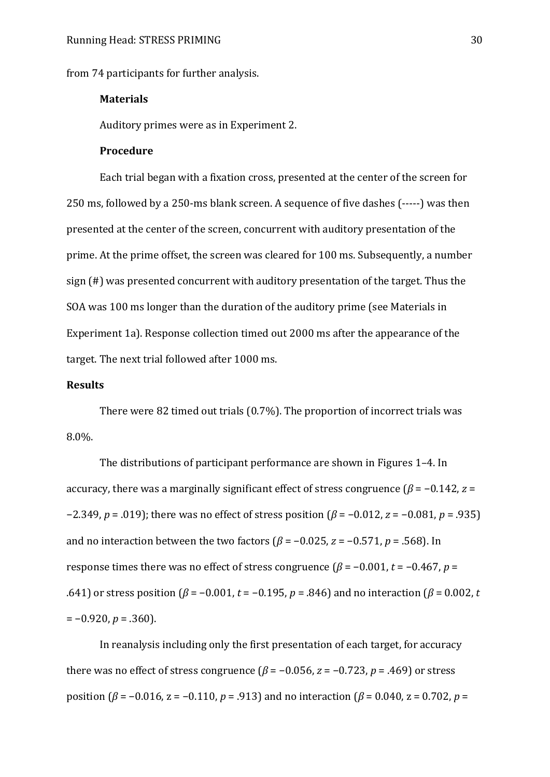from 74 participants for further analysis.

#### **Materials**

Auditory primes were as in Experiment 2.

#### **Procedure**

Each trial began with a fixation cross, presented at the center of the screen for 250 ms, followed by a 250-ms blank screen. A sequence of five dashes (-----) was then presented at the center of the screen, concurrent with auditory presentation of the prime. At the prime offset, the screen was cleared for 100 ms. Subsequently, a number sign (#) was presented concurrent with auditory presentation of the target. Thus the SOA was 100 ms longer than the duration of the auditory prime (see Materials in Experiment 1a). Response collection timed out 2000 ms after the appearance of the target. The next trial followed after 1000 ms.

#### **Results**

There were 82 timed out trials (0.7%). The proportion of incorrect trials was 8.0%.

The distributions of participant performance are shown in Figures 1–4. In accuracy, there was a marginally significant effect of stress congruence ( $\beta$  = -0.142,  $z$  =  $-2.349$ ,  $p = .019$ ; there was no effect of stress position ( $\beta = -0.012$ ,  $z = -0.081$ ,  $p = .935$ ) and no interaction between the two factors ( $\beta$  = -0.025,  $z$  = -0.571,  $p$  = .568). In response times there was no effect of stress congruence  $(\beta = -0.001, t = -0.467, p =$ .641) or stress position ( $\beta = -0.001$ ,  $t = -0.195$ ,  $p = .846$ ) and no interaction ( $\beta = 0.002$ ,  $t = 0.002$  $= -0.920, p = .360$ .

In reanalysis including only the first presentation of each target, for accuracy there was no effect of stress congruence  $(\beta = -0.056, z = -0.723, p = .469)$  or stress position ( $\beta$  = -0.016, z = -0.110, p = .913) and no interaction ( $\beta$  = 0.040, z = 0.702, p =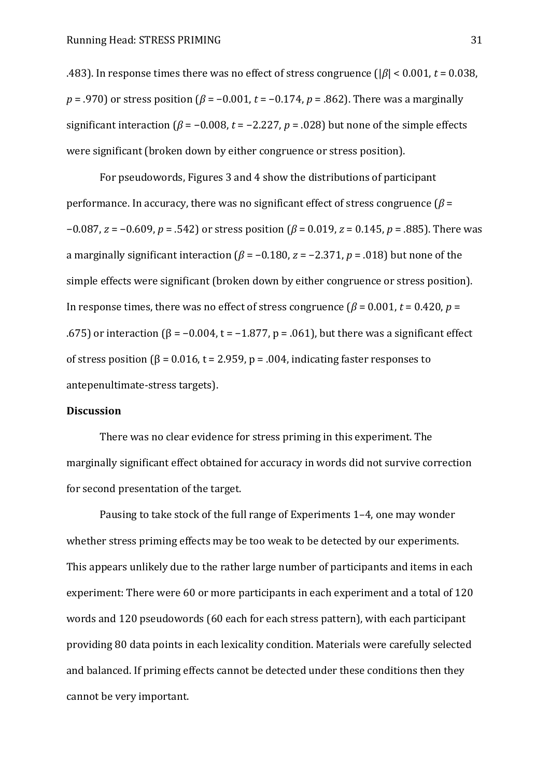.483). In response times there was no effect of stress congruence ( $|\beta|$  < 0.001,  $t$  = 0.038,  $p = .970$ ) or stress position ( $\beta = -0.001$ ,  $t = -0.174$ ,  $p = .862$ ). There was a marginally significant interaction ( $\beta$  = -0.008, t = -2.227, p = .028) but none of the simple effects were significant (broken down by either congruence or stress position).

For pseudowords, Figures 3 and 4 show the distributions of participant performance. In accuracy, there was no significant effect of stress congruence  $(\beta =$  $-0.087$ ,  $z = -0.609$ ,  $p = .542$ ) or stress position ( $\beta = 0.019$ ,  $z = 0.145$ ,  $p = .885$ ). There was a marginally significant interaction ( $\beta$  = -0.180,  $z$  = -2.371,  $p$  = .018) but none of the simple effects were significant (broken down by either congruence or stress position). In response times, there was no effect of stress congruence ( $\beta$  = 0.001, *t* = 0.420, *p* = .675) or interaction  $(\beta = -0.004, t = -1.877, p = .061)$ , but there was a significant effect of stress position  $\beta = 0.016$ , t = 2.959, p = .004, indicating faster responses to antepenultimate-stress targets).

#### **Discussion**

There was no clear evidence for stress priming in this experiment. The marginally significant effect obtained for accuracy in words did not survive correction for second presentation of the target.

Pausing to take stock of the full range of Experiments 1–4, one may wonder whether stress priming effects may be too weak to be detected by our experiments. This appears unlikely due to the rather large number of participants and items in each experiment: There were 60 or more participants in each experiment and a total of 120 words and 120 pseudowords (60 each for each stress pattern), with each participant providing 80 data points in each lexicality condition. Materials were carefully selected and balanced. If priming effects cannot be detected under these conditions then they cannot be very important.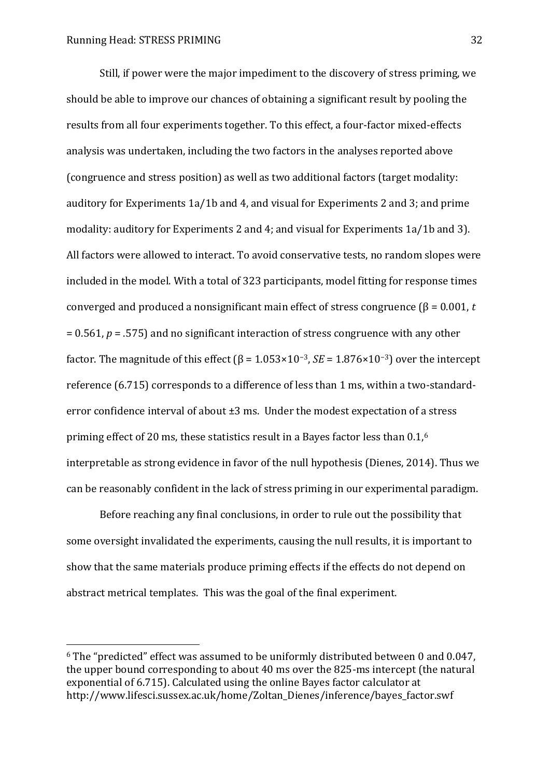$\overline{a}$ 

Still, if power were the major impediment to the discovery of stress priming, we should be able to improve our chances of obtaining a significant result by pooling the results from all four experiments together. To this effect, a four-factor mixed-effects analysis was undertaken, including the two factors in the analyses reported above (congruence and stress position) as well as two additional factors (target modality: auditory for Experiments 1a/1b and 4, and visual for Experiments 2 and 3; and prime modality: auditory for Experiments 2 and 4; and visual for Experiments 1a/1b and 3). All factors were allowed to interact. To avoid conservative tests, no random slopes were included in the model. With a total of 323 participants, model fitting for response times converged and produced a nonsignificant main effect of stress congruence  $(\beta = 0.001, t$ = 0.561, *p* = .575) and no significant interaction of stress congruence with any other factor. The magnitude of this effect ( $\beta$  = 1.053×10<sup>-3</sup>, *SE* = 1.876×10<sup>-3</sup>) over the intercept reference (6.715) corresponds to a difference of less than 1 ms, within a two-standarderror confidence interval of about  $\pm 3$  ms. Under the modest expectation of a stress priming effect of 20 ms, these statistics result in a Bayes factor less than 0.1,<sup>6</sup> interpretable as strong evidence in favor of the null hypothesis (Dienes, 2014). Thus we can be reasonably confident in the lack of stress priming in our experimental paradigm.

Before reaching any final conclusions, in order to rule out the possibility that some oversight invalidated the experiments, causing the null results, it is important to show that the same materials produce priming effects if the effects do not depend on abstract metrical templates. This was the goal of the final experiment.

 $6$  The "predicted" effect was assumed to be uniformly distributed between 0 and 0.047, the upper bound corresponding to about 40 ms over the 825-ms intercept (the natural exponential of 6.715). Calculated using the online Bayes factor calculator at http://www.lifesci.sussex.ac.uk/home/Zoltan\_Dienes/inference/bayes\_factor.swf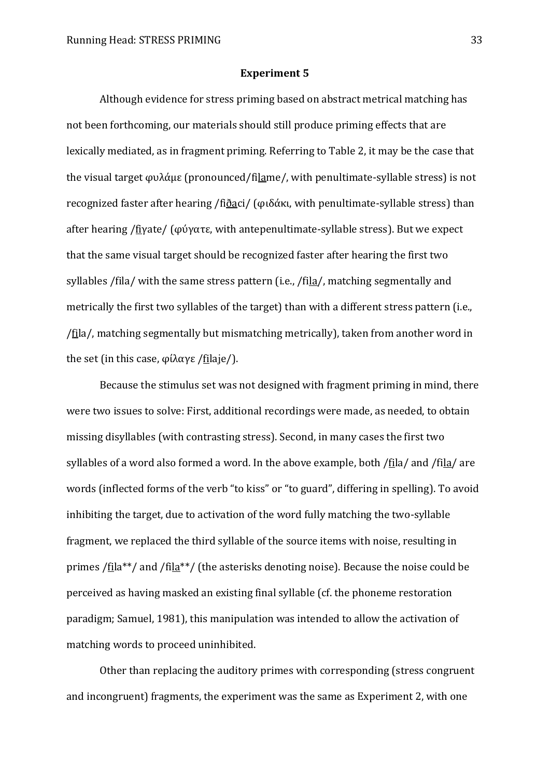#### **Experiment 5**

Although evidence for stress priming based on abstract metrical matching has not been forthcoming, our materials should still produce priming effects that are lexically mediated, as in fragment priming. Referring to Table 2, it may be the case that the visual target φυλάμε (pronounced/filame/, with penultimate-syllable stress) is not recognized faster after hearing /fi $\delta$ aci/ ( $\varphi$ ιδάκι, with penultimate-syllable stress) than after hearing /fiyate/  $(\varphi \psi \gamma \alpha \tau \epsilon, \psi)$  with antepenultimate-syllable stress). But we expect that the same visual target should be recognized faster after hearing the first two syllables /fila/ with the same stress pattern (i.e., /fila/, matching segmentally and metrically the first two syllables of the target) than with a different stress pattern (i.e., /fila/, matching segmentally but mismatching metrically), taken from another word in the set (in this case,  $\varphi(\lambda \alpha \gamma \epsilon / \text{file} / \epsilon)$ .

Because the stimulus set was not designed with fragment priming in mind, there were two issues to solve: First, additional recordings were made, as needed, to obtain missing disyllables (with contrasting stress). Second, in many cases the first two syllables of a word also formed a word. In the above example, both /fila/ and /fila/ are words (inflected forms of the verb "to kiss" or "to guard", differing in spelling). To avoid inhibiting the target, due to activation of the word fully matching the two-syllable fragment, we replaced the third syllable of the source items with noise, resulting in primes /fila\*\*/ and /fila\*\*/ (the asterisks denoting noise). Because the noise could be perceived as having masked an existing final syllable (cf. the phoneme restoration paradigm; Samuel, 1981), this manipulation was intended to allow the activation of matching words to proceed uninhibited.

Other than replacing the auditory primes with corresponding (stress congruent and incongruent) fragments, the experiment was the same as Experiment 2, with one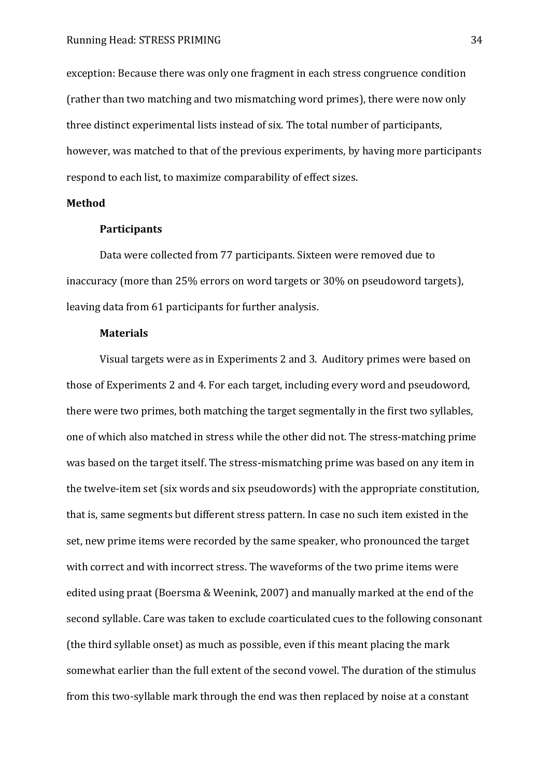exception: Because there was only one fragment in each stress congruence condition (rather than two matching and two mismatching word primes), there were now only three distinct experimental lists instead of six. The total number of participants, however, was matched to that of the previous experiments, by having more participants respond to each list, to maximize comparability of effect sizes.

#### **Method**

#### **Participants**

Data were collected from 77 participants. Sixteen were removed due to inaccuracy (more than 25% errors on word targets or 30% on pseudoword targets), leaving data from 61 participants for further analysis.

#### **Materials**

Visual targets were as in Experiments 2 and 3. Auditory primes were based on those of Experiments 2 and 4. For each target, including every word and pseudoword, there were two primes, both matching the target segmentally in the first two syllables, one of which also matched in stress while the other did not. The stress-matching prime was based on the target itself. The stress-mismatching prime was based on any item in the twelve-item set (six words and six pseudowords) with the appropriate constitution, that is, same segments but different stress pattern. In case no such item existed in the set, new prime items were recorded by the same speaker, who pronounced the target with correct and with incorrect stress. The waveforms of the two prime items were edited using praat (Boersma & Weenink, 2007) and manually marked at the end of the second syllable. Care was taken to exclude coarticulated cues to the following consonant (the third syllable onset) as much as possible, even if this meant placing the mark somewhat earlier than the full extent of the second vowel. The duration of the stimulus from this two-syllable mark through the end was then replaced by noise at a constant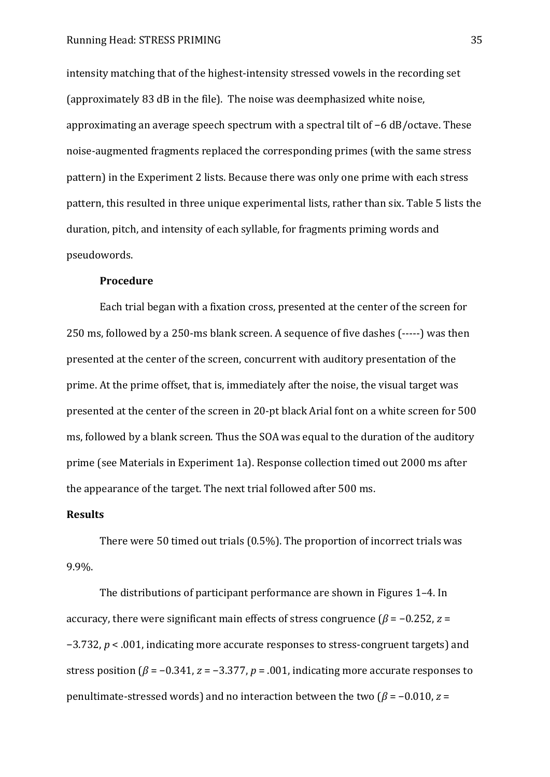intensity matching that of the highest-intensity stressed vowels in the recording set (approximately 83 dB in the file). The noise was deemphasized white noise, approximating an average speech spectrum with a spectral tilt of  $-6$  dB/octave. These noise-augmented fragments replaced the corresponding primes (with the same stress pattern) in the Experiment 2 lists. Because there was only one prime with each stress pattern, this resulted in three unique experimental lists, rather than six. Table 5 lists the duration, pitch, and intensity of each syllable, for fragments priming words and pseudowords.

#### **Procedure**

Each trial began with a fixation cross, presented at the center of the screen for 250 ms, followed by a 250-ms blank screen. A sequence of five dashes (-----) was then presented at the center of the screen, concurrent with auditory presentation of the prime. At the prime offset, that is, immediately after the noise, the visual target was presented at the center of the screen in 20-pt black Arial font on a white screen for 500 ms, followed by a blank screen. Thus the SOA was equal to the duration of the auditory prime (see Materials in Experiment 1a). Response collection timed out 2000 ms after the appearance of the target. The next trial followed after 500 ms.

#### **Results**

There were 50 timed out trials (0.5%). The proportion of incorrect trials was 9.9%.

The distributions of participant performance are shown in Figures 1–4. In accuracy, there were significant main effects of stress congruence ( $\beta$  = -0.252, *z* =  $-3.732$ ,  $p < .001$ , indicating more accurate responses to stress-congruent targets) and stress position ( $\beta$  = -0.341,  $z$  = -3.377,  $p$  = .001, indicating more accurate responses to penultimate-stressed words) and no interaction between the two  $(\beta = -0.010, z =$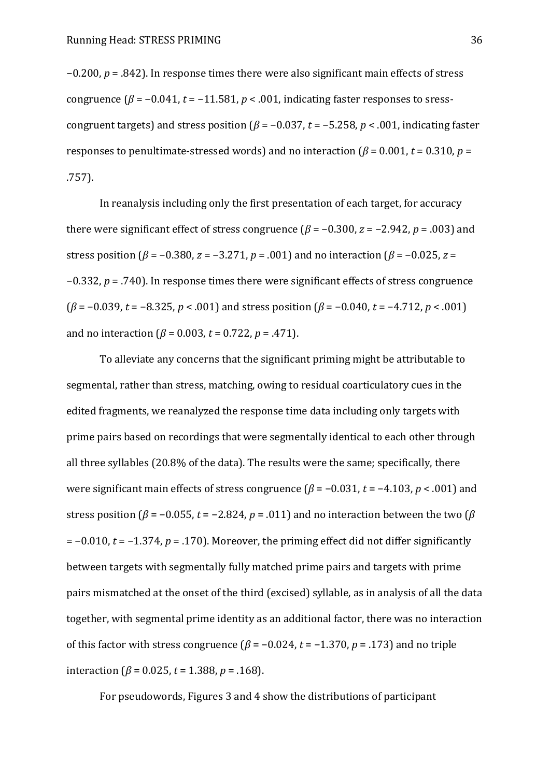$-0.200$ ,  $p = .842$ ). In response times there were also significant main effects of stress congruence  $(\beta = -0.041, t = -11.581, p < .001$ , indicating faster responses to sresscongruent targets) and stress position ( $\beta$  = -0.037, t = -5.258, p < .001, indicating faster responses to penultimate-stressed words) and no interaction  $\beta = 0.001$ ,  $t = 0.310$ ,  $p =$ .757).

In reanalysis including only the first presentation of each target, for accuracy there were significant effect of stress congruence  $(\beta = -0.300, z = -2.942, p = .003)$  and stress position ( $\beta$  = -0.380,  $z$  = -3.271,  $p$  = .001) and no interaction ( $\beta$  = -0.025,  $z$  =  $-0.332$ ,  $p = .740$ ). In response times there were significant effects of stress congruence  $(\beta = -0.039, t = -8.325, p < .001)$  and stress position  $(\beta = -0.040, t = -4.712, p < .001)$ and no interaction  $(\beta = 0.003, t = 0.722, p = .471)$ .

To alleviate any concerns that the significant priming might be attributable to segmental, rather than stress, matching, owing to residual coarticulatory cues in the edited fragments, we reanalyzed the response time data including only targets with prime pairs based on recordings that were segmentally identical to each other through all three syllables (20.8% of the data). The results were the same; specifically, there were significant main effects of stress congruence  $(\beta = -0.031, t = -4.103, p < .001)$  and stress position ( $\beta$  = -0.055, *t* = -2.824, *p* = .011) and no interaction between the two ( $\beta$ )  $= -0.010$ ,  $t = -1.374$ ,  $p = .170$ ). Moreover, the priming effect did not differ significantly between targets with segmentally fully matched prime pairs and targets with prime pairs mismatched at the onset of the third (excised) syllable, as in analysis of all the data together, with segmental prime identity as an additional factor, there was no interaction of this factor with stress congruence  $(\beta = -0.024, t = -1.370, p = .173)$  and no triple interaction ( $\beta$  = 0.025, *t* = 1.388, *p* = .168).

For pseudowords, Figures 3 and 4 show the distributions of participant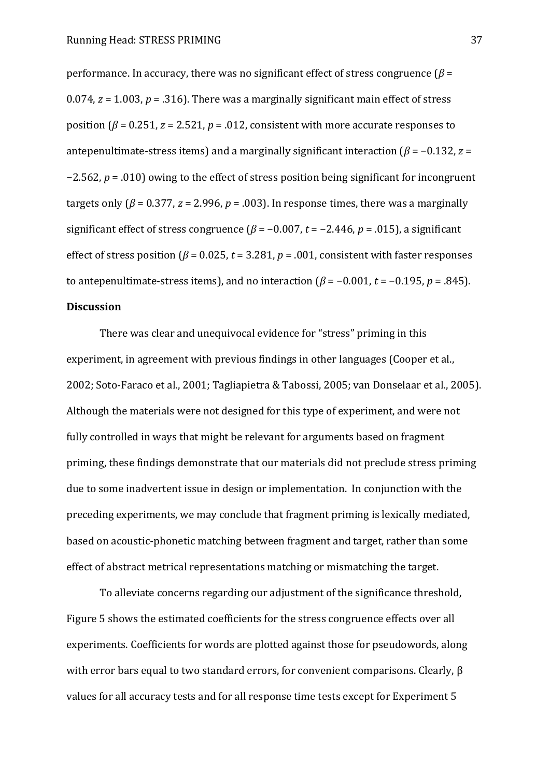performance. In accuracy, there was no significant effect of stress congruence  $(\beta =$ 0.074,  $z = 1.003$ ,  $p = 0.316$ . There was a marginally significant main effect of stress position ( $\beta$  = 0.251,  $z$  = 2.521,  $p$  = .012, consistent with more accurate responses to antepenultimate-stress items) and a marginally significant interaction  $\beta = -0.132$ ,  $z =$  $-2.562$ ,  $p = .010$ ) owing to the effect of stress position being significant for incongruent targets only ( $\beta$  = 0.377, *z* = 2.996, *p* = .003). In response times, there was a marginally significant effect of stress congruence ( $\beta$  = -0.007, t = -2.446, p = .015), a significant effect of stress position ( $\beta$  = 0.025,  $t$  = 3.281,  $p$  = .001, consistent with faster responses to antepenultimate-stress items), and no interaction  $(\beta = -0.001, t = -0.195, p = .845)$ . **Discussion** 

There was clear and unequivocal evidence for "stress" priming in this experiment, in agreement with previous findings in other languages (Cooper et al., 2002; Soto-Faraco et al., 2001; Tagliapietra & Tabossi, 2005; van Donselaar et al., 2005). Although the materials were not designed for this type of experiment, and were not fully controlled in ways that might be relevant for arguments based on fragment priming, these findings demonstrate that our materials did not preclude stress priming due to some inadvertent issue in design or implementation. In conjunction with the preceding experiments, we may conclude that fragment priming is lexically mediated, based on acoustic-phonetic matching between fragment and target, rather than some effect of abstract metrical representations matching or mismatching the target.

To alleviate concerns regarding our adjustment of the significance threshold, Figure 5 shows the estimated coefficients for the stress congruence effects over all experiments. Coefficients for words are plotted against those for pseudowords, along with error bars equal to two standard errors, for convenient comparisons. Clearly,  $\beta$ values for all accuracy tests and for all response time tests except for Experiment 5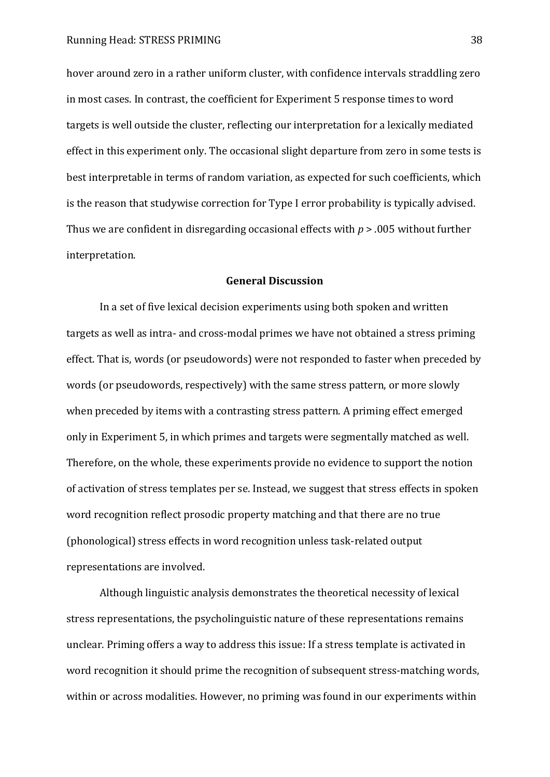hover around zero in a rather uniform cluster, with confidence intervals straddling zero in most cases. In contrast, the coefficient for Experiment 5 response times to word targets is well outside the cluster, reflecting our interpretation for a lexically mediated effect in this experiment only. The occasional slight departure from zero in some tests is best interpretable in terms of random variation, as expected for such coefficients, which is the reason that studywise correction for Type I error probability is typically advised. Thus we are confident in disregarding occasional effects with *p* > .005 without further interpretation.

## **General Discussion**

In a set of five lexical decision experiments using both spoken and written targets as well as intra- and cross-modal primes we have not obtained a stress priming effect. That is, words (or pseudowords) were not responded to faster when preceded by words (or pseudowords, respectively) with the same stress pattern, or more slowly when preceded by items with a contrasting stress pattern. A priming effect emerged only in Experiment 5, in which primes and targets were segmentally matched as well. Therefore, on the whole, these experiments provide no evidence to support the notion of activation of stress templates per se. Instead, we suggest that stress effects in spoken word recognition reflect prosodic property matching and that there are no true (phonological) stress effects in word recognition unless task-related output representations are involved.

Although linguistic analysis demonstrates the theoretical necessity of lexical stress representations, the psycholinguistic nature of these representations remains unclear. Priming offers a way to address this issue: If a stress template is activated in word recognition it should prime the recognition of subsequent stress-matching words, within or across modalities. However, no priming was found in our experiments within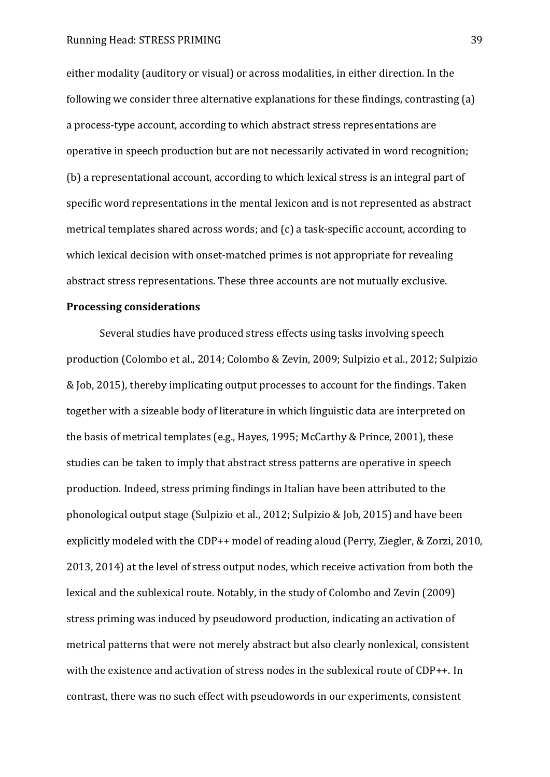either modality (auditory or visual) or across modalities, in either direction. In the following we consider three alternative explanations for these findings, contrasting (a) a process-type account, according to which abstract stress representations are operative in speech production but are not necessarily activated in word recognition; (b) a representational account, according to which lexical stress is an integral part of specific word representations in the mental lexicon and is not represented as abstract metrical templates shared across words; and (c) a task-specific account, according to which lexical decision with onset-matched primes is not appropriate for revealing abstract stress representations. These three accounts are not mutually exclusive.

#### **Processing considerations**

Several studies have produced stress effects using tasks involving speech production (Colombo et al., 2014; Colombo & Zevin, 2009; Sulpizio et al., 2012; Sulpizio & Job, 2015), thereby implicating output processes to account for the findings. Taken together with a sizeable body of literature in which linguistic data are interpreted on the basis of metrical templates (e.g., Hayes, 1995; McCarthy & Prince, 2001), these studies can be taken to imply that abstract stress patterns are operative in speech production. Indeed, stress priming findings in Italian have been attributed to the phonological output stage (Sulpizio et al., 2012; Sulpizio & Job, 2015) and have been explicitly modeled with the CDP++ model of reading aloud (Perry, Ziegler, & Zorzi, 2010, 2013, 2014) at the level of stress output nodes, which receive activation from both the lexical and the sublexical route. Notably, in the study of Colombo and Zevin (2009) stress priming was induced by pseudoword production, indicating an activation of metrical patterns that were not merely abstract but also clearly nonlexical, consistent with the existence and activation of stress nodes in the sublexical route of CDP++. In contrast, there was no such effect with pseudowords in our experiments, consistent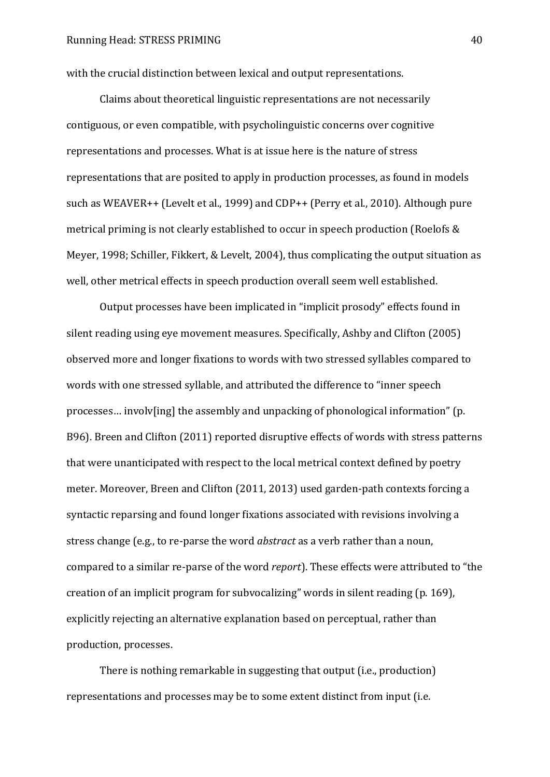with the crucial distinction between lexical and output representations.

Claims about theoretical linguistic representations are not necessarily contiguous, or even compatible, with psycholinguistic concerns over cognitive representations and processes. What is at issue here is the nature of stress representations that are posited to apply in production processes, as found in models such as WEAVER++ (Levelt et al., 1999) and CDP++ (Perry et al., 2010). Although pure metrical priming is not clearly established to occur in speech production (Roelofs & Meyer, 1998; Schiller, Fikkert, & Levelt, 2004), thus complicating the output situation as well, other metrical effects in speech production overall seem well established.

Output processes have been implicated in "implicit prosody" effects found in silent reading using eye movement measures. Specifically, Ashby and Clifton (2005) observed more and longer fixations to words with two stressed syllables compared to words with one stressed syllable, and attributed the difference to "inner speech processes... involv[ing] the assembly and unpacking of phonological information" (p. B96). Breen and Clifton (2011) reported disruptive effects of words with stress patterns that were unanticipated with respect to the local metrical context defined by poetry meter. Moreover, Breen and Clifton (2011, 2013) used garden-path contexts forcing a syntactic reparsing and found longer fixations associated with revisions involving a stress change (e.g., to re-parse the word *abstract* as a verb rather than a noun, compared to a similar re-parse of the word *report*). These effects were attributed to "the creation of an implicit program for subvocalizing" words in silent reading  $(p. 169)$ , explicitly rejecting an alternative explanation based on perceptual, rather than production, processes.

There is nothing remarkable in suggesting that output (i.e., production) representations and processes may be to some extent distinct from input (i.e.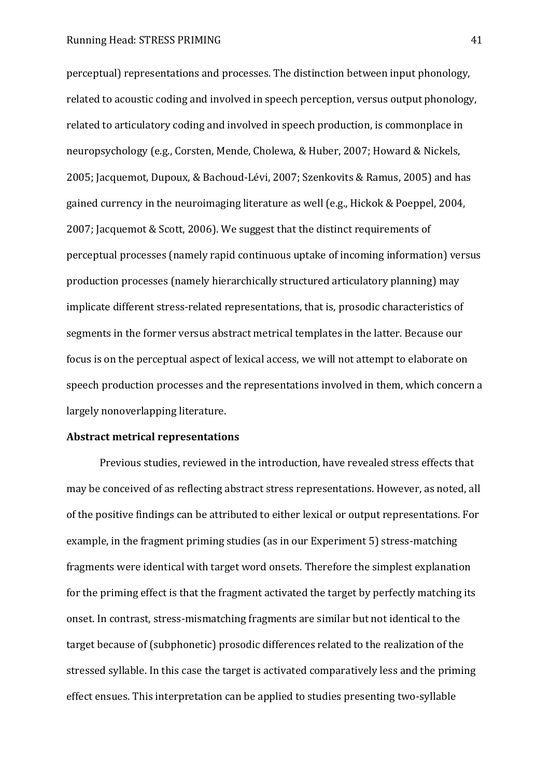perceptual) representations and processes. The distinction between input phonology, related to acoustic coding and involved in speech perception, versus output phonology, related to articulatory coding and involved in speech production, is commonplace in neuropsychology (e.g., Corsten, Mende, Cholewa, & Huber, 2007; Howard & Nickels, 2005; Jacquemot, Dupoux, & Bachoud-Lévi, 2007; Szenkovits & Ramus, 2005) and has gained currency in the neuroimaging literature as well (e.g., Hickok & Poeppel, 2004, 2007; Jacquemot & Scott, 2006). We suggest that the distinct requirements of perceptual processes (namely rapid continuous uptake of incoming information) versus production processes (namely hierarchically structured articulatory planning) may implicate different stress-related representations, that is, prosodic characteristics of segments in the former versus abstract metrical templates in the latter. Because our focus is on the perceptual aspect of lexical access, we will not attempt to elaborate on speech production processes and the representations involved in them, which concern a largely nonoverlapping literature.

#### **Abstract metrical representations**

Previous studies, reviewed in the introduction, have revealed stress effects that may be conceived of as reflecting abstract stress representations. However, as noted, all of the positive findings can be attributed to either lexical or output representations. For example, in the fragment priming studies (as in our Experiment 5) stress-matching fragments were identical with target word onsets. Therefore the simplest explanation for the priming effect is that the fragment activated the target by perfectly matching its onset. In contrast, stress-mismatching fragments are similar but not identical to the target because of (subphonetic) prosodic differences related to the realization of the stressed syllable. In this case the target is activated comparatively less and the priming effect ensues. This interpretation can be applied to studies presenting two-syllable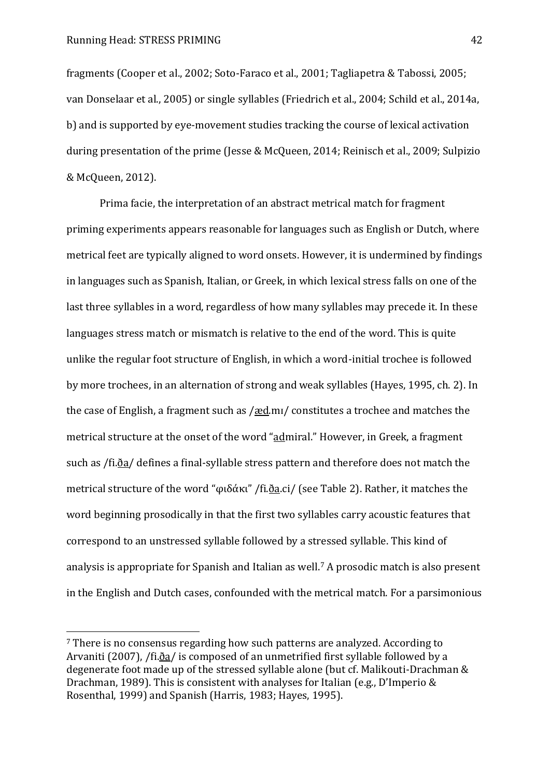$\overline{a}$ 

fragments (Cooper et al., 2002; Soto-Faraco et al., 2001; Tagliapetra & Tabossi, 2005; van Donselaar et al., 2005) or single syllables (Friedrich et al., 2004; Schild et al., 2014a, b) and is supported by eye-movement studies tracking the course of lexical activation during presentation of the prime (Jesse & McQueen, 2014; Reinisch et al., 2009; Sulpizio & McQueen, 2012).

Prima facie, the interpretation of an abstract metrical match for fragment priming experiments appears reasonable for languages such as English or Dutch, where metrical feet are typically aligned to word onsets. However, it is undermined by findings in languages such as Spanish, Italian, or Greek, in which lexical stress falls on one of the last three syllables in a word, regardless of how many syllables may precede it. In these languages stress match or mismatch is relative to the end of the word. This is quite unlike the regular foot structure of English, in which a word-initial trochee is followed by more trochees, in an alternation of strong and weak syllables (Hayes, 1995, ch. 2). In the case of English, a fragment such as  $/æd.m/$  constitutes a trochee and matches the metrical structure at the onset of the word "admiral." However, in Greek, a fragment such as /fi. $\delta a$ / defines a final-syllable stress pattern and therefore does not match the metrical structure of the word "φιδάκι" /fi.<u>ða</u>.ci/ (see Table 2). Rather, it matches the word beginning prosodically in that the first two syllables carry acoustic features that correspond to an unstressed syllable followed by a stressed syllable. This kind of analysis is appropriate for Spanish and Italian as well.<sup>7</sup> A prosodic match is also present in the English and Dutch cases, confounded with the metrical match. For a parsimonious

<sup>7</sup> There is no consensus regarding how such patterns are analyzed. According to Arvaniti (2007), /fi.d̃a/ is composed of an unmetrified first syllable followed by a degenerate foot made up of the stressed syllable alone (but cf. Malikouti-Drachman & Drachman, 1989). This is consistent with analyses for Italian (e.g., D'Imperio & Rosenthal, 1999) and Spanish (Harris, 1983; Hayes, 1995).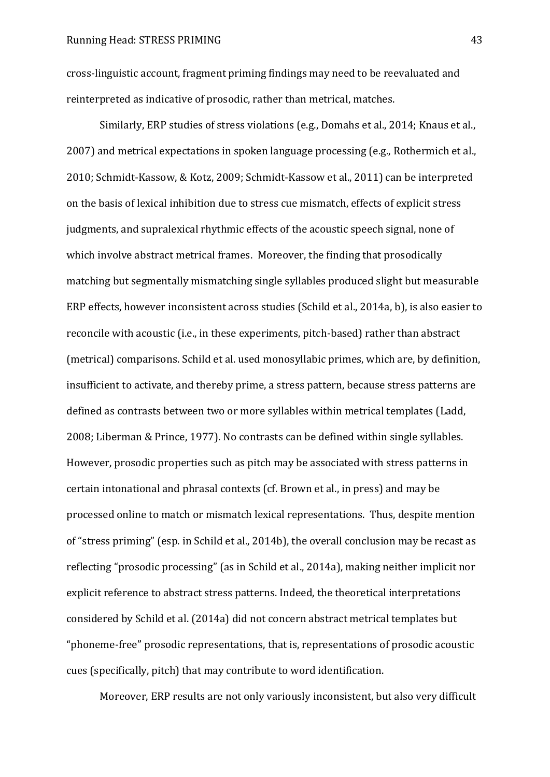cross-linguistic account, fragment priming findings may need to be reevaluated and reinterpreted as indicative of prosodic, rather than metrical, matches.

Similarly, ERP studies of stress violations (e.g., Domahs et al., 2014; Knaus et al., 2007) and metrical expectations in spoken language processing (e.g., Rothermich et al., 2010; Schmidt-Kassow, & Kotz, 2009; Schmidt-Kassow et al., 2011) can be interpreted on the basis of lexical inhibition due to stress cue mismatch, effects of explicit stress judgments, and supralexical rhythmic effects of the acoustic speech signal, none of which involve abstract metrical frames. Moreover, the finding that prosodically matching but segmentally mismatching single syllables produced slight but measurable ERP effects, however inconsistent across studies (Schild et al., 2014a, b), is also easier to reconcile with acoustic (i.e., in these experiments, pitch-based) rather than abstract (metrical) comparisons. Schild et al. used monosyllabic primes, which are, by definition, insufficient to activate, and thereby prime, a stress pattern, because stress patterns are defined as contrasts between two or more syllables within metrical templates (Ladd, 2008; Liberman & Prince, 1977). No contrasts can be defined within single syllables. However, prosodic properties such as pitch may be associated with stress patterns in certain intonational and phrasal contexts (cf. Brown et al., in press) and may be processed online to match or mismatch lexical representations. Thus, despite mention of "stress priming" (esp. in Schild et al., 2014b), the overall conclusion may be recast as reflecting "prosodic processing" (as in Schild et al., 2014a), making neither implicit nor explicit reference to abstract stress patterns. Indeed, the theoretical interpretations considered by Schild et al. (2014a) did not concern abstract metrical templates but "phoneme-free" prosodic representations, that is, representations of prosodic acoustic cues (specifically, pitch) that may contribute to word identification.

Moreover, ERP results are not only variously inconsistent, but also very difficult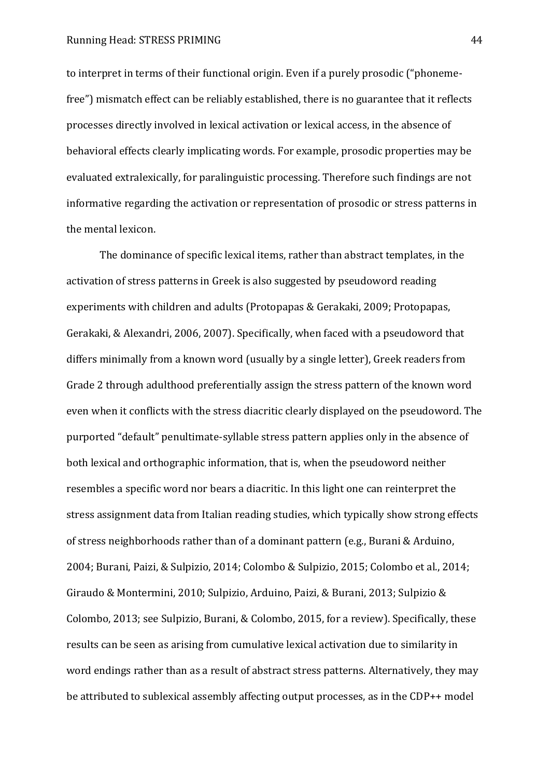to interpret in terms of their functional origin. Even if a purely prosodic ("phonemefree") mismatch effect can be reliably established, there is no guarantee that it reflects processes directly involved in lexical activation or lexical access, in the absence of behavioral effects clearly implicating words. For example, prosodic properties may be evaluated extralexically, for paralinguistic processing. Therefore such findings are not informative regarding the activation or representation of prosodic or stress patterns in the mental lexicon.

The dominance of specific lexical items, rather than abstract templates, in the activation of stress patterns in Greek is also suggested by pseudoword reading experiments with children and adults (Protopapas & Gerakaki, 2009; Protopapas, Gerakaki, & Alexandri, 2006, 2007). Specifically, when faced with a pseudoword that differs minimally from a known word (usually by a single letter), Greek readers from Grade 2 through adulthood preferentially assign the stress pattern of the known word even when it conflicts with the stress diacritic clearly displayed on the pseudoword. The purported "default" penultimate-syllable stress pattern applies only in the absence of both lexical and orthographic information, that is, when the pseudoword neither resembles a specific word nor bears a diacritic. In this light one can reinterpret the stress assignment data from Italian reading studies, which typically show strong effects of stress neighborhoods rather than of a dominant pattern (e.g., Burani & Arduino, 2004; Burani, Paizi, & Sulpizio, 2014; Colombo & Sulpizio, 2015; Colombo et al., 2014; Giraudo & Montermini, 2010; Sulpizio, Arduino, Paizi, & Burani, 2013; Sulpizio & Colombo, 2013; see Sulpizio, Burani, & Colombo, 2015, for a review). Specifically, these results can be seen as arising from cumulative lexical activation due to similarity in word endings rather than as a result of abstract stress patterns. Alternatively, they may be attributed to sublexical assembly affecting output processes, as in the CDP++ model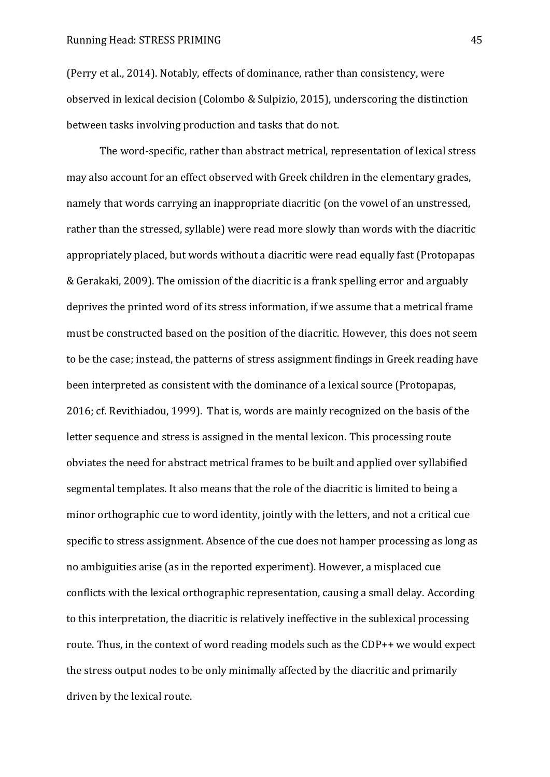(Perry et al., 2014). Notably, effects of dominance, rather than consistency, were observed in lexical decision (Colombo & Sulpizio, 2015), underscoring the distinction between tasks involving production and tasks that do not.

The word-specific, rather than abstract metrical, representation of lexical stress may also account for an effect observed with Greek children in the elementary grades, namely that words carrying an inappropriate diacritic (on the vowel of an unstressed, rather than the stressed, syllable) were read more slowly than words with the diacritic appropriately placed, but words without a diacritic were read equally fast (Protopapas & Gerakaki, 2009). The omission of the diacritic is a frank spelling error and arguably deprives the printed word of its stress information, if we assume that a metrical frame must be constructed based on the position of the diacritic. However, this does not seem to be the case; instead, the patterns of stress assignment findings in Greek reading have been interpreted as consistent with the dominance of a lexical source (Protopapas, 2016; cf. Revithiadou, 1999). That is, words are mainly recognized on the basis of the letter sequence and stress is assigned in the mental lexicon. This processing route obviates the need for abstract metrical frames to be built and applied over syllabified segmental templates. It also means that the role of the diacritic is limited to being a minor orthographic cue to word identity, jointly with the letters, and not a critical cue specific to stress assignment. Absence of the cue does not hamper processing as long as no ambiguities arise (as in the reported experiment). However, a misplaced cue conflicts with the lexical orthographic representation, causing a small delay. According to this interpretation, the diacritic is relatively ineffective in the sublexical processing route. Thus, in the context of word reading models such as the CDP++ we would expect the stress output nodes to be only minimally affected by the diacritic and primarily driven by the lexical route.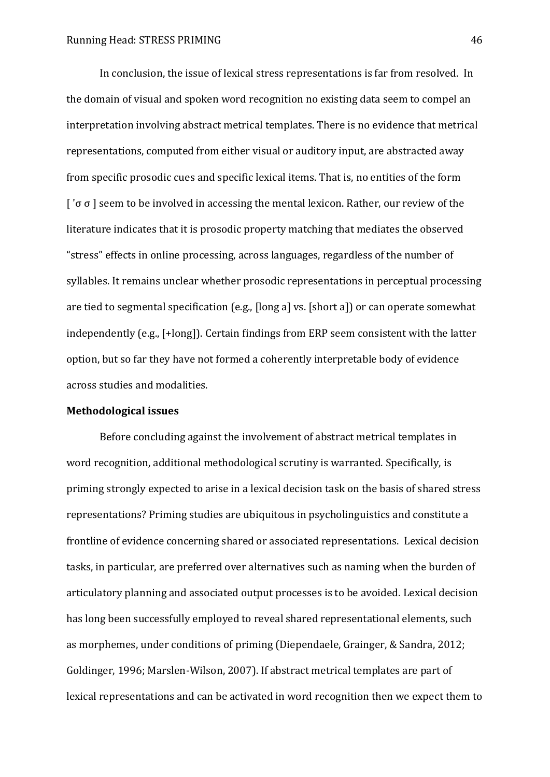In conclusion, the issue of lexical stress representations is far from resolved. In the domain of visual and spoken word recognition no existing data seem to compel an interpretation involving abstract metrical templates. There is no evidence that metrical representations, computed from either visual or auditory input, are abstracted away from specific prosodic cues and specific lexical items. That is, no entities of the form  $\lceil$  ' $\sigma$   $\sigma$   $\rceil$  seem to be involved in accessing the mental lexicon. Rather, our review of the literature indicates that it is prosodic property matching that mediates the observed "stress" effects in online processing, across languages, regardless of the number of syllables. It remains unclear whether prosodic representations in perceptual processing are tied to segmental specification (e.g., [long a] vs. [short a]) or can operate somewhat independently (e.g., [+long]). Certain findings from ERP seem consistent with the latter option, but so far they have not formed a coherently interpretable body of evidence across studies and modalities.

## **Methodological issues**

Before concluding against the involvement of abstract metrical templates in word recognition, additional methodological scrutiny is warranted. Specifically, is priming strongly expected to arise in a lexical decision task on the basis of shared stress representations? Priming studies are ubiquitous in psycholinguistics and constitute a frontline of evidence concerning shared or associated representations. Lexical decision tasks, in particular, are preferred over alternatives such as naming when the burden of articulatory planning and associated output processes is to be avoided. Lexical decision has long been successfully employed to reveal shared representational elements, such as morphemes, under conditions of priming (Diependaele, Grainger, & Sandra, 2012; Goldinger, 1996; Marslen-Wilson, 2007). If abstract metrical templates are part of lexical representations and can be activated in word recognition then we expect them to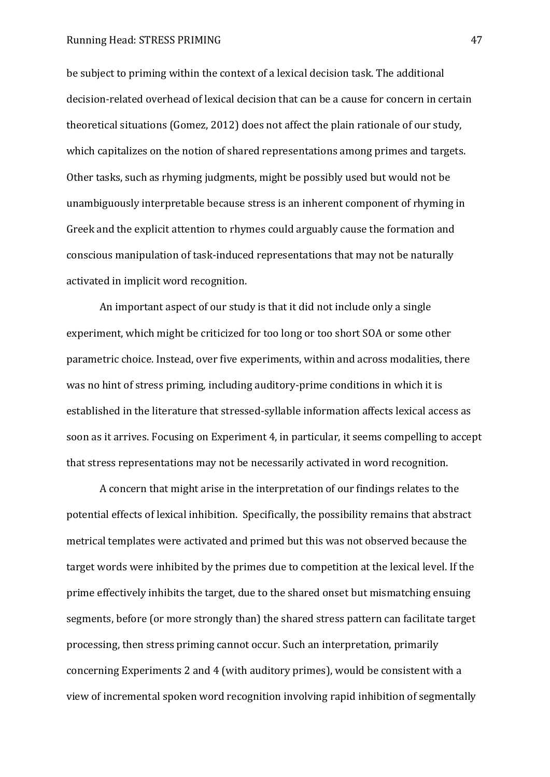be subject to priming within the context of a lexical decision task. The additional decision-related overhead of lexical decision that can be a cause for concern in certain theoretical situations (Gomez, 2012) does not affect the plain rationale of our study, which capitalizes on the notion of shared representations among primes and targets. Other tasks, such as rhyming judgments, might be possibly used but would not be unambiguously interpretable because stress is an inherent component of rhyming in Greek and the explicit attention to rhymes could arguably cause the formation and conscious manipulation of task-induced representations that may not be naturally activated in implicit word recognition.

An important aspect of our study is that it did not include only a single experiment, which might be criticized for too long or too short SOA or some other parametric choice. Instead, over five experiments, within and across modalities, there was no hint of stress priming, including auditory-prime conditions in which it is established in the literature that stressed-syllable information affects lexical access as soon as it arrives. Focusing on Experiment 4, in particular, it seems compelling to accept that stress representations may not be necessarily activated in word recognition.

A concern that might arise in the interpretation of our findings relates to the potential effects of lexical inhibition. Specifically, the possibility remains that abstract metrical templates were activated and primed but this was not observed because the target words were inhibited by the primes due to competition at the lexical level. If the prime effectively inhibits the target, due to the shared onset but mismatching ensuing segments, before (or more strongly than) the shared stress pattern can facilitate target processing, then stress priming cannot occur. Such an interpretation, primarily concerning Experiments 2 and 4 (with auditory primes), would be consistent with a view of incremental spoken word recognition involving rapid inhibition of segmentally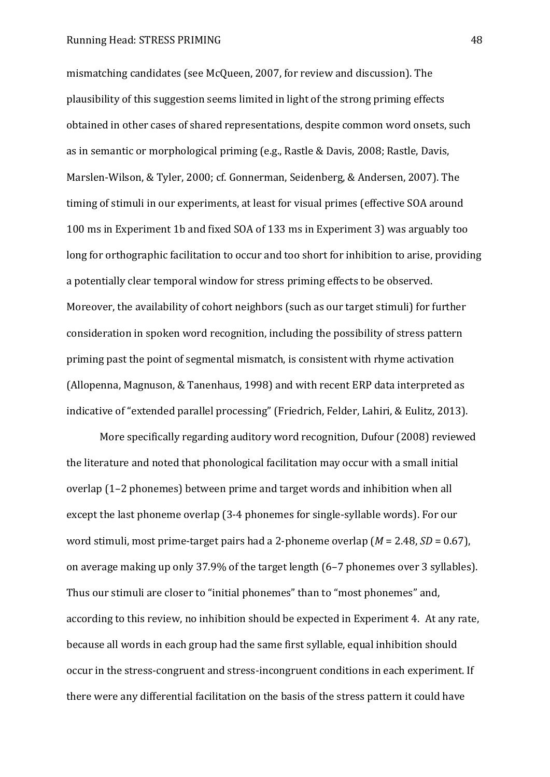mismatching candidates (see McQueen, 2007, for review and discussion). The plausibility of this suggestion seems limited in light of the strong priming effects obtained in other cases of shared representations, despite common word onsets, such as in semantic or morphological priming (e.g., Rastle & Davis, 2008; Rastle, Davis, Marslen-Wilson, & Tyler, 2000; cf. Gonnerman, Seidenberg, & Andersen, 2007). The timing of stimuli in our experiments, at least for visual primes (effective SOA around 100 ms in Experiment 1b and fixed SOA of 133 ms in Experiment 3) was arguably too long for orthographic facilitation to occur and too short for inhibition to arise, providing a potentially clear temporal window for stress priming effects to be observed. Moreover, the availability of cohort neighbors (such as our target stimuli) for further consideration in spoken word recognition, including the possibility of stress pattern priming past the point of segmental mismatch, is consistent with rhyme activation (Allopenna, Magnuson, & Tanenhaus, 1998) and with recent ERP data interpreted as indicative of "extended parallel processing" (Friedrich, Felder, Lahiri, & Eulitz, 2013).

More specifically regarding auditory word recognition, Dufour (2008) reviewed the literature and noted that phonological facilitation may occur with a small initial overlap (1‒2 phonemes) between prime and target words and inhibition when all except the last phoneme overlap (3-4 phonemes for single-syllable words). For our word stimuli, most prime-target pairs had a 2-phoneme overlap (*M* = 2.48, *SD* = 0.67), on average making up only 37.9% of the target length (6‒7 phonemes over 3 syllables). Thus our stimuli are closer to "initial phonemes" than to "most phonemes" and, according to this review, no inhibition should be expected in Experiment 4. At any rate, because all words in each group had the same first syllable, equal inhibition should occur in the stress-congruent and stress-incongruent conditions in each experiment. If there were any differential facilitation on the basis of the stress pattern it could have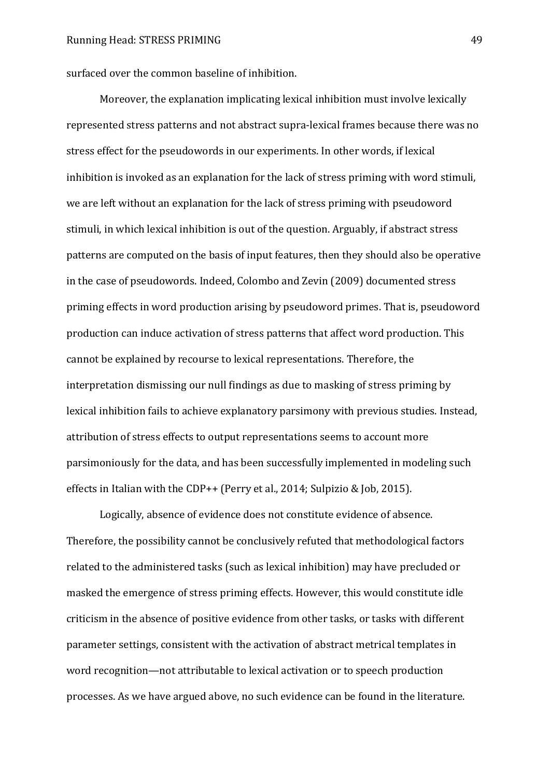surfaced over the common baseline of inhibition.

Moreover, the explanation implicating lexical inhibition must involve lexically represented stress patterns and not abstract supra-lexical frames because there was no stress effect for the pseudowords in our experiments. In other words, if lexical inhibition is invoked as an explanation for the lack of stress priming with word stimuli, we are left without an explanation for the lack of stress priming with pseudoword stimuli, in which lexical inhibition is out of the question. Arguably, if abstract stress patterns are computed on the basis of input features, then they should also be operative in the case of pseudowords. Indeed, Colombo and Zevin (2009) documented stress priming effects in word production arising by pseudoword primes. That is, pseudoword production can induce activation of stress patterns that affect word production. This cannot be explained by recourse to lexical representations. Therefore, the interpretation dismissing our null findings as due to masking of stress priming by lexical inhibition fails to achieve explanatory parsimony with previous studies. Instead, attribution of stress effects to output representations seems to account more parsimoniously for the data, and has been successfully implemented in modeling such effects in Italian with the CDP++ (Perry et al., 2014; Sulpizio & Job, 2015).

Logically, absence of evidence does not constitute evidence of absence. Therefore, the possibility cannot be conclusively refuted that methodological factors related to the administered tasks (such as lexical inhibition) may have precluded or masked the emergence of stress priming effects. However, this would constitute idle criticism in the absence of positive evidence from other tasks, or tasks with different parameter settings, consistent with the activation of abstract metrical templates in word recognition—not attributable to lexical activation or to speech production processes. As we have argued above, no such evidence can be found in the literature.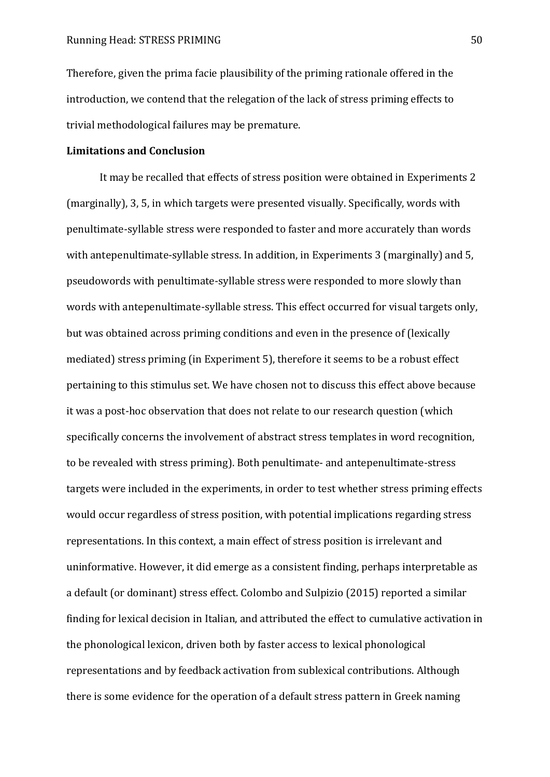Therefore, given the prima facie plausibility of the priming rationale offered in the introduction, we contend that the relegation of the lack of stress priming effects to trivial methodological failures may be premature.

## **Limitations and Conclusion**

It may be recalled that effects of stress position were obtained in Experiments 2 (marginally), 3, 5, in which targets were presented visually. Specifically, words with penultimate-syllable stress were responded to faster and more accurately than words with antepenultimate-syllable stress. In addition, in Experiments 3 (marginally) and 5, pseudowords with penultimate-syllable stress were responded to more slowly than words with antepenultimate-syllable stress. This effect occurred for visual targets only, but was obtained across priming conditions and even in the presence of (lexically mediated) stress priming (in Experiment 5), therefore it seems to be a robust effect pertaining to this stimulus set. We have chosen not to discuss this effect above because it was a post-hoc observation that does not relate to our research question (which specifically concerns the involvement of abstract stress templates in word recognition, to be revealed with stress priming). Both penultimate- and antepenultimate-stress targets were included in the experiments, in order to test whether stress priming effects would occur regardless of stress position, with potential implications regarding stress representations. In this context, a main effect of stress position is irrelevant and uninformative. However, it did emerge as a consistent finding, perhaps interpretable as a default (or dominant) stress effect. Colombo and Sulpizio (2015) reported a similar finding for lexical decision in Italian, and attributed the effect to cumulative activation in the phonological lexicon, driven both by faster access to lexical phonological representations and by feedback activation from sublexical contributions. Although there is some evidence for the operation of a default stress pattern in Greek naming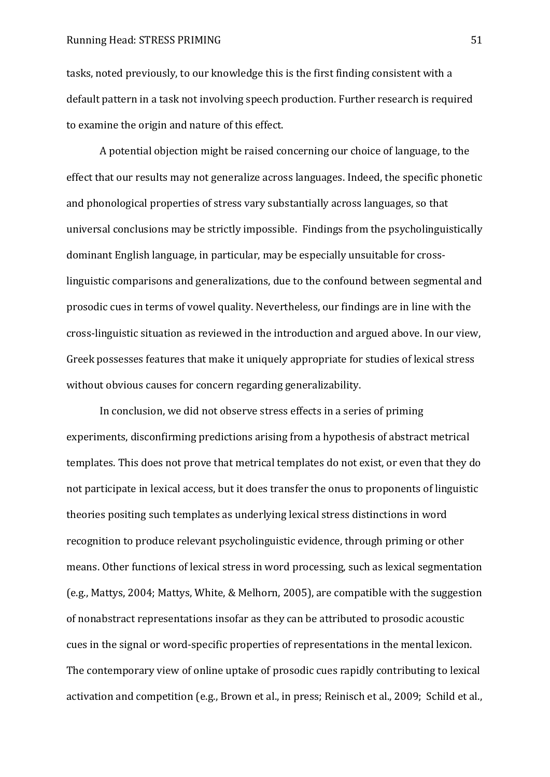tasks, noted previously, to our knowledge this is the first finding consistent with a default pattern in a task not involving speech production. Further research is required to examine the origin and nature of this effect.

A potential objection might be raised concerning our choice of language, to the effect that our results may not generalize across languages. Indeed, the specific phonetic and phonological properties of stress vary substantially across languages, so that universal conclusions may be strictly impossible. Findings from the psycholinguistically dominant English language, in particular, may be especially unsuitable for crosslinguistic comparisons and generalizations, due to the confound between segmental and prosodic cues in terms of vowel quality. Nevertheless, our findings are in line with the cross-linguistic situation as reviewed in the introduction and argued above. In our view, Greek possesses features that make it uniquely appropriate for studies of lexical stress without obvious causes for concern regarding generalizability.

In conclusion, we did not observe stress effects in a series of priming experiments, disconfirming predictions arising from a hypothesis of abstract metrical templates. This does not prove that metrical templates do not exist, or even that they do not participate in lexical access, but it does transfer the onus to proponents of linguistic theories positing such templates as underlying lexical stress distinctions in word recognition to produce relevant psycholinguistic evidence, through priming or other means. Other functions of lexical stress in word processing, such as lexical segmentation (e.g., Mattys, 2004; Mattys, White, & Melhorn, 2005), are compatible with the suggestion of nonabstract representations insofar as they can be attributed to prosodic acoustic cues in the signal or word-specific properties of representations in the mental lexicon. The contemporary view of online uptake of prosodic cues rapidly contributing to lexical activation and competition (e.g., Brown et al., in press; Reinisch et al., 2009; Schild et al.,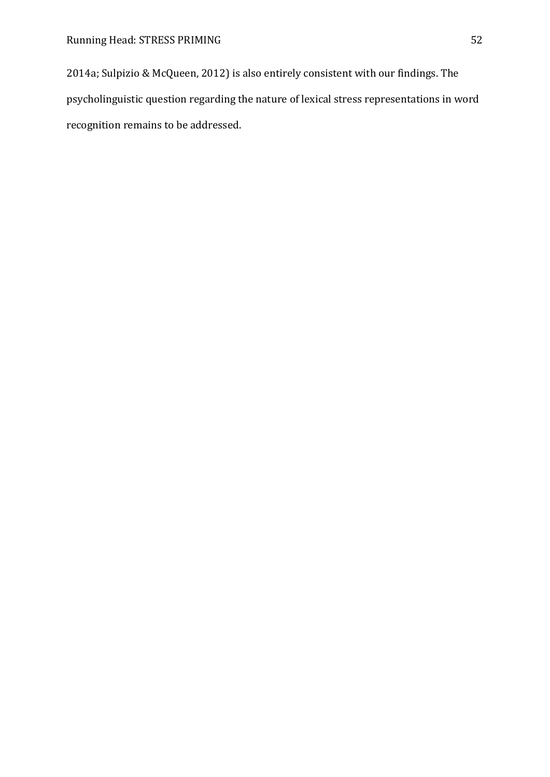2014a; Sulpizio & McQueen, 2012) is also entirely consistent with our findings. The psycholinguistic question regarding the nature of lexical stress representations in word recognition remains to be addressed.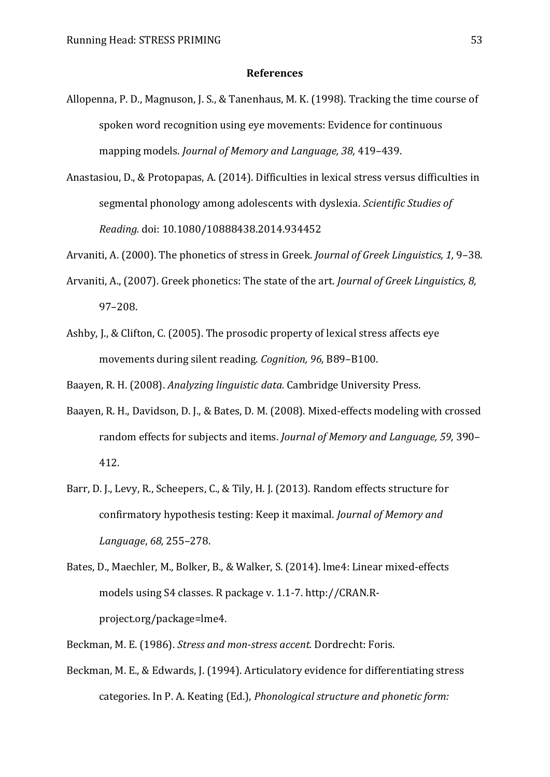#### **References**

- Allopenna, P. D., Magnuson, J. S., & Tanenhaus, M. K. (1998). Tracking the time course of spoken word recognition using eye movements: Evidence for continuous mapping models. *Journal of Memory and Language, 38, 419-439*.
- Anastasiou, D., & Protopapas, A. (2014). Difficulties in lexical stress versus difficulties in segmental phonology among adolescents with dyslexia. *Scientific Studies of Reading.* doi: 10.1080/10888438.2014.934452
- Arvaniti, A. (2000). The phonetics of stress in Greek. *Journal of Greek Linguistics*, 1, 9–38.
- Arvaniti, A., (2007). Greek phonetics: The state of the art. *Journal of Greek Linguistics, 8,* 97‒208.
- Ashby, J., & Clifton, C. (2005). The prosodic property of lexical stress affects eye movements during silent reading. *Cognition, 96,* B89‒B100.

Baayen, R. H. (2008). *Analyzing linguistic data.* Cambridge University Press.

- Baayen, R. H., Davidson, D. J., & Bates, D. M. (2008). Mixed-effects modeling with crossed random effects for subjects and items. *Journal of Memory and Language*, 59, 390– 412.
- Barr, D. J., Levy, R., Scheepers, C., & Tily, H. J. (2013). Random effects structure for confirmatory hypothesis testing: Keep it maximal. *Journal of Memory and Language*, *68,* 255‒278.
- Bates, D., Maechler, M., Bolker, B., & Walker, S. (2014). lme4: Linear mixed-effects models using S4 classes. R package v. 1.1-7. http://CRAN.Rproject.org/package=lme4.

Beckman, M. E. (1986). *Stress and mon-stress accent.* Dordrecht: Foris.

Beckman, M. E., & Edwards, J. (1994). Articulatory evidence for differentiating stress categories. In P. A. Keating (Ed.), *Phonological structure and phonetic form:*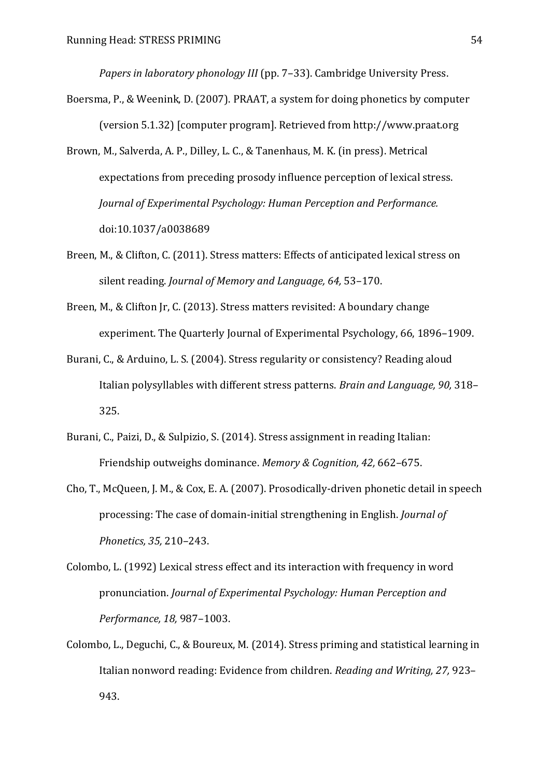*Papers in laboratory phonology III* (pp. 7–33). Cambridge University Press.

- Boersma, P., & Weenink, D. (2007). PRAAT, a system for doing phonetics by computer (version 5.1.32) [computer program]. Retrieved from http://www.praat.org
- Brown, M., Salverda, A. P., Dilley, L. C., & Tanenhaus, M. K. (in press). Metrical expectations from preceding prosody influence perception of lexical stress. *Journal of Experimental Psychology: Human Perception and Performance.* doi:10.1037/a0038689
- Breen, M., & Clifton, C. (2011). Stress matters: Effects of anticipated lexical stress on silent reading. *Journal of Memory and Language*, 64, 53-170.
- Breen, M., & Clifton Jr, C. (2013). Stress matters revisited: A boundary change experiment. The Quarterly Journal of Experimental Psychology, 66, 1896–1909.
- Burani, C., & Arduino, L. S. (2004). Stress regularity or consistency? Reading aloud Italian polysyllables with different stress patterns. *Brain and Language*, 90, 318– 325.
- Burani, C., Paizi, D., & Sulpizio, S. (2014). Stress assignment in reading Italian: Friendship outweighs dominance. *Memory & Cognition, 42, 662–675.*
- Cho, T., McQueen, J. M., & Cox, E. A. (2007). Prosodically-driven phonetic detail in speech processing: The case of domain-initial strengthening in English. *Journal of Phonetics, 35,* 210‒243.
- Colombo, L. (1992) Lexical stress effect and its interaction with frequency in word pronunciation. *Journal of Experimental Psychology: Human Perception and Performance, 18,* 987‒1003.
- Colombo, L., Deguchi, C., & Boureux, M. (2014). Stress priming and statistical learning in Italian nonword reading: Evidence from children. *Reading and Writing, 27, 923*-943.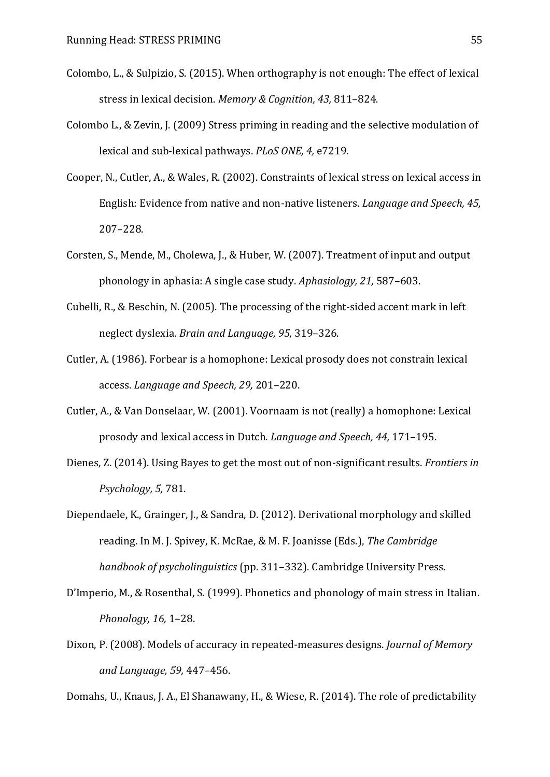- Colombo, L., & Sulpizio, S. (2015). When orthography is not enough: The effect of lexical stress in lexical decision. *Memory & Cognition*, 43, 811-824.
- Colombo L., & Zevin, J. (2009) Stress priming in reading and the selective modulation of lexical and sub-lexical pathways. *PLoS ONE, 4,* e7219.
- Cooper, N., Cutler, A., & Wales, R. (2002). Constraints of lexical stress on lexical access in English: Evidence from native and non-native listeners. *Language and Speech, 45,* 207‒228.
- Corsten, S., Mende, M., Cholewa, J., & Huber, W. (2007). Treatment of input and output phonology in aphasia: A single case study. Aphasiology, 21, 587-603.
- Cubelli, R., & Beschin, N. (2005). The processing of the right-sided accent mark in left neglect dyslexia. *Brain and Language, 95,* 319‒326.
- Cutler, A. (1986). Forbear is a homophone: Lexical prosody does not constrain lexical access. *Language and Speech, 29,* 201‒220.
- Cutler, A., & Van Donselaar, W. (2001). Voornaam is not (really) a homophone: Lexical prosody and lexical access in Dutch. *Language and Speech, 44,* 171-195.
- Dienes, Z. (2014). Using Bayes to get the most out of non-significant results. *Frontiers in Psychology, 5,* 781.
- Diependaele, K., Grainger, J., & Sandra, D. (2012). Derivational morphology and skilled reading. In M. J. Spivey, K. McRae, & M. F. Joanisse (Eds.), *The Cambridge handbook of psycholinguistics* (pp. 311‒332). Cambridge University Press.
- D'Imperio, M., & Rosenthal, S. (1999). Phonetics and phonology of main stress in Italian. *Phonology, 16,* 1‒28.
- Dixon, P. (2008). Models of accuracy in repeated-measures designs. *Journal of Memory and Language, 59,* 447‒456.

Domahs, U., Knaus, J. A., El Shanawany, H., & Wiese, R. (2014). The role of predictability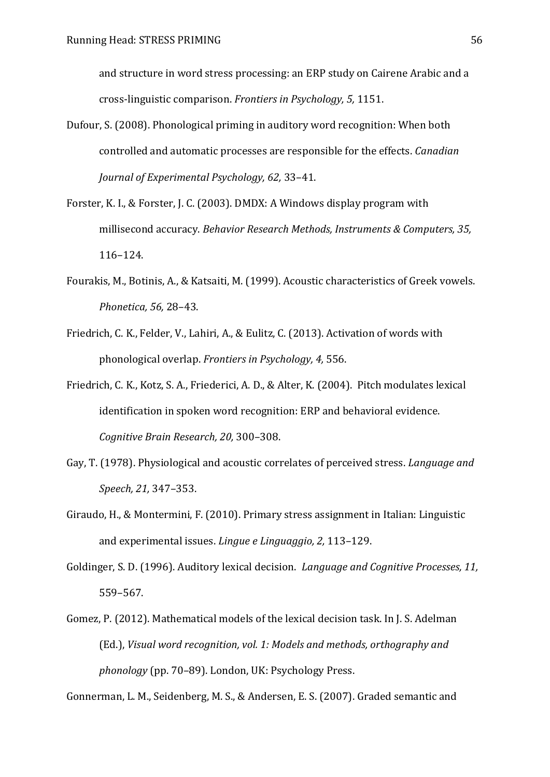and structure in word stress processing: an ERP study on Cairene Arabic and a cross-linguistic comparison. *Frontiers in Psychology, 5,* 1151.

- Dufour, S. (2008). Phonological priming in auditory word recognition: When both controlled and automatic processes are responsible for the effects. *Canadian Journal of Experimental Psychology, 62, 33-41.*
- Forster, K. I., & Forster, J. C. (2003). DMDX: A Windows display program with millisecond accuracy. *Behavior Research Methods, Instruments & Computers, 35,* 116‒124.
- Fourakis, M., Botinis, A., & Katsaiti, M. (1999). Acoustic characteristics of Greek vowels. *Phonetica, 56,* 28‒43.
- Friedrich, C. K., Felder, V., Lahiri, A., & Eulitz, C. (2013). Activation of words with phonological overlap. *Frontiers in Psychology, 4,* 556.
- Friedrich, C. K., Kotz, S. A., Friederici, A. D., & Alter, K. (2004). Pitch modulates lexical identification in spoken word recognition: ERP and behavioral evidence. *Cognitive Brain Research, 20,* 300‒308.
- Gay, T. (1978). Physiological and acoustic correlates of perceived stress. *Language and Speech, 21,* 347‒353.
- Giraudo, H., & Montermini, F. (2010). Primary stress assignment in Italian: Linguistic and experimental issues. *Lingue e Linguaggio*, 2, 113-129.
- Goldinger, S. D. (1996). Auditory lexical decision. *Language and Cognitive Processes, 11,* 559‒567.
- Gomez, P. (2012). Mathematical models of the lexical decision task. In J. S. Adelman (Ed.), *Visual word recognition, vol. 1: Models and methods, orthography and phonology* (pp. 70‒89). London, UK: Psychology Press.

Gonnerman, L. M., Seidenberg, M. S., & Andersen, E. S. (2007). Graded semantic and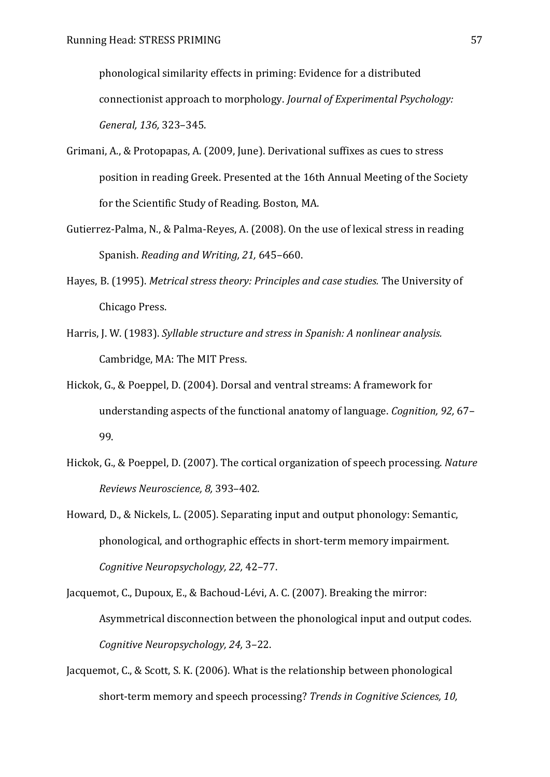phonological similarity effects in priming: Evidence for a distributed connectionist approach to morphology. *Journal of Experimental Psychology: General, 136,* 323‒345.

- Grimani, A., & Protopapas, A. (2009, June). Derivational suffixes as cues to stress position in reading Greek. Presented at the 16th Annual Meeting of the Society for the Scientific Study of Reading. Boston, MA.
- Gutierrez-Palma, N., & Palma-Reyes, A. (2008). On the use of lexical stress in reading Spanish. *Reading and Writing, 21, 645-660*.
- Hayes, B. (1995). *Metrical stress theory: Principles and case studies.* The University of Chicago Press.
- Harris, J. W. (1983). *Syllable structure and stress in Spanish: A nonlinear analysis.* Cambridge, MA: The MIT Press.
- Hickok, G., & Poeppel, D. (2004). Dorsal and ventral streams: A framework for understanding aspects of the functional anatomy of language. *Cognition*, 92, 67-99.
- Hickok, G., & Poeppel, D. (2007). The cortical organization of speech processing. *Nature Reviews Neuroscience, 8,* 393‒402.
- Howard, D., & Nickels, L. (2005). Separating input and output phonology: Semantic, phonological, and orthographic effects in short-term memory impairment. *Cognitive Neuropsychology, 22,* 42‒77.
- Jacquemot, C., Dupoux, E., & Bachoud-Lévi, A. C. (2007). Breaking the mirror: Asymmetrical disconnection between the phonological input and output codes. *Cognitive Neuropsychology, 24,* 3‒22.
- Jacquemot, C., & Scott, S. K. (2006). What is the relationship between phonological short-term memory and speech processing? *Trends in Cognitive Sciences, 10,*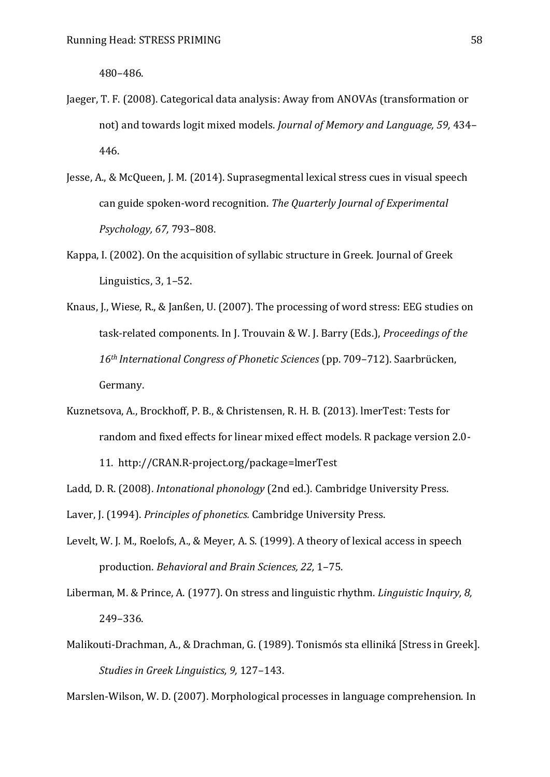480‒486.

- Jaeger, T. F. (2008). Categorical data analysis: Away from ANOVAs (transformation or not) and towards logit mixed models. *Journal of Memory and Language, 59,* 434‒ 446.
- Jesse, A., & McQueen, J. M. (2014). Suprasegmental lexical stress cues in visual speech can guide spoken-word recognition. *The Quarterly Journal of Experimental Psychology, 67,* 793‒808.
- Kappa, I. (2002). On the acquisition of syllabic structure in Greek. Journal of Greek Linguistics,  $3, 1-52$ .
- Knaus, J., Wiese, R., & Janßen, U. (2007). The processing of word stress: EEG studies on task-related components. In J. Trouvain & W. J. Barry (Eds.), *Proceedings of the*  16<sup>th</sup> International Congress of Phonetic Sciences (pp. 709-712). Saarbrücken, Germany.
- Kuznetsova, A., Brockhoff, P. B., & Christensen, R. H. B. (2013). lmerTest: Tests for random and fixed effects for linear mixed effect models. R package version 2.0- 11. http://CRAN.R-project.org/package=lmerTest
- Ladd, D. R. (2008). *Intonational phonology* (2nd ed.). Cambridge University Press.
- Laver, J. (1994). *Principles of phonetics.* Cambridge University Press.
- Levelt, W. J. M., Roelofs, A., & Meyer, A. S. (1999). A theory of lexical access in speech production. *Behavioral and Brain Sciences, 22,* 1‒75.
- Liberman, M. & Prince, A. (1977). On stress and linguistic rhythm. *Linguistic Inquiry, 8,* 249‒336.
- Malikouti-Drachman, A., & Drachman, G. (1989). Tonismós sta elliniká [Stress in Greek]. *Studies in Greek Linguistics, 9, 127-143.*

Marslen-Wilson, W. D. (2007). Morphological processes in language comprehension. In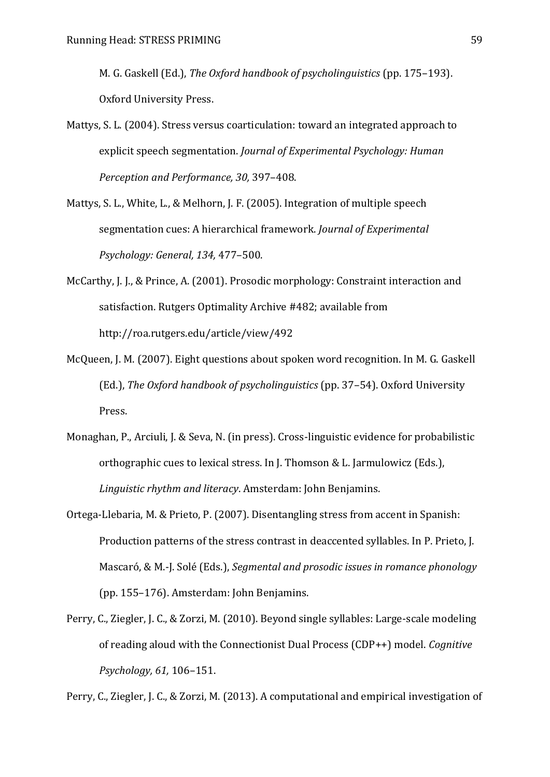M. G. Gaskell (Ed.), *The Oxford handbook of psycholinguistics* (pp. 175–193). Oxford University Press.

- Mattys, S. L. (2004). Stress versus coarticulation: toward an integrated approach to explicit speech segmentation. *Journal of Experimental Psychology: Human Perception and Performance, 30, 397-408.*
- Mattys, S. L., White, L., & Melhorn, J. F. (2005). Integration of multiple speech segmentation cues: A hierarchical framework. *Journal of Experimental Psychology: General, 134,* 477‒500.
- McCarthy, J. J., & Prince, A. (2001). Prosodic morphology: Constraint interaction and satisfaction. Rutgers Optimality Archive #482; available from http://roa.rutgers.edu/article/view/492
- McQueen, J. M. (2007). Eight questions about spoken word recognition. In M. G. Gaskell (Ed.), *The Oxford handbook of psycholinguistics* (pp. 37–54). Oxford University Press.
- Monaghan, P., Arciuli, J. & Seva, N. (in press). Cross-linguistic evidence for probabilistic orthographic cues to lexical stress. In J. Thomson & L. Jarmulowicz (Eds.), *Linguistic rhythm and literacy*. Amsterdam: John Benjamins.
- Ortega-Llebaria, M. & Prieto, P. (2007). Disentangling stress from accent in Spanish: Production patterns of the stress contrast in deaccented syllables. In P. Prieto, J. Mascaró, & M.-J. Solé (Eds.), Segmental and prosodic issues in romance phonology (pp. 155‒176). Amsterdam: John Benjamins.
- Perry, C., Ziegler, J. C., & Zorzi, M. (2010). Beyond single syllables: Large-scale modeling of reading aloud with the Connectionist Dual Process (CDP++) model. *Cognitive Psychology, 61,* 106‒151.

Perry, C., Ziegler, J. C., & Zorzi, M. (2013). A computational and empirical investigation of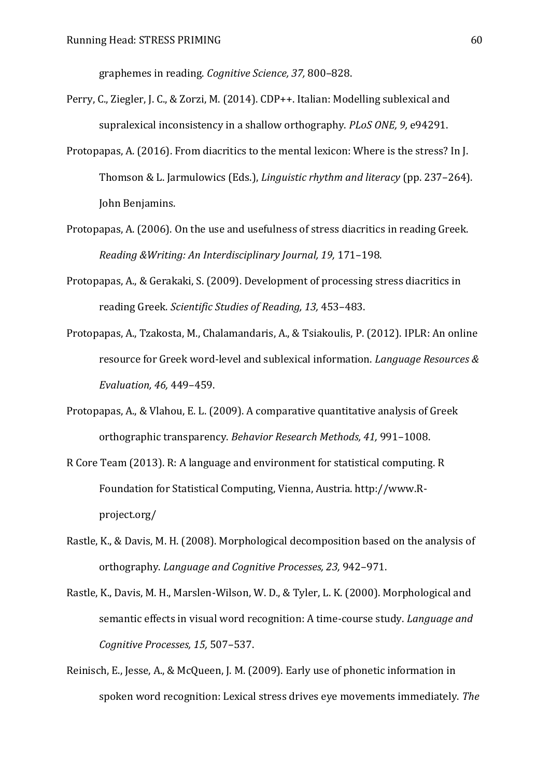graphemes in reading. *Cognitive Science, 37,* 800‒828.

- Perry, C., Ziegler, J. C., & Zorzi, M. (2014). CDP++. Italian: Modelling sublexical and supralexical inconsistency in a shallow orthography. *PLoS ONE, 9,* e94291.
- Protopapas, A. (2016). From diacritics to the mental lexicon: Where is the stress? In J. Thomson & L. Jarmulowics (Eds.), *Linguistic rhythm and literacy* (pp. 237–264). John Benjamins.
- Protopapas, A. (2006). On the use and usefulness of stress diacritics in reading Greek. *Reading &Writing: An Interdisciplinary Journal, 19,* 171‒198.
- Protopapas, A., & Gerakaki, S. (2009). Development of processing stress diacritics in reading Greek. Scientific Studies of Reading, 13, 453-483.
- Protopapas, A., Tzakosta, M., Chalamandaris, A., & Tsiakoulis, P. (2012). IPLR: An online resource for Greek word-level and sublexical information. *Language Resources & Evaluation, 46,* 449‒459.
- Protopapas, A., & Vlahou, E. L. (2009). A comparative quantitative analysis of Greek orthographic transparency. *Behavior Research Methods, 41, 991-1008*.
- R Core Team (2013). R: A language and environment for statistical computing. R Foundation for Statistical Computing, Vienna, Austria. http://www.Rproject.org/
- Rastle, K., & Davis, M. H. (2008). Morphological decomposition based on the analysis of orthography. *Language and Cognitive Processes, 23, 942-971*.
- Rastle, K., Davis, M. H., Marslen-Wilson, W. D., & Tyler, L. K. (2000). Morphological and semantic effects in visual word recognition: A time-course study. *Language and Cognitive Processes, 15,* 507‒537.
- Reinisch, E., Jesse, A., & McQueen, J. M. (2009). Early use of phonetic information in spoken word recognition: Lexical stress drives eye movements immediately. *The*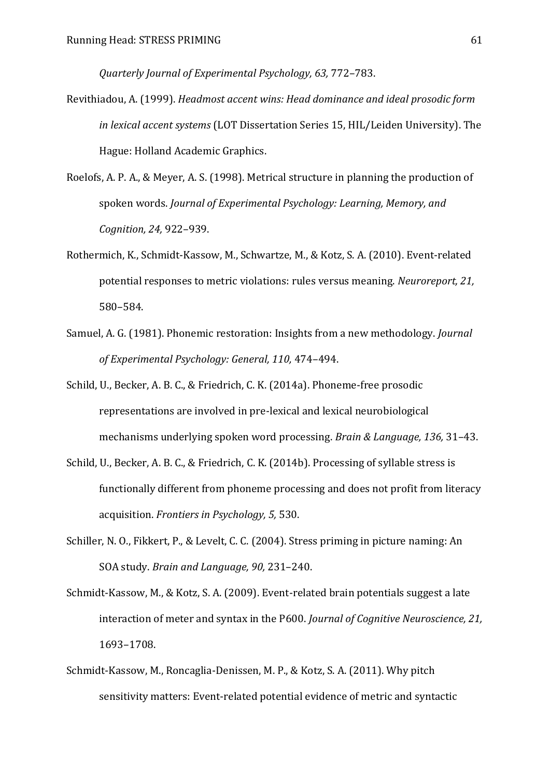*Quarterly Journal of Experimental Psychology, 63,* 772‒783.

- Revithiadou, A. (1999). *Headmost accent wins: Head dominance and ideal prosodic form in lexical accent systems* (LOT Dissertation Series 15, HIL/Leiden University). The Hague: Holland Academic Graphics.
- Roelofs, A. P. A., & Meyer, A. S. (1998). Metrical structure in planning the production of spoken words. *Journal of Experimental Psychology: Learning, Memory, and Cognition, 24,* 922‒939.
- Rothermich, K., Schmidt-Kassow, M., Schwartze, M., & Kotz, S. A. (2010). Event-related potential responses to metric violations: rules versus meaning. *Neuroreport, 21,* 580‒584.
- Samuel, A. G. (1981). Phonemic restoration: Insights from a new methodology. *Journal of Experimental Psychology: General, 110,* 474‒494.
- Schild, U., Becker, A. B. C., & Friedrich, C. K. (2014a). Phoneme-free prosodic representations are involved in pre-lexical and lexical neurobiological mechanisms underlying spoken word processing. *Brain & Language, 136,* 31‒43.
- Schild, U., Becker, A. B. C., & Friedrich, C. K. (2014b). Processing of syllable stress is functionally different from phoneme processing and does not profit from literacy acquisition. *Frontiers in Psychology, 5,* 530.
- Schiller, N. O., Fikkert, P., & Levelt, C. C. (2004). Stress priming in picture naming: An SOA study. *Brain and Language, 90,* 231‒240.
- Schmidt-Kassow, M., & Kotz, S. A. (2009). Event-related brain potentials suggest a late interaction of meter and syntax in the P600. *Journal of Cognitive Neuroscience, 21,* 1693‒1708.
- Schmidt-Kassow, M., Roncaglia-Denissen, M. P., & Kotz, S. A. (2011). Why pitch sensitivity matters: Event-related potential evidence of metric and syntactic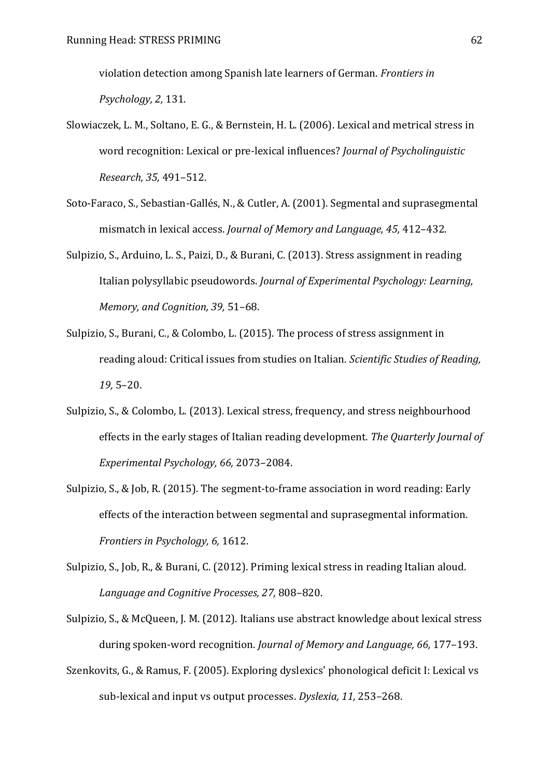violation detection among Spanish late learners of German. *Frontiers in Psychology, 2,* 131.

- Slowiaczek, L. M., Soltano, E. G., & Bernstein, H. L. (2006). Lexical and metrical stress in word recognition: Lexical or pre-lexical influences? *Journal of Psycholinguistic Research, 35,* 491‒512.
- Soto-Faraco, S., Sebastian-Gallés, N., & Cutler, A. (2001). Segmental and suprasegmental mismatch in lexical access. *Journal of Memory and Language*, 45, 412-432.
- Sulpizio, S., Arduino, L. S., Paizi, D., & Burani, C. (2013). Stress assignment in reading Italian polysyllabic pseudowords. *Journal of Experimental Psychology: Learning, Memory, and Cognition, 39,* 51‒68.
- Sulpizio, S., Burani, C., & Colombo, L. (2015). The process of stress assignment in reading aloud: Critical issues from studies on Italian. *Scientific Studies of Reading, 19,* 5‒20.
- Sulpizio, S., & Colombo, L. (2013). Lexical stress, frequency, and stress neighbourhood effects in the early stages of Italian reading development. *The Quarterly Journal of Experimental Psychology, 66, 2073-2084.*
- Sulpizio, S., & Job, R. (2015). The segment-to-frame association in word reading: Early effects of the interaction between segmental and suprasegmental information. *Frontiers in Psychology, 6,* 1612.
- Sulpizio, S., Job, R., & Burani, C. (2012). Priming lexical stress in reading Italian aloud. *Language and Cognitive Processes, 27,* 808‒820.
- Sulpizio, S., & McQueen, J. M. (2012). Italians use abstract knowledge about lexical stress during spoken-word recognition. *Journal of Memory and Language*, 66, 177–193.
- Szenkovits, G., & Ramus, F. (2005). Exploring dyslexics' phonological deficit I: Lexical vs sub-lexical and input vs output processes. Dyslexia, 11, 253-268.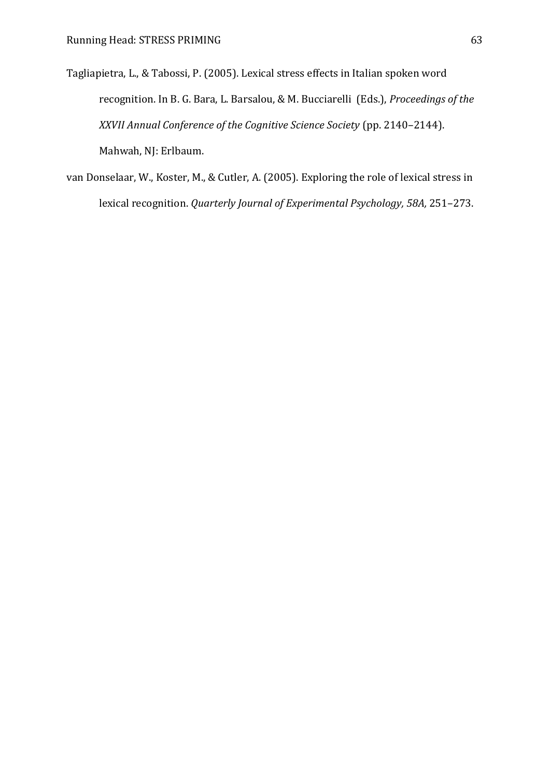- Tagliapietra, L., & Tabossi, P. (2005). Lexical stress effects in Italian spoken word recognition. In B. G. Bara, L. Barsalou, & M. Bucciarelli (Eds.), *Proceedings of the XXVII Annual Conference of the Cognitive Science Society* (pp. 2140‒2144). Mahwah, NJ: Erlbaum.
- van Donselaar, W., Koster, M., & Cutler, A. (2005). Exploring the role of lexical stress in lexical recognition. *Quarterly Journal of Experimental Psychology, 58A, 251-273.*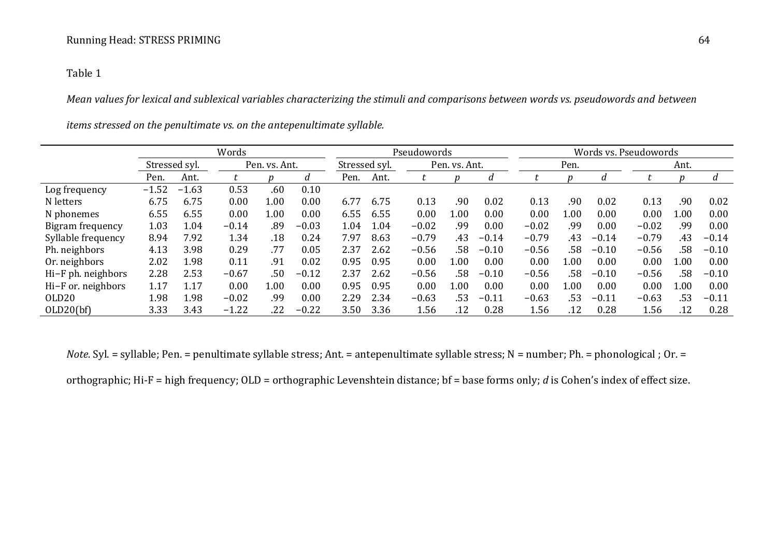## Table 1

*Mean values for lexical and sublexical variables characterizing the stimuli and comparisons between words vs. pseudowords and between* 

|                    | Words         |         |               |          |         | Pseudowords   |      |               |      | Words vs. Pseudowords |         |          |         |         |      |         |
|--------------------|---------------|---------|---------------|----------|---------|---------------|------|---------------|------|-----------------------|---------|----------|---------|---------|------|---------|
|                    | Stressed syl. |         | Pen. vs. Ant. |          |         | Stressed syl. |      | Pen. vs. Ant. |      | Pen.                  |         |          | Ant.    |         |      |         |
|                    | Pen.          | Ant.    |               |          | d       | Pen.          | Ant. |               |      |                       |         |          |         |         |      |         |
| Log frequency      | $-1.52$       | $-1.63$ | 0.53          | .60      | 0.10    |               |      |               |      |                       |         |          |         |         |      |         |
| N letters          | 6.75          | 6.75    | 0.00          | $1.00\,$ | 0.00    | 6.77          | 6.75 | 0.13          | .90  | 0.02                  | 0.13    | .90      | 0.02    | 0.13    | .90  | 0.02    |
| N phonemes         | 6.55          | 6.55    | 0.00          | $1.00\,$ | 0.00    | 6.55          | 6.55 | 0.00          | 1.00 | 0.00                  | 0.00    | 1.00     | 0.00    | 0.00    | 1.00 | 0.00    |
| Bigram frequency   | 1.03          | 1.04    | $-0.14$       | .89      | $-0.03$ | 1.04          | 1.04 | $-0.02$       | .99  | 0.00                  | $-0.02$ | .99      | 0.00    | $-0.02$ | .99  | 0.00    |
| Syllable frequency | 8.94          | 7.92    | 1.34          | .18      | 0.24    | 7.97          | 8.63 | $-0.79$       | .43  | $-0.14$               | $-0.79$ | .43      | $-0.14$ | $-0.79$ | .43  | $-0.14$ |
| Ph. neighbors      | 4.13          | 3.98    | 0.29          | .77      | 0.05    | 2.37          | 2.62 | $-0.56$       | .58  | $-0.10$               | $-0.56$ | .58      | $-0.10$ | $-0.56$ | .58  | $-0.10$ |
| Or. neighbors      | 2.02          | 1.98    | 0.11          | .91      | 0.02    | 0.95          | 0.95 | 0.00          | 0.01 | 0.00                  | 0.00    | $1.00\,$ | 0.00    | 0.00    | 1.00 | 0.00    |
| Hi-F ph. neighbors | 2.28          | 2.53    | $-0.67$       | .50      | $-0.12$ | 2.37          | 2.62 | $-0.56$       | .58  | $-0.10$               | $-0.56$ | .58      | $-0.10$ | $-0.56$ | .58  | $-0.10$ |
| Hi-F or. neighbors | 1.17          | 1.17    | 0.00          | $1.00\,$ | 0.00    | 0.95          | 0.95 | 0.00          | 0.01 | 0.00                  | 0.00    | 1.00     | 0.00    | 0.00    | 1.00 | 0.00    |
| OLD <sub>20</sub>  | 1.98          | 1.98    | $-0.02$       | .99      | 0.00    | 2.29          | 2.34 | $-0.63$       | .53  | $-0.11$               | $-0.63$ | .53      | $-0.11$ | $-0.63$ | .53  | $-0.11$ |
| OLD20(bf)          | 3.33          | 3.43    | $-1.22$       | 22       | $-0.22$ | 3.50          | 3.36 | 1.56          | .12  | 0.28                  | 1.56    | .12      | 0.28    | 1.56    | .12  | 0.28    |

*items stressed on the penultimate vs. on the antepenultimate syllable.* 

*Note.* Syl. = syllable; Pen. = penultimate syllable stress; Ant. = antepenultimate syllable stress; N = number; Ph. = phonological ; Or. =

orthographic; Hi-F = high frequency; OLD = orthographic Levenshtein distance; bf = base forms only; *d* is Cohen's index of effect size.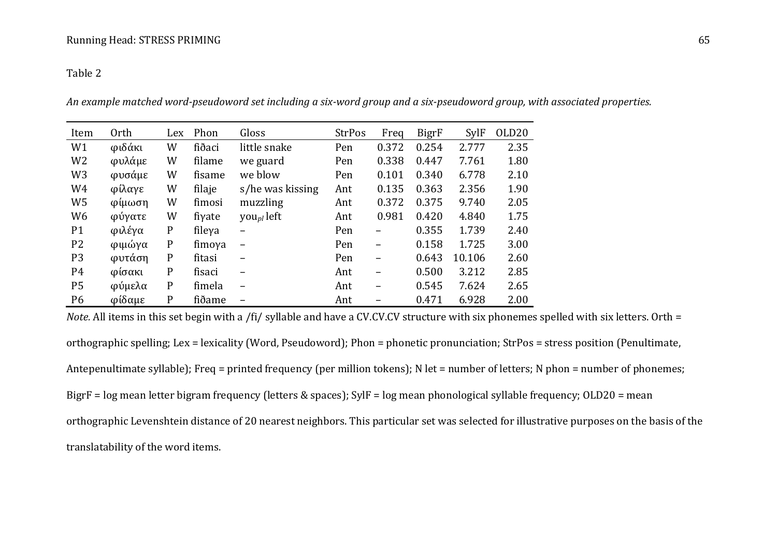## Table 2

*An example matched word-pseudoword set including a six-word group and a six-pseudoword group, with associated properties.* 

| Item           | Orth   | Lex | Phon   | Gloss                        | <b>StrPos</b> | Freq  | <b>BigrF</b> | <b>SylF</b> | OLD <sub>20</sub> |
|----------------|--------|-----|--------|------------------------------|---------------|-------|--------------|-------------|-------------------|
| W1             | φιδάκι | W   | fiðaci | little snake                 | Pen           | 0.372 | 0.254        | 2.777       | 2.35              |
| W <sub>2</sub> | φυλάμε | W   | filame | we guard                     | Pen           | 0.338 | 0.447        | 7.761       | 1.80              |
| W <sub>3</sub> | φυσάμε | W   | fisame | we blow                      | Pen           | 0.101 | 0.340        | 6.778       | 2.10              |
| W4             | φίλαγε | W   | filaje | s/he was kissing             | Ant           | 0.135 | 0.363        | 2.356       | 1.90              |
| W <sub>5</sub> | φίμωση | W   | fimosi | muzzling                     | Ant           | 0.372 | 0.375        | 9.740       | 2.05              |
| W <sub>6</sub> | φύγατε | W   | fiγate | you <sub>pl</sub> left       | Ant           | 0.981 | 0.420        | 4.840       | 1.75              |
| P <sub>1</sub> | φιλέγα | P   | fileya | -                            | Pen           |       | 0.355        | 1.739       | 2.40              |
| P <sub>2</sub> | φιμώγα | P   | fimoγa | $\qquad \qquad \blacksquare$ | Pen           | -     | 0.158        | 1.725       | 3.00              |
| P <sub>3</sub> | φυτάση | P   | fitasi | -                            | Pen           | -     | 0.643        | 10.106      | 2.60              |
| P <sub>4</sub> | φίσακι | P   | fisaci | $\overline{\phantom{0}}$     | Ant           | -     | 0.500        | 3.212       | 2.85              |
| P <sub>5</sub> | φύμελα | P   | fimela | $\overline{\phantom{0}}$     | Ant           | -     | 0.545        | 7.624       | 2.65              |
| P <sub>6</sub> | φίδαμε | P   | fiðame |                              | Ant           |       | 0.471        | 6.928       | 2.00              |

*Note.* All items in this set begin with a /fi/ syllable and have a CV.CV.CV structure with six phonemes spelled with six letters. Orth = orthographic spelling; Lex = lexicality (Word, Pseudoword); Phon = phonetic pronunciation; StrPos = stress position (Penultimate, Antepenultimate syllable); Freq = printed frequency (per million tokens); N let = number of letters; N phon = number of phonemes; BigrF = log mean letter bigram frequency (letters & spaces); SylF = log mean phonological syllable frequency; OLD20 = mean orthographic Levenshtein distance of 20 nearest neighbors. This particular set was selected for illustrative purposes on the basis of the translatability of the word items.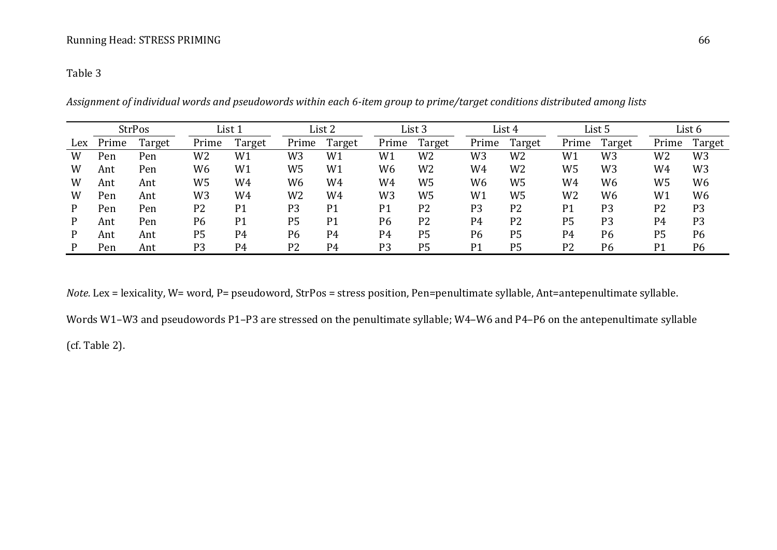## Table 3

|     | <b>StrPos</b> |        | List 1         |                | List 2         |                | List 3         |                | List 4         |                | List 5         |                | List 6         |                |
|-----|---------------|--------|----------------|----------------|----------------|----------------|----------------|----------------|----------------|----------------|----------------|----------------|----------------|----------------|
| Lex | Prime         | Target | Prime          | Target         | Prime          | Target         | Prime          | Target         | Prime          | Target         | Prime          | Target         | Prime          | Target         |
| W   | Pen           | Pen    | W2             | W1             | W3             | W1             | W1             | W2             | W3             | W <sub>2</sub> | W1             | W <sub>3</sub> | W2             | W <sub>3</sub> |
| W   | Ant           | Pen    | W6             | W1             | W5             | W1             | W6             | W2             | W4             | W <sub>2</sub> | W5             | W <sub>3</sub> | W4             | W <sub>3</sub> |
| W   | Ant           | Ant    | W5             | W4             | W <sub>6</sub> | W4             | W4             | W5             | W6             | W <sub>5</sub> | W4             | W <sub>6</sub> | W5             | W <sub>6</sub> |
| W   | Pen           | Ant    | W3             | W4             | W <sub>2</sub> | W4             | W3             | W5             | W1             | W <sub>5</sub> | W <sub>2</sub> | W <sub>6</sub> | W1             | W <sub>6</sub> |
| P   | Pen           | Pen    | P <sub>2</sub> | P <sub>1</sub> | P <sub>3</sub> | P <sub>1</sub> | P1             | P <sub>2</sub> | P <sub>3</sub> | P <sub>2</sub> | P <sub>1</sub> | P <sub>3</sub> | P <sub>2</sub> | P <sub>3</sub> |
| P   | Ant           | Pen    | P6             | P <sub>1</sub> | P <sub>5</sub> | P <sub>1</sub> | P <sub>6</sub> | P <sub>2</sub> | P4             | P <sub>2</sub> | P <sub>5</sub> | P <sub>3</sub> | P <sub>4</sub> | P <sub>3</sub> |
| P   | Ant           | Ant    | P <sub>5</sub> | P <sub>4</sub> | P <sub>6</sub> | P <sub>4</sub> | P <sub>4</sub> | P <sub>5</sub> | P <sub>6</sub> | P <sub>5</sub> | P <sub>4</sub> | P <sub>6</sub> | P <sub>5</sub> | P <sub>6</sub> |
|     | Pen           | Ant    | P <sub>3</sub> | P <sub>4</sub> | P <sub>2</sub> | P <sub>4</sub> | P <sub>3</sub> | P <sub>5</sub> | P1             | P <sub>5</sub> | P <sub>2</sub> | P <sub>6</sub> | P <sub>1</sub> | P <sub>6</sub> |

*Assignment of individual words and pseudowords within each 6-item group to prime/target conditions distributed among lists* 

*Note.* Lex = lexicality, W= word, P= pseudoword, StrPos = stress position, Pen=penultimate syllable, Ant=antepenultimate syllable.

Words W1–W3 and pseudowords P1–P3 are stressed on the penultimate syllable; W4–W6 and P4–P6 on the antepenultimate syllable

(cf. Table 2).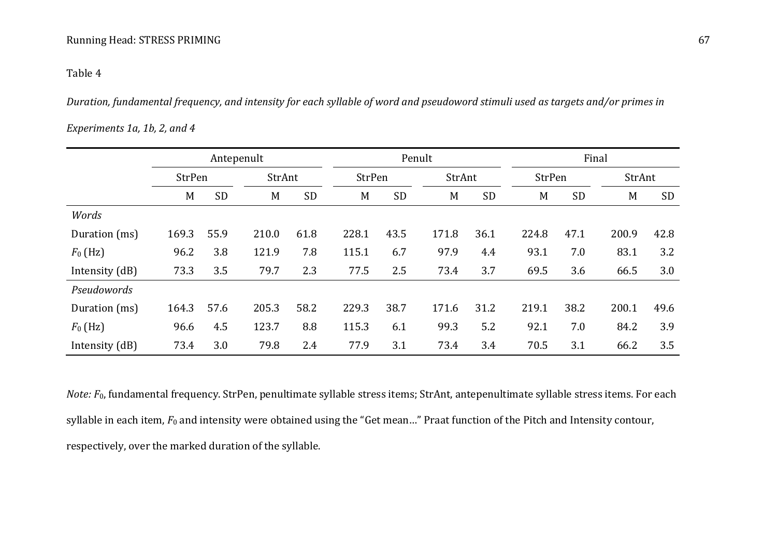## Table 4

*Duration, fundamental frequency, and intensity for each syllable of word and pseudoword stimuli used as targets and/or primes in* 

## *Experiments 1a, 1b, 2, and 4*

|                |        |           | Antepenult |           |               |           | Penult |           |       | Final     |       |           |  |  |
|----------------|--------|-----------|------------|-----------|---------------|-----------|--------|-----------|-------|-----------|-------|-----------|--|--|
|                | StrPen |           | StrAnt     |           | <b>StrPen</b> |           |        | StrAnt    |       | StrPen    |       | StrAnt    |  |  |
|                | M      | <b>SD</b> | M          | <b>SD</b> | M             | <b>SD</b> | M      | <b>SD</b> | M     | <b>SD</b> | M     | <b>SD</b> |  |  |
| Words          |        |           |            |           |               |           |        |           |       |           |       |           |  |  |
| Duration (ms)  | 169.3  | 55.9      | 210.0      | 61.8      | 228.1         | 43.5      | 171.8  | 36.1      | 224.8 | 47.1      | 200.9 | 42.8      |  |  |
| $F_0$ (Hz)     | 96.2   | 3.8       | 121.9      | 7.8       | 115.1         | 6.7       | 97.9   | 4.4       | 93.1  | 7.0       | 83.1  | 3.2       |  |  |
| Intensity (dB) | 73.3   | 3.5       | 79.7       | 2.3       | 77.5          | 2.5       | 73.4   | 3.7       | 69.5  | 3.6       | 66.5  | 3.0       |  |  |
| Pseudowords    |        |           |            |           |               |           |        |           |       |           |       |           |  |  |
| Duration (ms)  | 164.3  | 57.6      | 205.3      | 58.2      | 229.3         | 38.7      | 171.6  | 31.2      | 219.1 | 38.2      | 200.1 | 49.6      |  |  |
| $F_0$ (Hz)     | 96.6   | 4.5       | 123.7      | 8.8       | 115.3         | 6.1       | 99.3   | 5.2       | 92.1  | 7.0       | 84.2  | 3.9       |  |  |
| Intensity (dB) | 73.4   | 3.0       | 79.8       | 2.4       | 77.9          | 3.1       | 73.4   | 3.4       | 70.5  | 3.1       | 66.2  | 3.5       |  |  |

*Note:*  $F_0$ , fundamental frequency. StrPen, penultimate syllable stress items; StrAnt, antepenultimate syllable stress items. For each syllable in each item,  $F_0$  and intensity were obtained using the "Get mean..." Praat function of the Pitch and Intensity contour, respectively, over the marked duration of the syllable.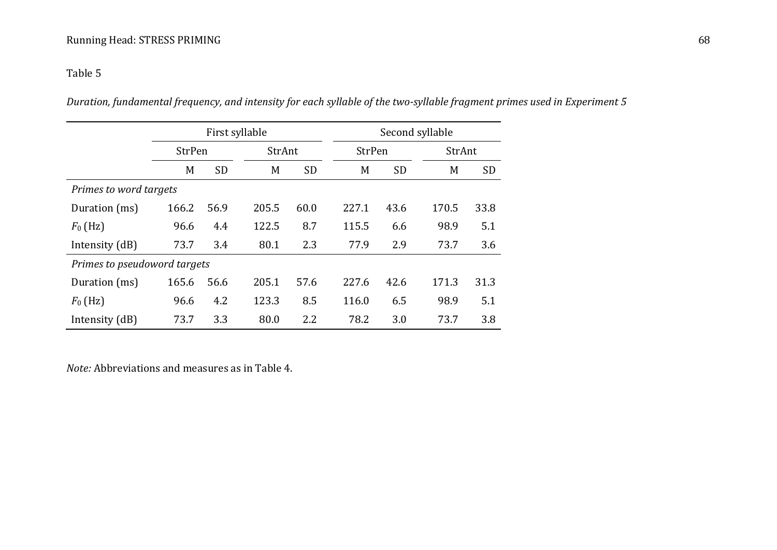# Table 5

*Duration, fundamental frequency, and intensity for each syllable of the two-syllable fragment primes used in Experiment 5* 

|                              |               |           | First syllable |           |       | Second syllable |       |           |  |  |  |  |
|------------------------------|---------------|-----------|----------------|-----------|-------|-----------------|-------|-----------|--|--|--|--|
|                              | <b>StrPen</b> |           | StrAnt         |           |       | StrPen          |       | StrAnt    |  |  |  |  |
|                              | M             | <b>SD</b> | M              | <b>SD</b> | M     | <b>SD</b>       | M     | <b>SD</b> |  |  |  |  |
| Primes to word targets       |               |           |                |           |       |                 |       |           |  |  |  |  |
| Duration (ms)                | 166.2         | 56.9      | 205.5          | 60.0      | 227.1 | 43.6            | 170.5 | 33.8      |  |  |  |  |
| $F_0$ (Hz)                   | 96.6          | 4.4       | 122.5          | 8.7       | 115.5 | 6.6             | 98.9  | 5.1       |  |  |  |  |
| Intensity (dB)               | 73.7          | 3.4       | 80.1           | 2.3       | 77.9  | 2.9             | 73.7  | 3.6       |  |  |  |  |
| Primes to pseudoword targets |               |           |                |           |       |                 |       |           |  |  |  |  |
| Duration (ms)                | 165.6         | 56.6      | 205.1          | 57.6      | 227.6 | 42.6            | 171.3 | 31.3      |  |  |  |  |
| $F_0$ (Hz)                   | 96.6          | 4.2       | 123.3          | 8.5       | 116.0 | 6.5             | 98.9  | 5.1       |  |  |  |  |
| Intensity (dB)               | 73.7          | 3.3       | 80.0           | 2.2       | 78.2  | 3.0             | 73.7  | 3.8       |  |  |  |  |

*Note:* Abbreviations and measures as in Table 4.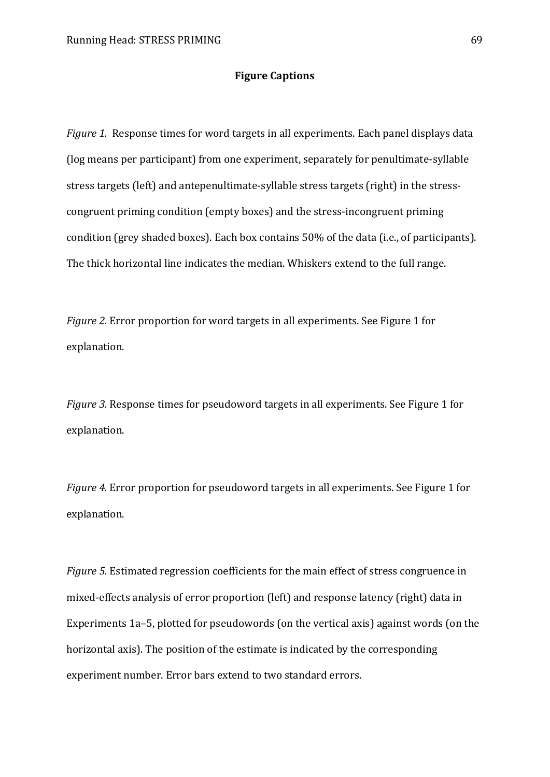## **Figure Captions**

*Figure 1.* Response times for word targets in all experiments. Each panel displays data (log means per participant) from one experiment, separately for penultimate-syllable stress targets (left) and antepenultimate-syllable stress targets (right) in the stresscongruent priming condition (empty boxes) and the stress-incongruent priming condition (grey shaded boxes). Each box contains 50% of the data (i.e., of participants). The thick horizontal line indicates the median. Whiskers extend to the full range.

*Figure 2.* Error proportion for word targets in all experiments. See Figure 1 for explanation.

*Figure 3.* Response times for pseudoword targets in all experiments. See Figure 1 for explanation.

*Figure 4.* Error proportion for pseudoword targets in all experiments. See Figure 1 for explanation.

*Figure 5.* Estimated regression coefficients for the main effect of stress congruence in mixed-effects analysis of error proportion (left) and response latency (right) data in Experiments 1a–5, plotted for pseudowords (on the vertical axis) against words (on the horizontal axis). The position of the estimate is indicated by the corresponding experiment number. Error bars extend to two standard errors.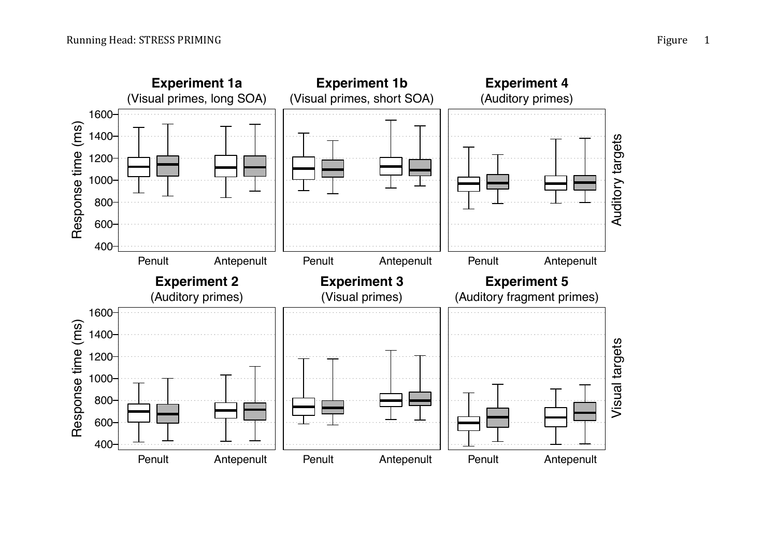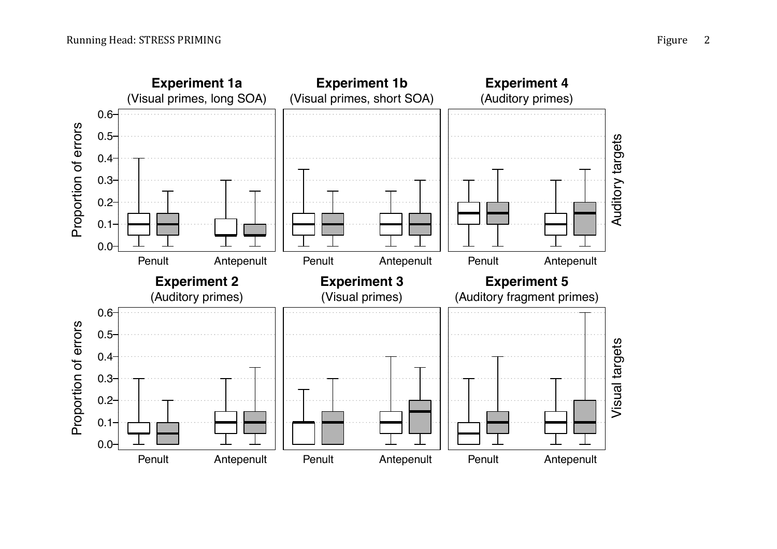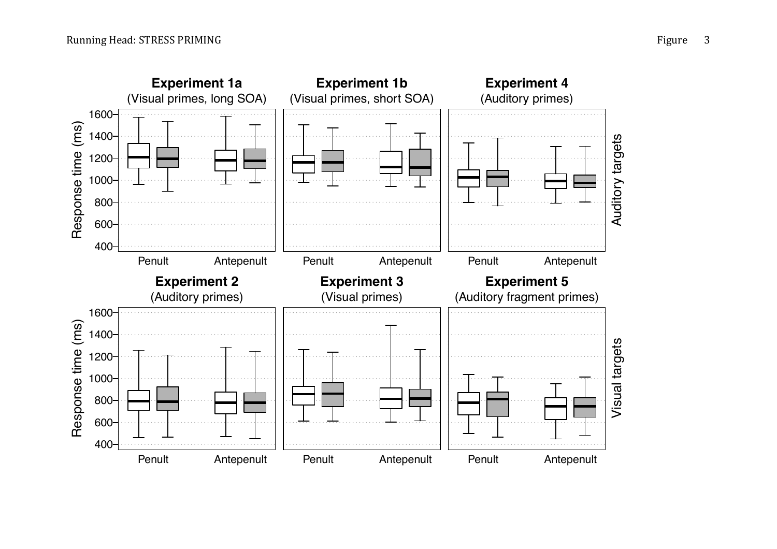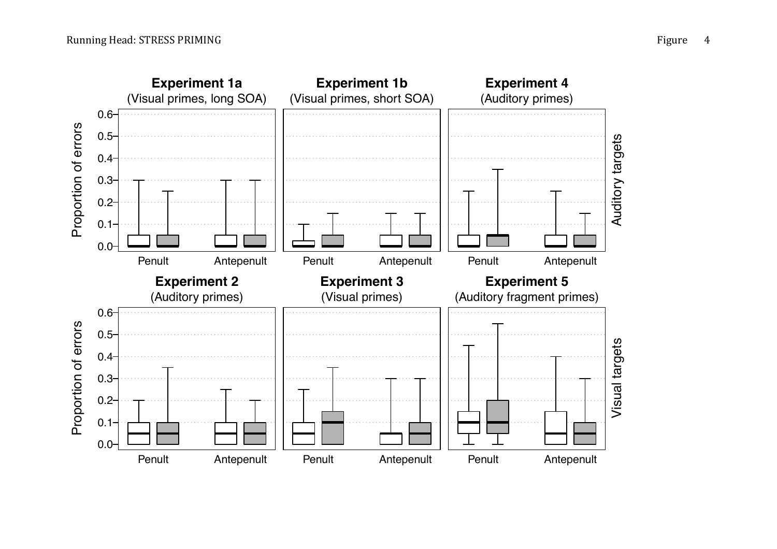